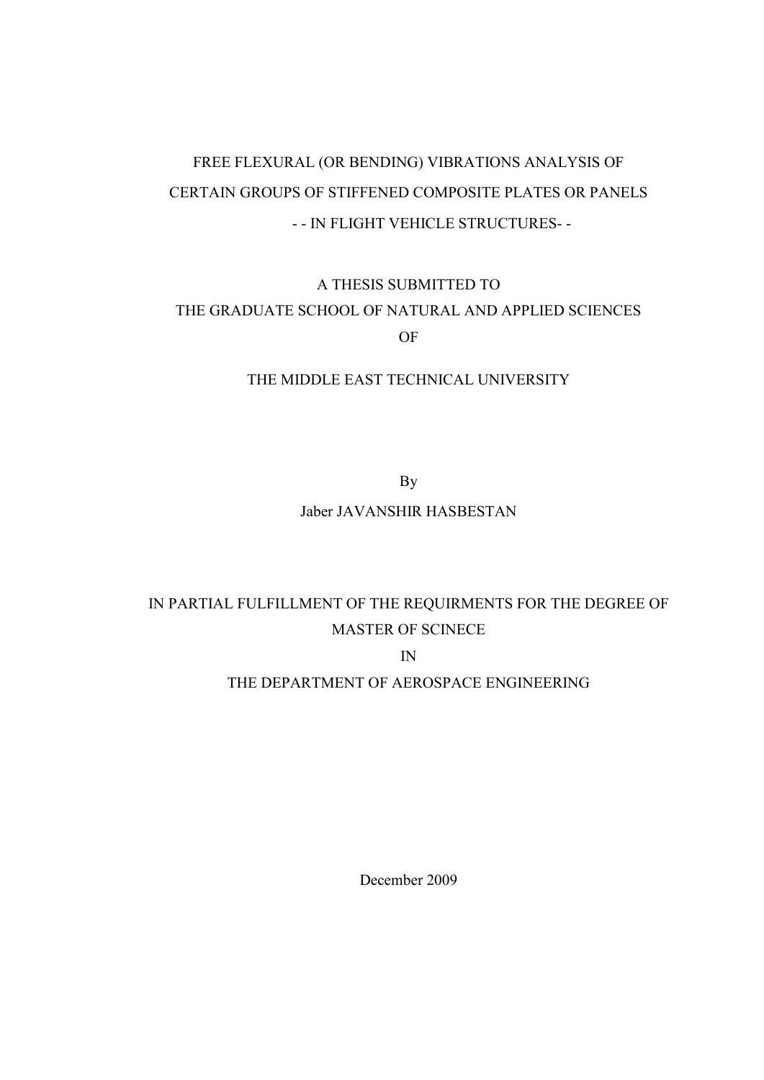# FREE FLEXURAL (OR BENDING) VIBRATIONS ANALYSIS OF CERTAIN GROUPS OF STIFFENED COMPOSITE PLATES OR PANELS - - IN FLIGHT VEHICLE STRUCTURES- -

## A THESIS SUBMITTED TO THE GRADUATE SCHOOL OF NATURAL AND APPLIED SCIENCES OF

### THE MIDDLE EAST TECHNICAL UNIVERSITY

By

### Jaber JAVANSHIR HASBESTAN

## IN PARTIAL FULFILLMENT OF THE REQUIRMENTS FOR THE DEGREE OF MASTER OF SCINECE

IN

## THE DEPARTMENT OF AEROSPACE ENGINEERING

December 2009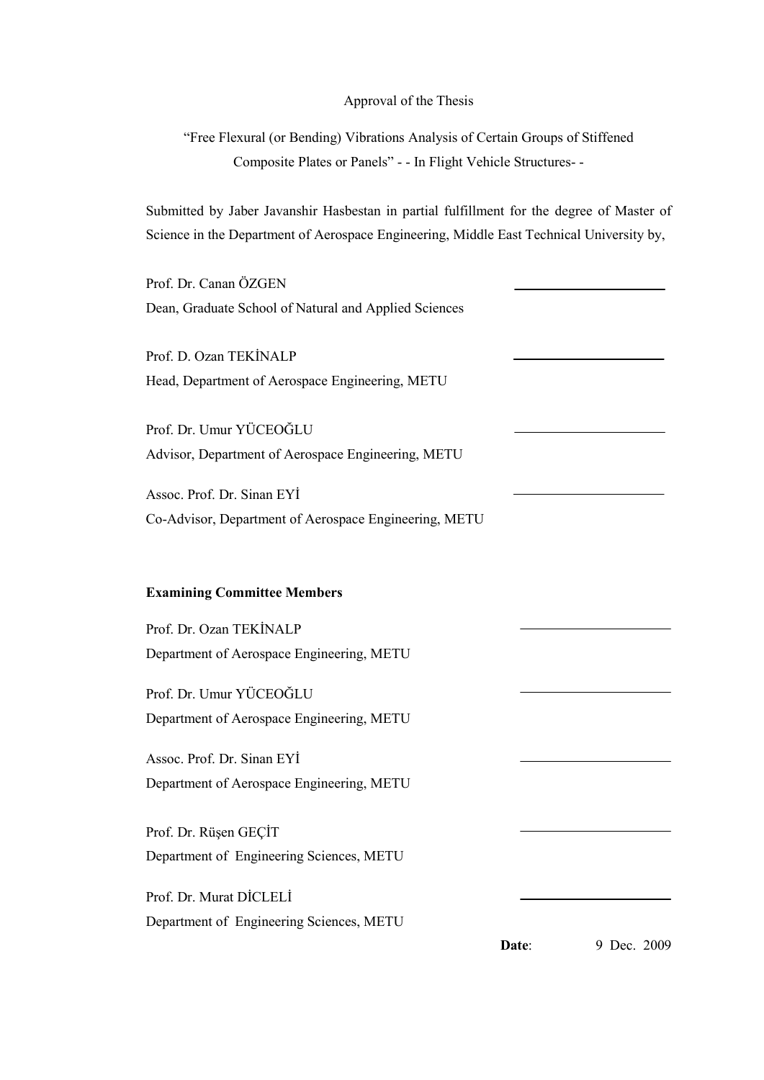#### Approval of the Thesis

"Free Flexural (or Bending) Vibrations Analysis of Certain Groups of Stiffened Composite Plates or Panels" - - In Flight Vehicle Structures- -

Submitted by Jaber Javanshir Hasbestan in partial fulfillment for the degree of Master of Science in the Department of Aerospace Engineering, Middle East Technical University by,

Prof. Dr. Canan ÖZGEN Dean, Graduate School of Natural and Applied Sciences

Prof. D. Ozan TEKİNALP Head, Department of Aerospace Engineering, METU

Prof. Dr. Umur YÜCEOĞLU Advisor, Department of Aerospace Engineering, METU

Assoc. Prof. Dr. Sinan EYİ Co-Advisor, Department of Aerospace Engineering, METU

### **Examining Committee Members**

Prof. Dr. Ozan TEKİNALP Department of Aerospace Engineering, METU

Prof. Dr. Umur YÜCEOĞLU Department of Aerospace Engineering, METU

Assoc. Prof. Dr. Sinan EYİ Department of Aerospace Engineering, METU

Prof. Dr. Rüşen GEÇİT Department of Engineering Sciences, METU

Prof. Dr. Murat DİCLELİ Department of Engineering Sciences, METU

**Date**: 9 Dec. 2009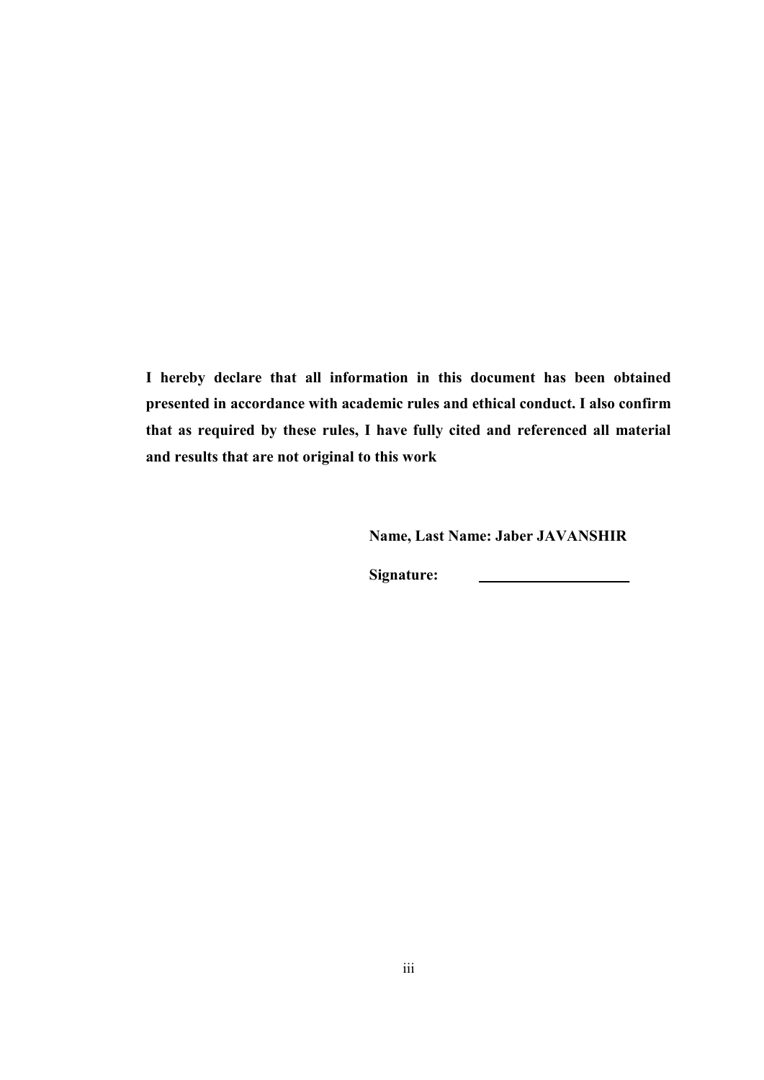**I hereby declare that all information in this document has been obtained presented in accordance with academic rules and ethical conduct. I also confirm that as required by these rules, I have fully cited and referenced all material and results that are not original to this work**

 **Name, Last Name: Jaber JAVANSHIR**

 **Signature:**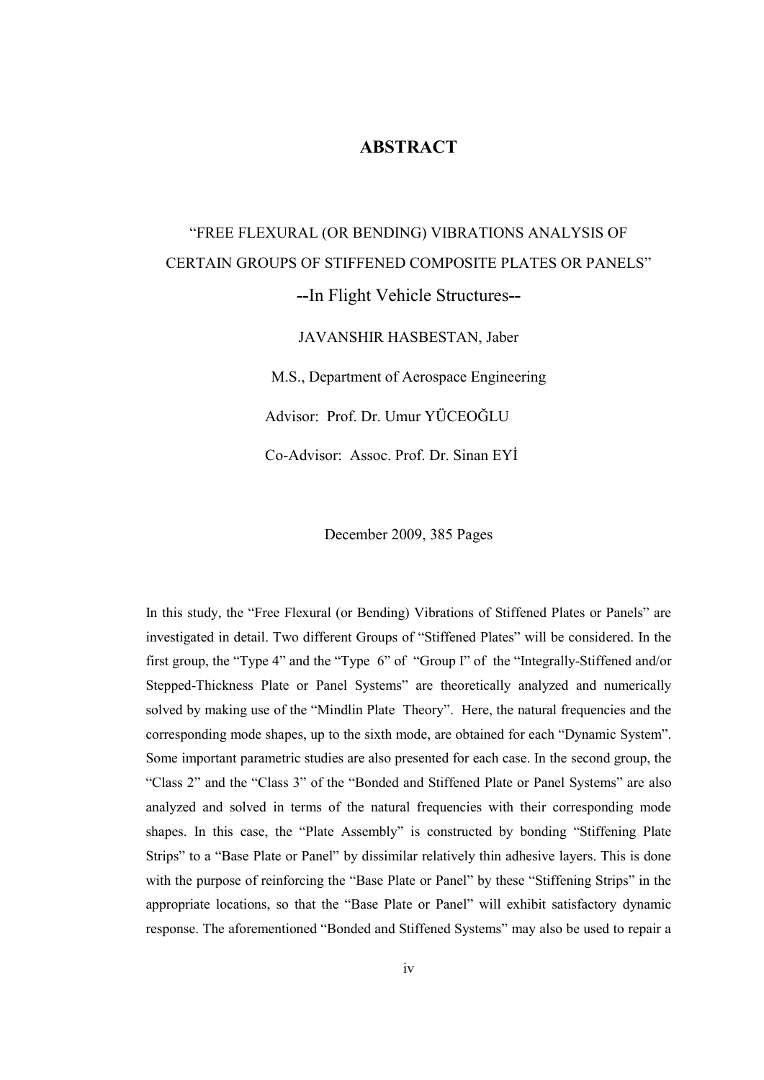### **ABSTRACT**

# "FREE FLEXURAL (OR BENDING) VIBRATIONS ANALYSIS OF CERTAIN GROUPS OF STIFFENED COMPOSITE PLATES OR PANELS" **--**In Flight Vehicle Structures**--**

JAVANSHIR HASBESTAN, Jaber

M.S., Department of Aerospace Engineering

Advisor: Prof. Dr. Umur YÜCEOĞLU

Co-Advisor: Assoc. Prof. Dr. Sinan EYİ

December 2009, 385 Pages

In this study, the "Free Flexural (or Bending) Vibrations of Stiffened Plates or Panels" are investigated in detail. Two different Groups of "Stiffened Plates" will be considered. In the first group, the "Type 4" and the "Type 6" of "Group I" of the "Integrally-Stiffened and/or Stepped-Thickness Plate or Panel Systems" are theoretically analyzed and numerically solved by making use of the "Mindlin Plate Theory". Here, the natural frequencies and the corresponding mode shapes, up to the sixth mode, are obtained for each "Dynamic System". Some important parametric studies are also presented for each case. In the second group, the "Class 2" and the "Class 3" of the "Bonded and Stiffened Plate or Panel Systems" are also analyzed and solved in terms of the natural frequencies with their corresponding mode shapes. In this case, the "Plate Assembly" is constructed by bonding "Stiffening Plate Strips" to a "Base Plate or Panel" by dissimilar relatively thin adhesive layers. This is done with the purpose of reinforcing the "Base Plate or Panel" by these "Stiffening Strips" in the appropriate locations, so that the "Base Plate or Panel" will exhibit satisfactory dynamic response. The aforementioned "Bonded and Stiffened Systems" may also be used to repair a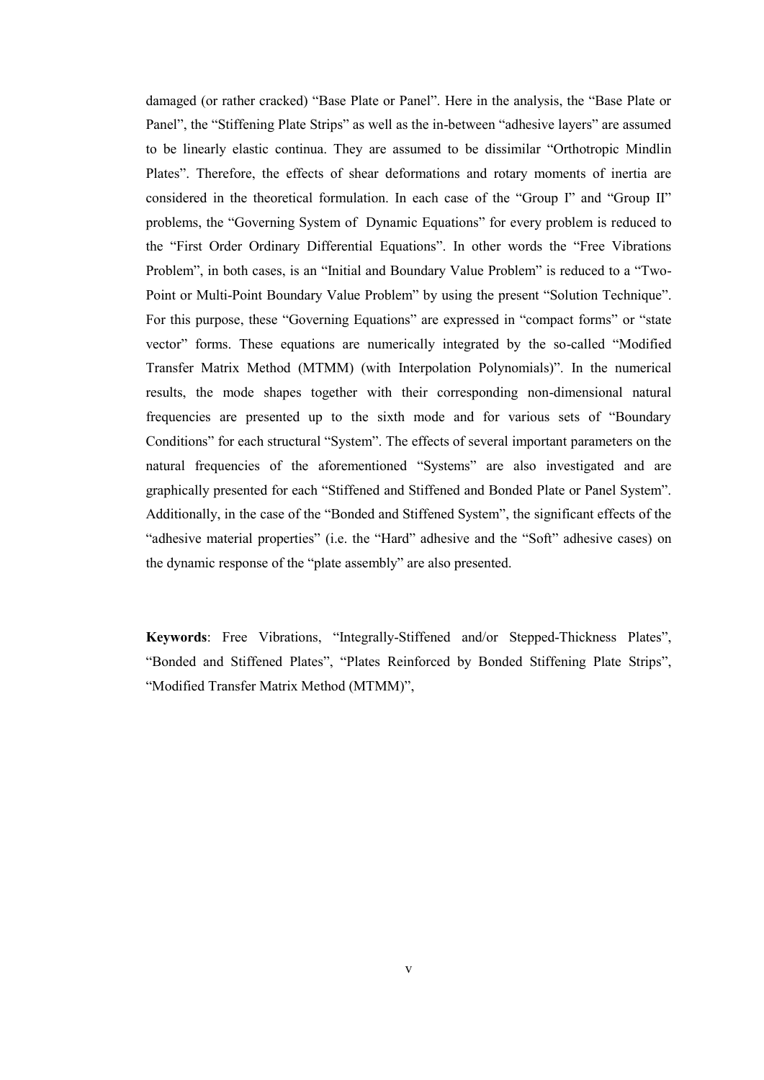damaged (or rather cracked) "Base Plate or Panel". Here in the analysis, the "Base Plate or Panel", the "Stiffening Plate Strips" as well as the in-between "adhesive layers" are assumed to be linearly elastic continua. They are assumed to be dissimilar "Orthotropic Mindlin Plates". Therefore, the effects of shear deformations and rotary moments of inertia are considered in the theoretical formulation. In each case of the "Group I" and "Group II" problems, the "Governing System of Dynamic Equations" for every problem is reduced to the "First Order Ordinary Differential Equations". In other words the "Free Vibrations Problem", in both cases, is an "Initial and Boundary Value Problem" is reduced to a "Two-Point or Multi-Point Boundary Value Problem" by using the present "Solution Technique". For this purpose, these "Governing Equations" are expressed in "compact forms" or "state vector" forms. These equations are numerically integrated by the so-called "Modified Transfer Matrix Method (MTMM) (with Interpolation Polynomials)". In the numerical results, the mode shapes together with their corresponding non-dimensional natural frequencies are presented up to the sixth mode and for various sets of "Boundary Conditions" for each structural "System". The effects of several important parameters on the natural frequencies of the aforementioned "Systems" are also investigated and are graphically presented for each "Stiffened and Stiffened and Bonded Plate or Panel System". Additionally, in the case of the "Bonded and Stiffened System", the significant effects of the "adhesive material properties" (i.e. the "Hard" adhesive and the "Soft" adhesive cases) on the dynamic response of the "plate assembly" are also presented.

**Keywords**: Free Vibrations, "Integrally-Stiffened and/or Stepped-Thickness Plates", "Bonded and Stiffened Plates", "Plates Reinforced by Bonded Stiffening Plate Strips", "Modified Transfer Matrix Method (MTMM)",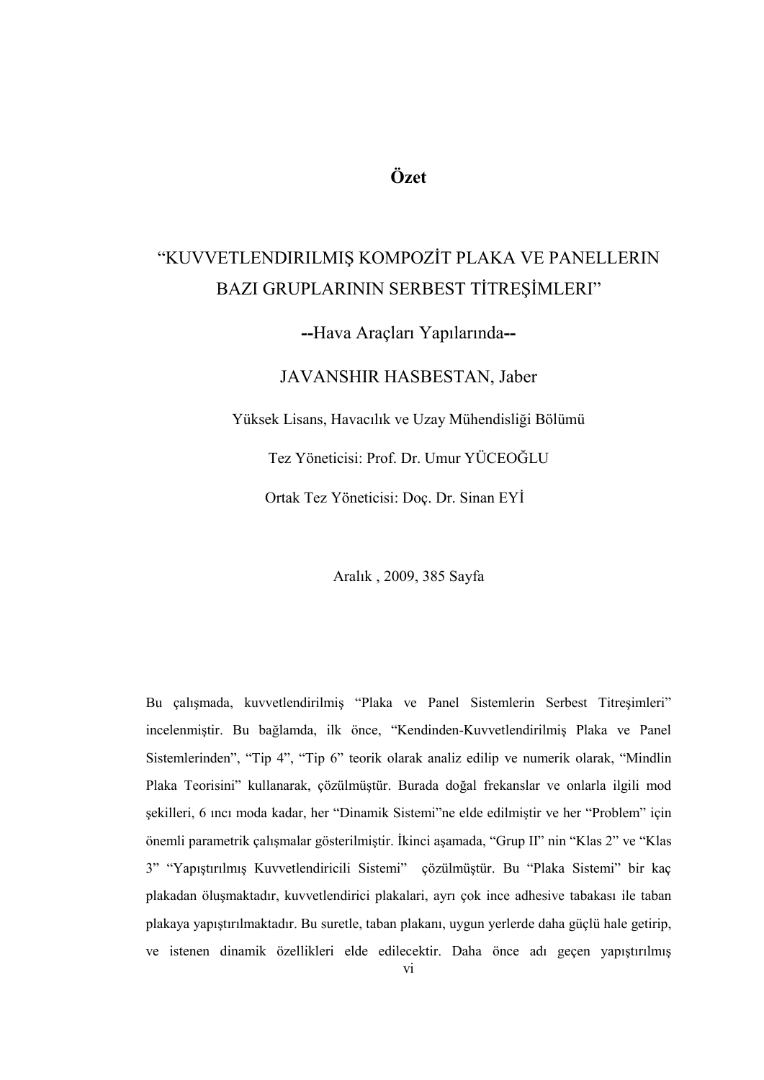## **Özet**

# "KUVVETLENDIRILMIŞ KOMPOZİT PLAKA VE PANELLERIN BAZI GRUPLARININ SERBEST TİTREŞİMLERI"

**--**Hava Araçları Yapılarında**--**

JAVANSHIR HASBESTAN, Jaber

Yüksek Lisans, Havacılık ve Uzay Mühendisliği Bölümü

Tez Yöneticisi: Prof. Dr. Umur YÜCEOĞLU

Ortak Tez Yöneticisi: Doç. Dr. Sinan EYİ

Aralık , 2009, 385 Sayfa

Bu çalışmada, kuvvetlendirilmiş "Plaka ve Panel Sistemlerin Serbest Titreşimleri" incelenmiştir. Bu bağlamda, ilk önce, "Kendinden-Kuvvetlendirilmiş Plaka ve Panel Sistemlerinden", "Tip 4", "Tip 6" teorik olarak analiz edilip ve numerik olarak, "Mindlin Plaka Teorisini" kullanarak, çözülmüştür. Burada doğal frekanslar ve onlarla ilgili mod sekilleri, 6 ıncı moda kadar, her "Dinamik Sistemi"ne elde edilmiştir ve her "Problem" için önemli parametrik çalışmalar gösterilmiştir. İkinci aşamada, "Grup II" nin "Klas 2" ve "Klas 3" "Yapıştırılmış Kuvvetlendiricili Sistemi" çözülmüştür. Bu "Plaka Sistemi" bir kaç plakadan öluĢmaktadır, kuvvetlendirici plakalari, ayrı çok ince adhesive tabakası ile taban plakaya yapıştırılmaktadır. Bu suretle, taban plakanı, uygun yerlerde daha güçlü hale getirip, ve istenen dinamik özellikleri elde edilecektir. Daha önce adı geçen yapıştırılmış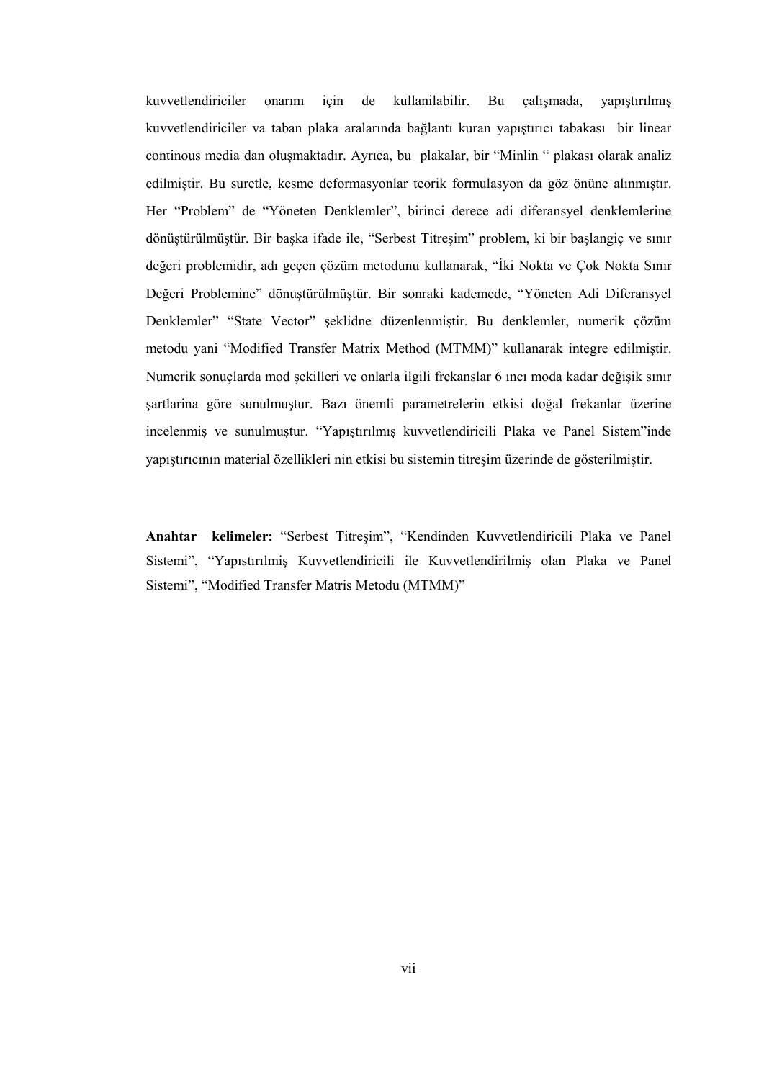kuvvetlendiriciler onarım için de kullanilabilir. Bu çalışmada, yapıştırılmış kuvvetlendiriciler va taban plaka aralarında bağlantı kuran yapıştırıcı tabakası bir linear continous media dan oluşmaktadır. Ayrıca, bu plakalar, bir "Minlin " plakası olarak analiz edilmiştir. Bu suretle, kesme deformasyonlar teorik formulasyon da göz önüne alınmıştır. Her "Problem" de "Yöneten Denklemler", birinci derece adi diferansyel denklemlerine dönüştürülmüştür. Bir başka ifade ile, "Serbest Titreşim" problem, ki bir başlangiç ve sınır değeri problemidir, adı geçen çözüm metodunu kullanarak, "İki Nokta ve Çok Nokta Sınır Değeri Problemine" dönuştürülmüştür. Bir sonraki kademede, "Yöneten Adi Diferansyel Denklemler" "State Vector" şeklidne düzenlenmiştir. Bu denklemler, numerik çözüm metodu yani "Modified Transfer Matrix Method (MTMM)" kullanarak integre edilmiştir. Numerik sonuçlarda mod şekilleri ve onlarla ilgili frekanslar 6 ıncı moda kadar değişik sınır şartlarina göre sunulmuştur. Bazı önemli parametrelerin etkisi doğal frekanlar üzerine incelenmiş ve sunulmuştur. "Yapıştırılmış kuvvetlendiricili Plaka ve Panel Sistem"inde yapıştırıcının material özellikleri nin etkisi bu sistemin titreşim üzerinde de gösterilmiştir.

Anahtar kelimeler: "Serbest Titreşim", "Kendinden Kuvvetlendiricili Plaka ve Panel Sistemi", "Yapıstırılmiş Kuvvetlendiricili ile Kuvvetlendirilmiş olan Plaka ve Panel Sistemi", "Modified Transfer Matris Metodu (MTMM)"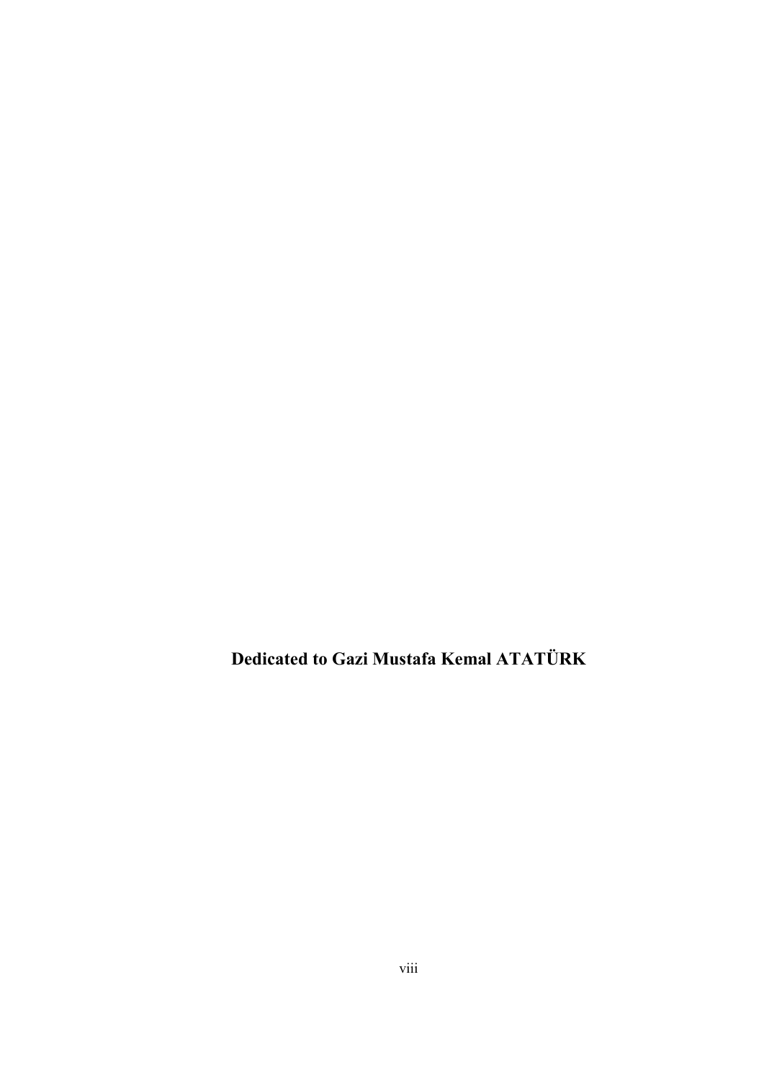**Dedicated to Gazi Mustafa Kemal ATATÜRK**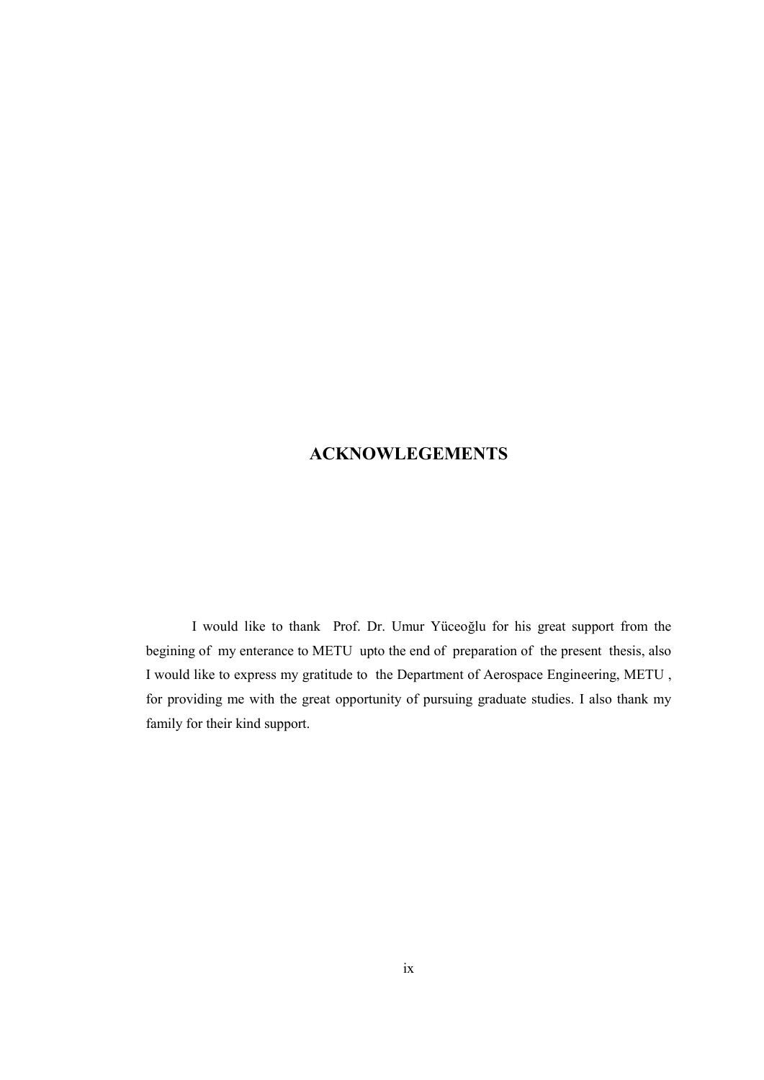## **ACKNOWLEGEMENTS**

I would like to thank Prof. Dr. Umur Yüceoğlu for his great support from the begining of my enterance to METU upto the end of preparation of the present thesis, also I would like to express my gratitude to the Department of Aerospace Engineering, METU , for providing me with the great opportunity of pursuing graduate studies. I also thank my family for their kind support.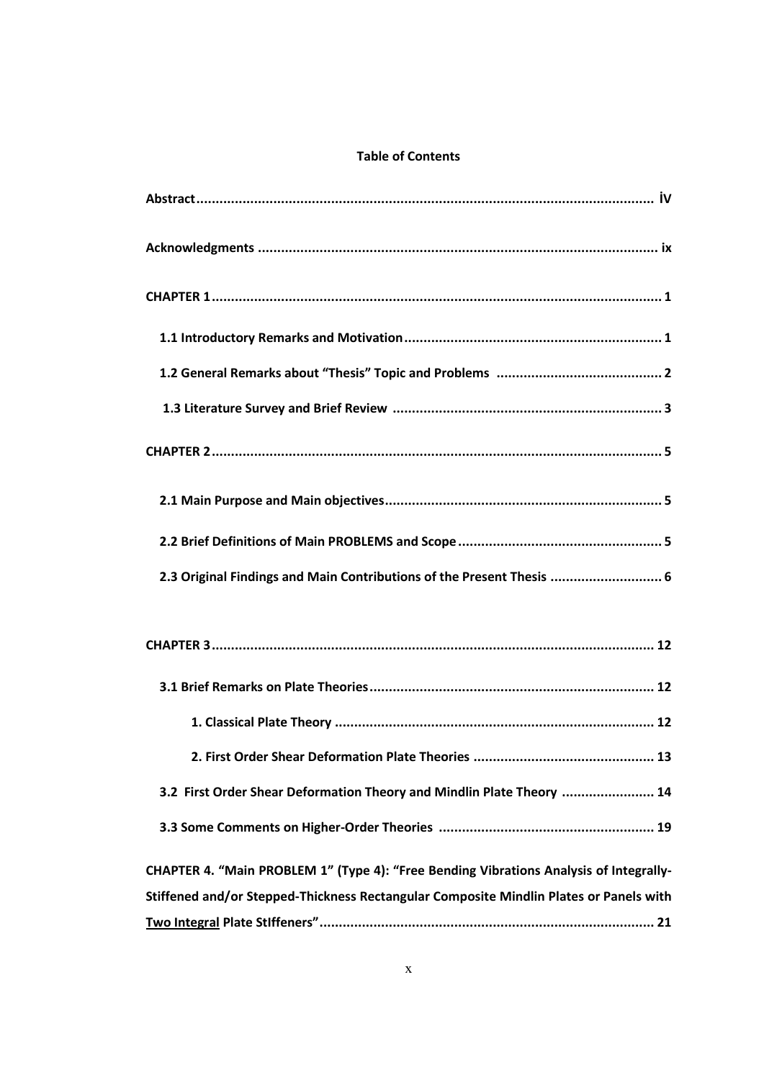### **Table of Contents**

| 2.3 Original Findings and Main Contributions of the Present Thesis  6                  |
|----------------------------------------------------------------------------------------|
|                                                                                        |
|                                                                                        |
|                                                                                        |
| 2. First Order Shear Deformation Plate Theories<br>13                                  |
| 3.2 First Order Shear Deformation Theory and Mindlin Plate Theory  14                  |
|                                                                                        |
| CHAPTER 4. "Main PROBLEM 1" (Type 4): "Free Bending Vibrations Analysis of Integrally- |
| Stiffened and/or Stepped-Thickness Rectangular Composite Mindlin Plates or Panels with |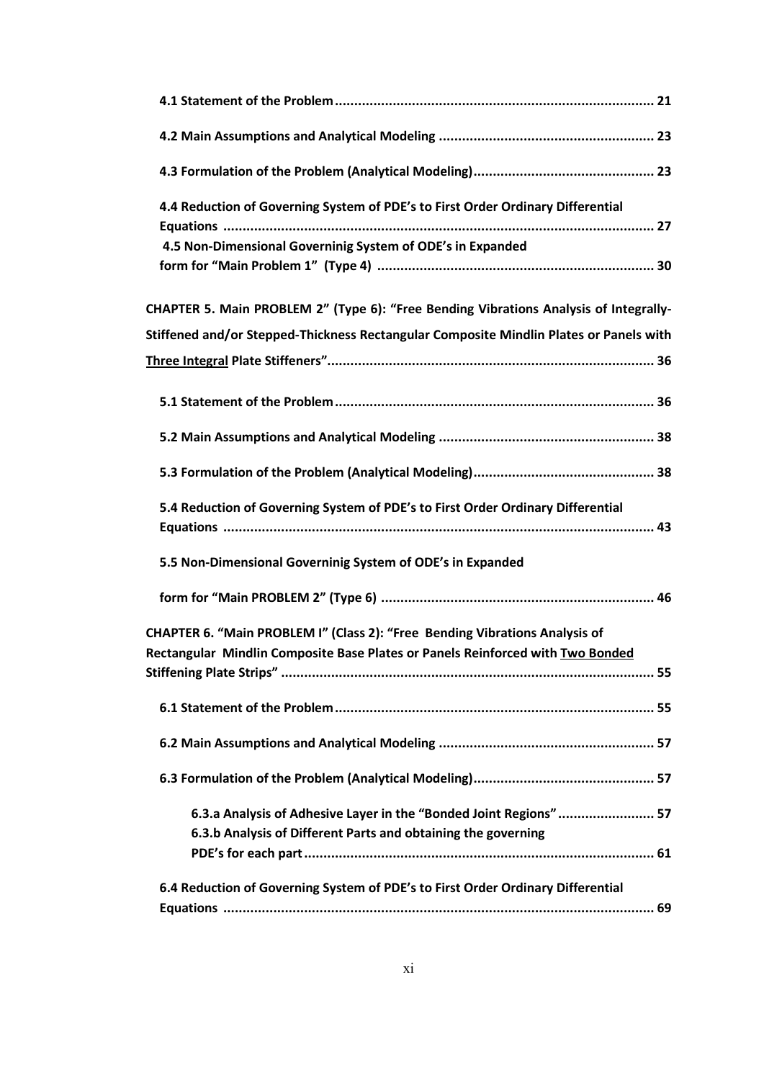| 4.4 Reduction of Governing System of PDE's to First Order Ordinary Differential                                                                               |
|---------------------------------------------------------------------------------------------------------------------------------------------------------------|
| 4.5 Non-Dimensional Governinig System of ODE's in Expanded                                                                                                    |
| CHAPTER 5. Main PROBLEM 2" (Type 6): "Free Bending Vibrations Analysis of Integrally-                                                                         |
| Stiffened and/or Stepped-Thickness Rectangular Composite Mindlin Plates or Panels with                                                                        |
|                                                                                                                                                               |
|                                                                                                                                                               |
|                                                                                                                                                               |
|                                                                                                                                                               |
| 5.4 Reduction of Governing System of PDE's to First Order Ordinary Differential                                                                               |
| 5.5 Non-Dimensional Governinig System of ODE's in Expanded                                                                                                    |
|                                                                                                                                                               |
| CHAPTER 6. "Main PROBLEM I" (Class 2): "Free Bending Vibrations Analysis of<br>Rectangular Mindlin Composite Base Plates or Panels Reinforced with Two Bonded |
|                                                                                                                                                               |
|                                                                                                                                                               |
|                                                                                                                                                               |
|                                                                                                                                                               |
| 6.3.a Analysis of Adhesive Layer in the "Bonded Joint Regions"  57<br>6.3.b Analysis of Different Parts and obtaining the governing                           |
|                                                                                                                                                               |
| 6.4 Reduction of Governing System of PDE's to First Order Ordinary Differential                                                                               |
|                                                                                                                                                               |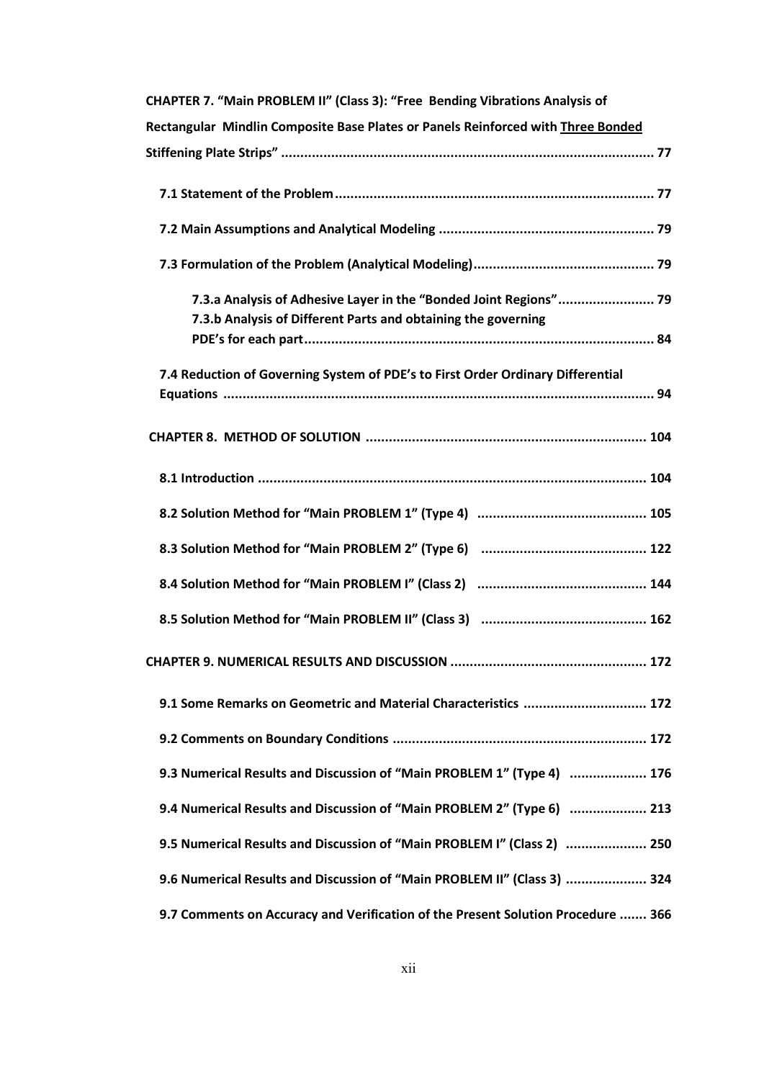| CHAPTER 7. "Main PROBLEM II" (Class 3): "Free Bending Vibrations Analysis of                                                       |
|------------------------------------------------------------------------------------------------------------------------------------|
| Rectangular Mindlin Composite Base Plates or Panels Reinforced with Three Bonded                                                   |
|                                                                                                                                    |
|                                                                                                                                    |
|                                                                                                                                    |
|                                                                                                                                    |
| 7.3.a Analysis of Adhesive Layer in the "Bonded Joint Regions" 79<br>7.3.b Analysis of Different Parts and obtaining the governing |
| 7.4 Reduction of Governing System of PDE's to First Order Ordinary Differential                                                    |
|                                                                                                                                    |
|                                                                                                                                    |
|                                                                                                                                    |
|                                                                                                                                    |
|                                                                                                                                    |
|                                                                                                                                    |
|                                                                                                                                    |
| 9.1 Some Remarks on Geometric and Material Characteristics  172                                                                    |
|                                                                                                                                    |
| 9.3 Numerical Results and Discussion of "Main PROBLEM 1" (Type 4)  176                                                             |
| 9.4 Numerical Results and Discussion of "Main PROBLEM 2" (Type 6)  213                                                             |
| 9.5 Numerical Results and Discussion of "Main PROBLEM I" (Class 2)  250                                                            |
| 9.6 Numerical Results and Discussion of "Main PROBLEM II" (Class 3)  324                                                           |
| 9.7 Comments on Accuracy and Verification of the Present Solution Procedure  366                                                   |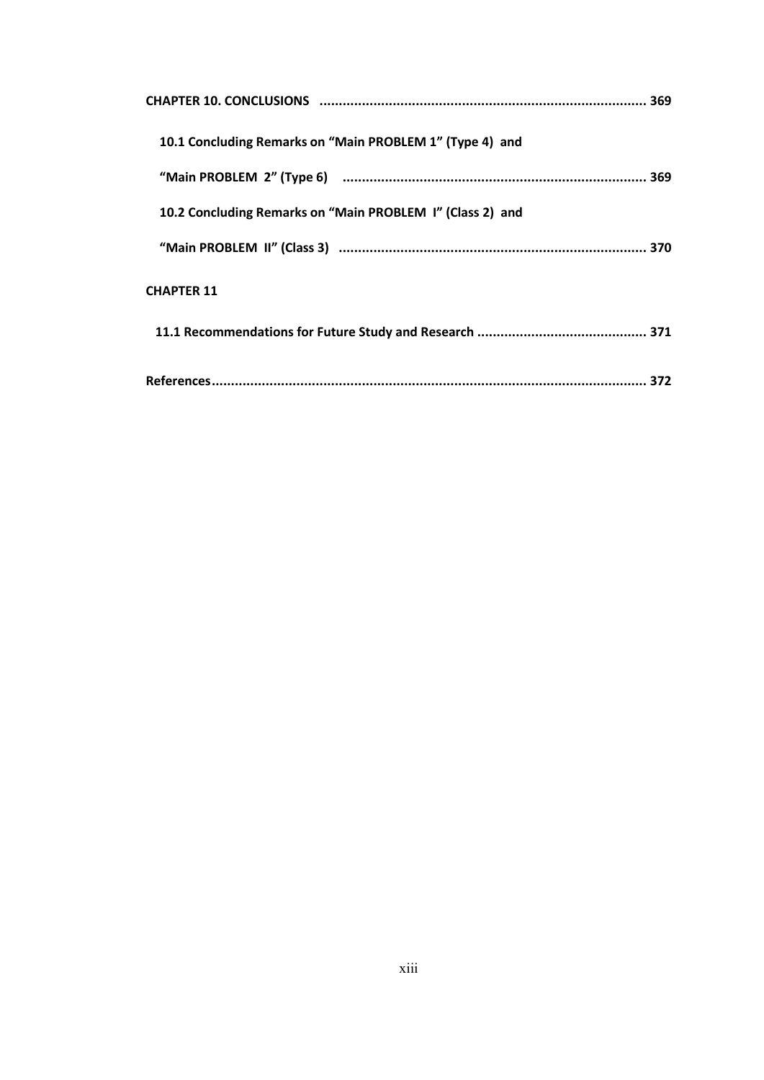| 10.1 Concluding Remarks on "Main PROBLEM 1" (Type 4) and  |  |
|-----------------------------------------------------------|--|
|                                                           |  |
| 10.2 Concluding Remarks on "Main PROBLEM I" (Class 2) and |  |
|                                                           |  |
| <b>CHAPTER 11</b>                                         |  |
|                                                           |  |
|                                                           |  |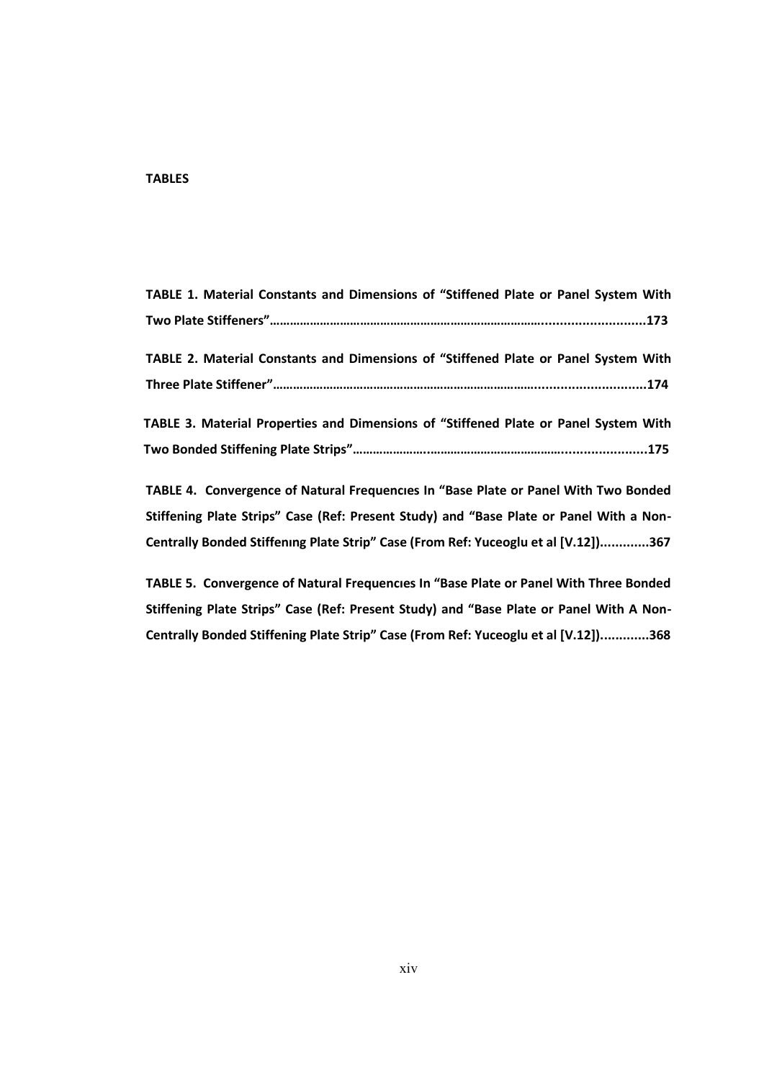### **TABLES**

| TABLE 1. Material Constants and Dimensions of "Stiffened Plate or Panel System With  |  |
|--------------------------------------------------------------------------------------|--|
|                                                                                      |  |
| TABLE 2. Material Constants and Dimensions of "Stiffened Plate or Panel System With  |  |
|                                                                                      |  |
| TABLE 3. Material Properties and Dimensions of "Stiffened Plate or Panel System With |  |
|                                                                                      |  |

**TABLE 4. Convergence of Natural Frequencıes In "Base Plate or Panel With Two Bonded Stiffening Plate Strips" Case (Ref: Present Study) and "Base Plate or Panel With a Non-Centrally Bonded Stiffenıng Plate Strip" Case (From Ref: Yuceoglu et al \*V.12+).............367**

**TABLE 5. Convergence of Natural Frequencıes In "Base Plate or Panel With Three Bonded Stiffening Plate Strips" Case (Ref: Present Study) and "Base Plate or Panel With A Non-Centrally Bonded Stiffening Plate Strip" Case (From Ref: Yuceoglu et al \*V.12+).............368**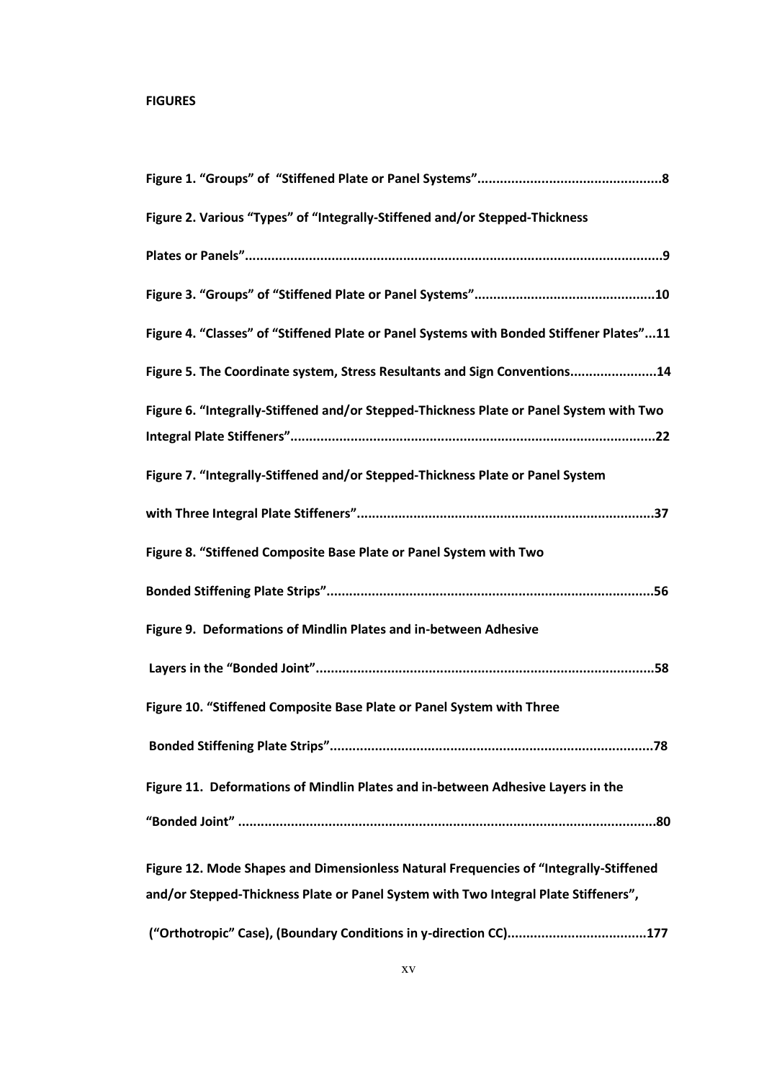### **FIGURES**

| Figure 2. Various "Types" of "Integrally-Stiffened and/or Stepped-Thickness              |
|------------------------------------------------------------------------------------------|
|                                                                                          |
|                                                                                          |
| Figure 4. "Classes" of "Stiffened Plate or Panel Systems with Bonded Stiffener Plates"11 |
| Figure 5. The Coordinate system, Stress Resultants and Sign Conventions14                |
| Figure 6. "Integrally-Stiffened and/or Stepped-Thickness Plate or Panel System with Two  |
|                                                                                          |
| Figure 7. "Integrally-Stiffened and/or Stepped-Thickness Plate or Panel System           |
|                                                                                          |
| Figure 8. "Stiffened Composite Base Plate or Panel System with Two                       |
|                                                                                          |
| Figure 9. Deformations of Mindlin Plates and in-between Adhesive                         |
|                                                                                          |
| Figure 10. "Stiffened Composite Base Plate or Panel System with Three                    |
| ……78                                                                                     |
| Figure 11. Deformations of Mindlin Plates and in-between Adhesive Layers in the          |
|                                                                                          |
| Figure 12. Mode Shapes and Dimensionless Natural Frequencies of "Integrally-Stiffened    |
| and/or Stepped-Thickness Plate or Panel System with Two Integral Plate Stiffeners",      |
|                                                                                          |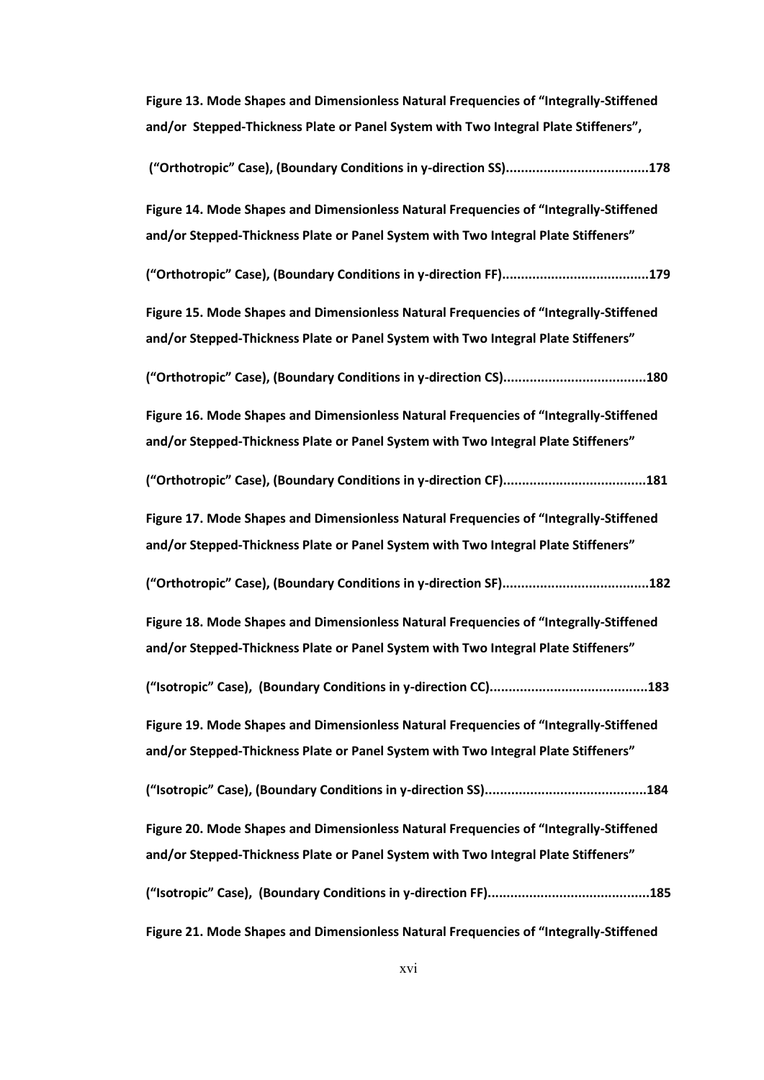**Figure 13. Mode Shapes and Dimensionless Natural Frequencies of "Integrally-Stiffened and/or Stepped-Thickness Plate or Panel System with Two Integral Plate Stiffeners",**

| Figure 14. Mode Shapes and Dimensionless Natural Frequencies of "Integrally-Stiffened<br>and/or Stepped-Thickness Plate or Panel System with Two Integral Plate Stiffeners" |
|-----------------------------------------------------------------------------------------------------------------------------------------------------------------------------|
|                                                                                                                                                                             |
| Figure 15. Mode Shapes and Dimensionless Natural Frequencies of "Integrally-Stiffened<br>and/or Stepped-Thickness Plate or Panel System with Two Integral Plate Stiffeners" |
|                                                                                                                                                                             |
| Figure 16. Mode Shapes and Dimensionless Natural Frequencies of "Integrally-Stiffened<br>and/or Stepped-Thickness Plate or Panel System with Two Integral Plate Stiffeners" |
|                                                                                                                                                                             |
| Figure 17. Mode Shapes and Dimensionless Natural Frequencies of "Integrally-Stiffened<br>and/or Stepped-Thickness Plate or Panel System with Two Integral Plate Stiffeners" |
|                                                                                                                                                                             |
| Figure 18. Mode Shapes and Dimensionless Natural Frequencies of "Integrally-Stiffened<br>and/or Stepped-Thickness Plate or Panel System with Two Integral Plate Stiffeners" |
|                                                                                                                                                                             |
| Figure 19. Mode Shapes and Dimensionless Natural Frequencies of "Integrally-Stiffened<br>and/or Stepped-Thickness Plate or Panel System with Two Integral Plate Stiffeners" |
|                                                                                                                                                                             |
| Figure 20. Mode Shapes and Dimensionless Natural Frequencies of "Integrally-Stiffened<br>and/or Stepped-Thickness Plate or Panel System with Two Integral Plate Stiffeners" |
|                                                                                                                                                                             |
| Figure 21. Mode Shapes and Dimensionless Natural Frequencies of "Integrally-Stiffened                                                                                       |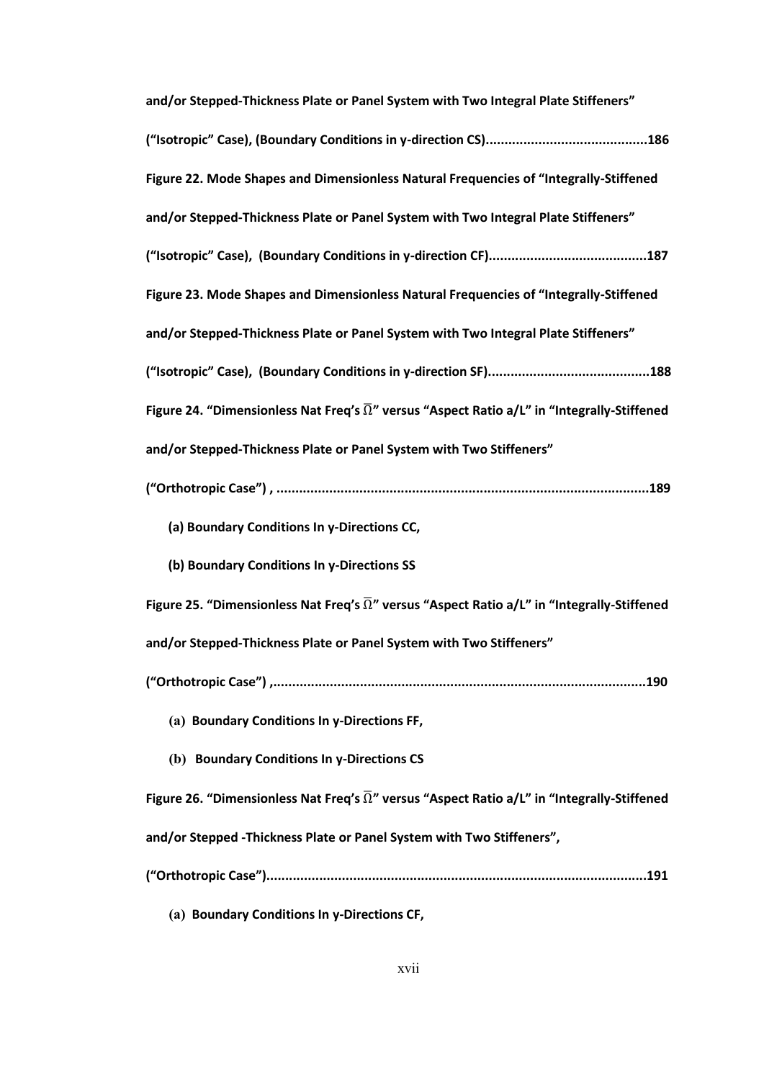| and/or Stepped-Thickness Plate or Panel System with Two Integral Plate Stiffeners"                            |
|---------------------------------------------------------------------------------------------------------------|
|                                                                                                               |
| Figure 22. Mode Shapes and Dimensionless Natural Frequencies of "Integrally-Stiffened                         |
| and/or Stepped-Thickness Plate or Panel System with Two Integral Plate Stiffeners"                            |
|                                                                                                               |
| Figure 23. Mode Shapes and Dimensionless Natural Frequencies of "Integrally-Stiffened                         |
| and/or Stepped-Thickness Plate or Panel System with Two Integral Plate Stiffeners"                            |
|                                                                                                               |
| Figure 24. "Dimensionless Nat Freq's $\overline{\Omega}$ " versus "Aspect Ratio a/L" in "Integrally-Stiffened |
| and/or Stepped-Thickness Plate or Panel System with Two Stiffeners"                                           |
|                                                                                                               |
| (a) Boundary Conditions In y-Directions CC,                                                                   |
| (b) Boundary Conditions In y-Directions SS                                                                    |
| Figure 25. "Dimensionless Nat Freq's $\overline{\Omega}$ " versus "Aspect Ratio a/L" in "Integrally-Stiffened |
| and/or Stepped-Thickness Plate or Panel System with Two Stiffeners"                                           |
|                                                                                                               |
| (a) Boundary Conditions In y-Directions FF,                                                                   |
| (b) Boundary Conditions In y-Directions CS                                                                    |
| Figure 26. "Dimensionless Nat Freq's $\overline{\Omega}$ " versus "Aspect Ratio a/L" in "Integrally-Stiffened |
| and/or Stepped - Thickness Plate or Panel System with Two Stiffeners",                                        |
|                                                                                                               |
|                                                                                                               |

**(a) Boundary Conditions In y-Directions CF,**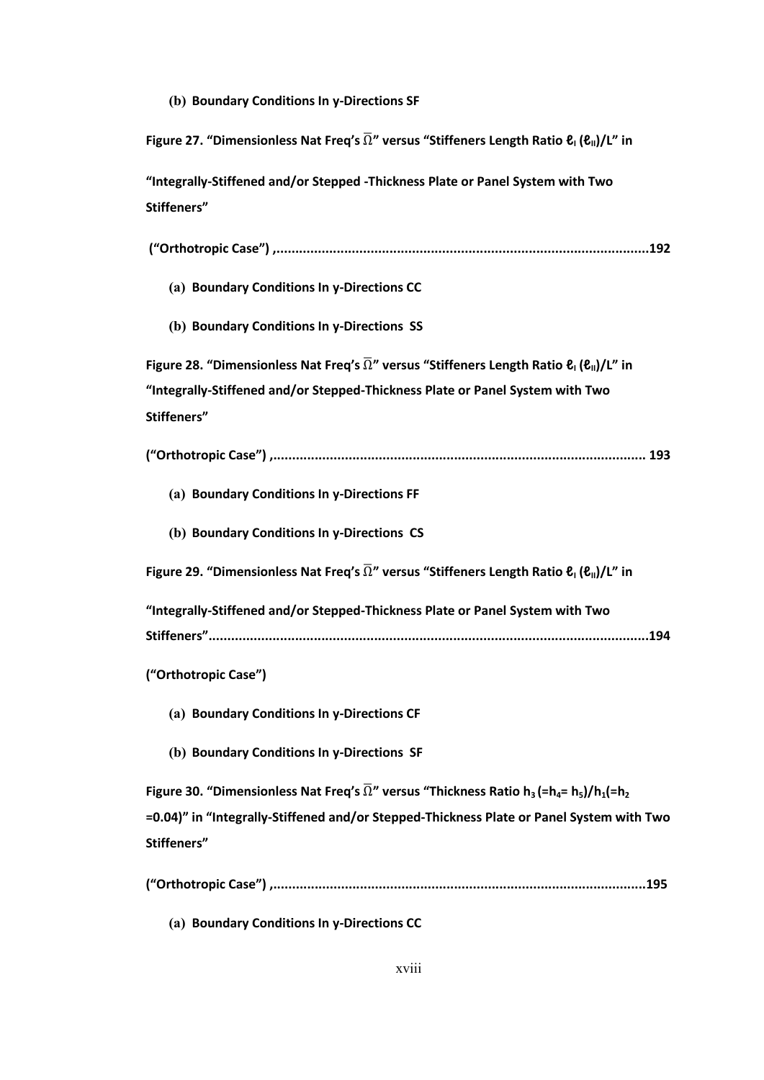**(b) Boundary Conditions In y-Directions SF**

**Figure 27. "Dimensionless Nat Freq's** Ω **" versus "Stiffeners Length Ratio ℓ<sup>I</sup> (ℓII)/L" in "Integrally-Stiffened and/or Stepped -Thickness Plate or Panel System with Two Stiffeners" ("Orthotropic Case") ,...................................................................................................192 (a) Boundary Conditions In y-Directions CC (b) Boundary Conditions In y-Directions SS Figure 28. "Dimensionless Nat Freq's**  $\overline{\Omega}$ **" versus "Stiffeners Length Ratio**  $\mathbf{e}_{\parallel}(\mathbf{e}_{\parallel})/\mathbf{L}$ **" in "Integrally-Stiffened and/or Stepped-Thickness Plate or Panel System with Two Stiffeners" ("Orthotropic Case") ,................................................................................................... 193 (a) Boundary Conditions In y-Directions FF (b) Boundary Conditions In y-Directions CS Figure 29. "Dimensionless Nat Freq's**  $\overline{\Omega}$ **" versus "Stiffeners Length Ratio**  $\mathbf{\ell}_{1}(\mathbf{\ell}_{\parallel})/\mathbf{L}$ **" in "Integrally-Stiffened and/or Stepped-Thickness Plate or Panel System with Two Stiffeners".....................................................................................................................194 ("Orthotropic Case") (a) Boundary Conditions In y-Directions CF (b) Boundary Conditions In y-Directions SF Figure 30. "Dimensionless Nat Freq's**  $\overline{\Omega}$ **" versus "Thickness Ratio h<sub>3</sub> (=h<sub>4</sub>= h<sub>5</sub>)/h<sub>1</sub>(=h<sub>2</sub> =0.04)" in "Integrally-Stiffened and/or Stepped-Thickness Plate or Panel System with Two Stiffeners" ("Orthotropic Case") ,...................................................................................................195**

**(a) Boundary Conditions In y-Directions CC**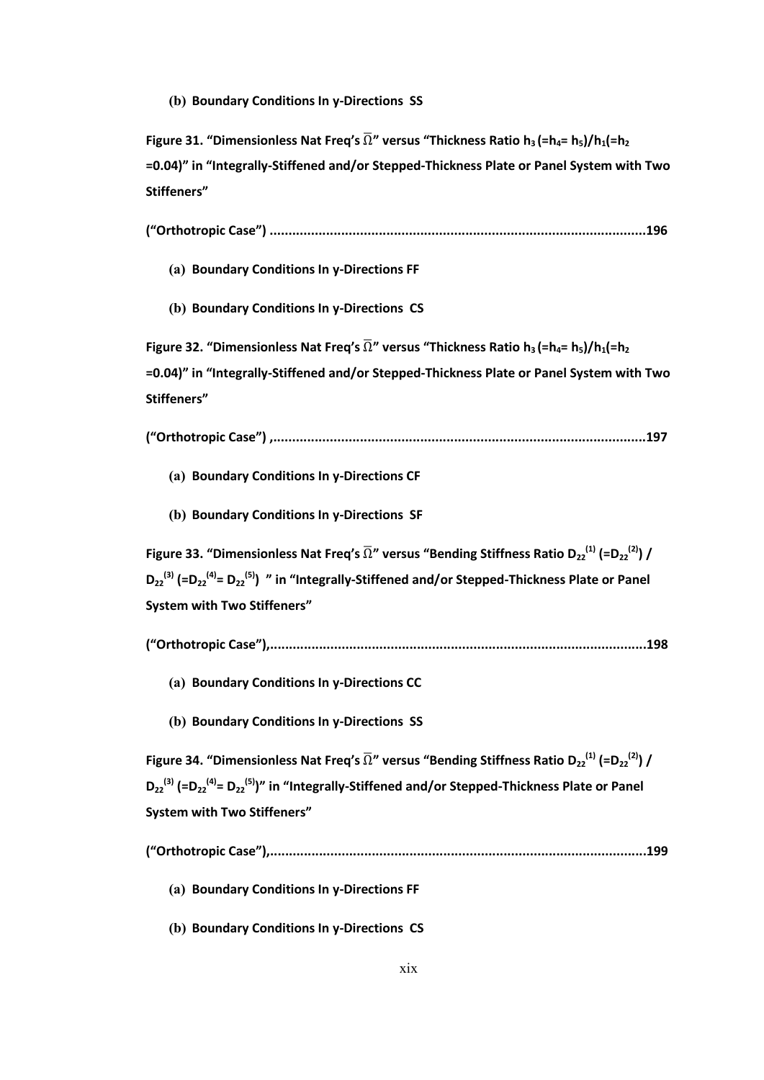**(b) Boundary Conditions In y-Directions SS**

**Figure 31. "Dimensionless Nat Freq's**  $\overline{\Omega}$ **" versus "Thickness Ratio h<sub>3</sub> (=h<sub>4</sub>= h<sub>5</sub>)/h<sub>1</sub>(=h<sub>2</sub> =0.04)" in "Integrally-Stiffened and/or Stepped-Thickness Plate or Panel System with Two Stiffeners"**

**("Orthotropic Case") ....................................................................................................196**

**(a) Boundary Conditions In y-Directions FF**

**(b) Boundary Conditions In y-Directions CS**

**Figure 32.** "Dimensionless Nat Freq's  $\overline{\Omega}$ " versus "Thickness Ratio  $h_3$  (= $h_4$ =  $h_5$ )/ $h_1$ (= $h_2$ **=0.04)" in "Integrally-Stiffened and/or Stepped-Thickness Plate or Panel System with Two Stiffeners"**

**("Orthotropic Case") ,...................................................................................................197**

- **(a) Boundary Conditions In y-Directions CF**
- **(b) Boundary Conditions In y-Directions SF**

**Figure 33. "Dimensionless Nat Freq's**  $\overline{\Omega}$ **" versus "Bending Stiffness Ratio D<sub>22</sub><sup>(1)</sup> (=D<sub>22</sub><sup>(2)</sup>) / D**<sub>22</sub><sup>(3)</sup> (=D<sub>22</sub><sup>(4)</sup>= D<sub>22</sub><sup>(5)</sup>) " in "Integrally-Stiffened and/or Stepped-Thickness Plate or Panel **System with Two Stiffeners"**

- **(a) Boundary Conditions In y-Directions CC**
- **(b) Boundary Conditions In y-Directions SS**

**Figure 34. "Dimensionless Nat Freq's**  $\overline{\Omega}$ **" versus "Bending Stiffness Ratio D<sub>22</sub><sup>(1)</sup> (=D<sub>22</sub><sup>(2)</sup>) / D**<sub>22</sub><sup>(3)</sup> (=D<sub>22</sub><sup>(4)</sup>= D<sub>22</sub><sup>(5)</sup>)" in "Integrally-Stiffened and/or Stepped-Thickness Plate or Panel **System with Two Stiffeners"**

**("Orthotropic Case"),....................................................................................................199**

**(a) Boundary Conditions In y-Directions FF**

**(b) Boundary Conditions In y-Directions CS**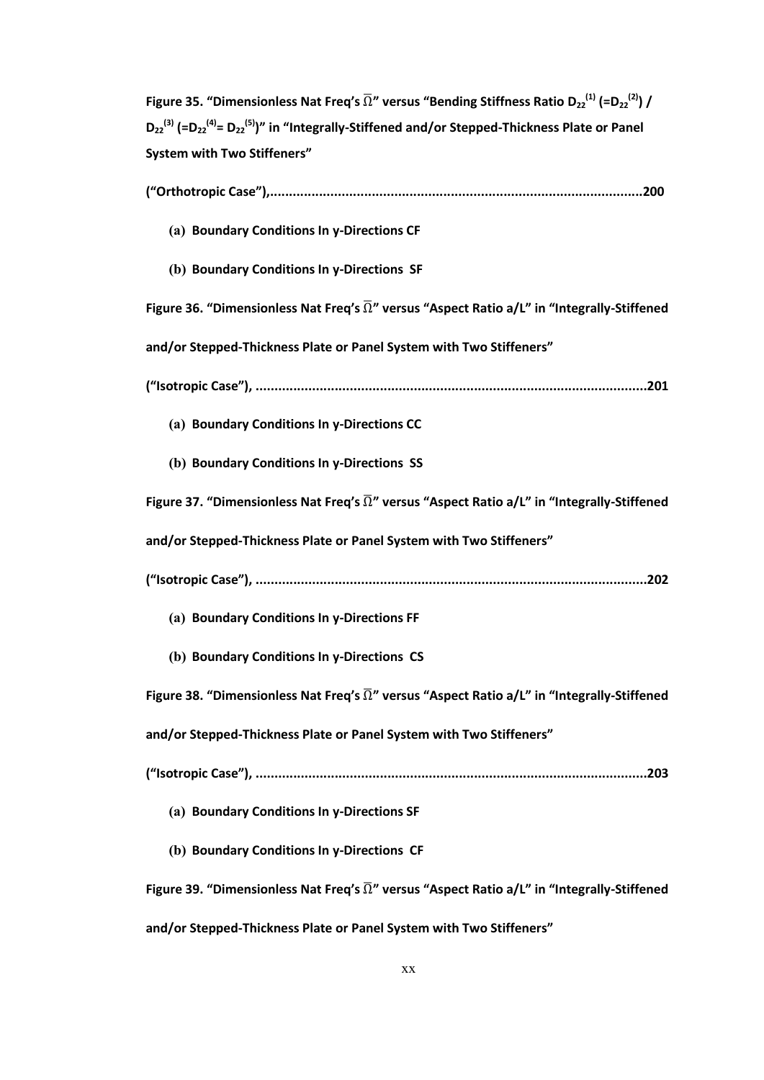**Figure 35. "Dimensionless Nat Freq's**  $\overline{\Omega}$ **" versus "Bending Stiffness Ratio D<sub>22</sub><sup>(1)</sup> (=D<sub>22</sub><sup>(2)</sup>) / D**<sub>22</sub><sup>(3)</sup> (=D<sub>22</sub><sup>(4)</sup>= D<sub>22</sub><sup>(5)</sup>)" in "Integrally-Stiffened and/or Stepped-Thickness Plate or Panel **System with Two Stiffeners"**

| (a) Boundary Conditions In y-Directions CF                                                                    |
|---------------------------------------------------------------------------------------------------------------|
| (b) Boundary Conditions In y-Directions SF                                                                    |
| Figure 36. "Dimensionless Nat Freq's $\overline{\Omega}$ " versus "Aspect Ratio a/L" in "Integrally-Stiffened |
| and/or Stepped-Thickness Plate or Panel System with Two Stiffeners"                                           |
|                                                                                                               |
| (a) Boundary Conditions In y-Directions CC                                                                    |
| (b) Boundary Conditions In y-Directions SS                                                                    |
| Figure 37. "Dimensionless Nat Freq's $\overline{\Omega}$ " versus "Aspect Ratio a/L" in "Integrally-Stiffened |
| and/or Stepped-Thickness Plate or Panel System with Two Stiffeners"                                           |
|                                                                                                               |
| (a) Boundary Conditions In y-Directions FF                                                                    |
| (b) Boundary Conditions In y-Directions CS                                                                    |
| Figure 38. "Dimensionless Nat Freq's $\overline{\Omega}$ " versus "Aspect Ratio a/L" in "Integrally-Stiffened |
| and/or Stepped-Thickness Plate or Panel System with Two Stiffeners"                                           |
|                                                                                                               |
| (a) Boundary Conditions In y-Directions SF                                                                    |
| (b) Boundary Conditions In y-Directions CF                                                                    |
| Figure 39. "Dimensionless Nat Freq's $\overline{\Omega}$ " versus "Aspect Ratio a/L" in "Integrally-Stiffened |
| and/or Stepped-Thickness Plate or Panel System with Two Stiffeners"                                           |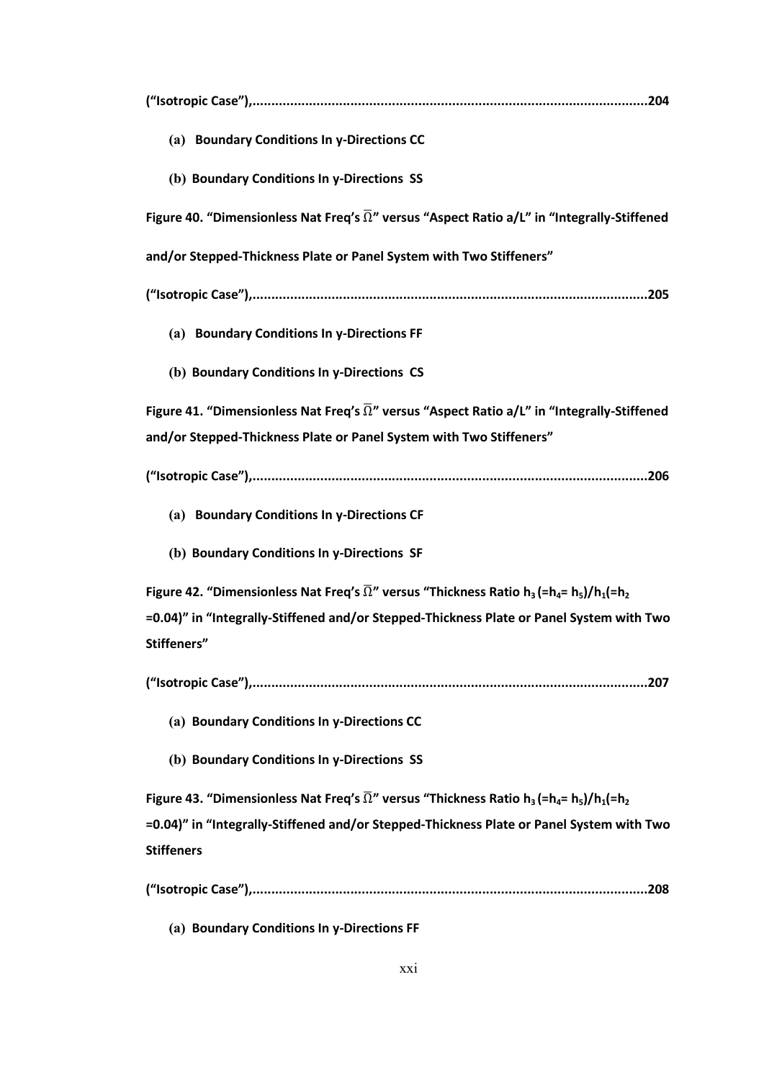| (a) Boundary Conditions In y-Directions CC                                                                                                                            |
|-----------------------------------------------------------------------------------------------------------------------------------------------------------------------|
| (b) Boundary Conditions In y-Directions SS                                                                                                                            |
| Figure 40. "Dimensionless Nat Freq's $\overline{\Omega}$ " versus "Aspect Ratio a/L" in "Integrally-Stiffened                                                         |
| and/or Stepped-Thickness Plate or Panel System with Two Stiffeners"                                                                                                   |
|                                                                                                                                                                       |
| (a) Boundary Conditions In y-Directions FF                                                                                                                            |
| (b) Boundary Conditions In y-Directions CS                                                                                                                            |
| Figure 41. "Dimensionless Nat Freq's $\overline{\Omega}$ " versus "Aspect Ratio a/L" in "Integrally-Stiffened                                                         |
| and/or Stepped-Thickness Plate or Panel System with Two Stiffeners"                                                                                                   |
|                                                                                                                                                                       |
| (a) Boundary Conditions In y-Directions CF                                                                                                                            |
| (b) Boundary Conditions In y-Directions SF                                                                                                                            |
| Figure 42. "Dimensionless Nat Freq's $\overline{\Omega}$ " versus "Thickness Ratio h <sub>3</sub> (=h <sub>4</sub> = h <sub>5</sub> )/h <sub>1</sub> (=h <sub>2</sub> |
| =0.04)" in "Integrally-Stiffened and/or Stepped-Thickness Plate or Panel System with Two                                                                              |
| Stiffeners"                                                                                                                                                           |
|                                                                                                                                                                       |
| (a) Boundary Conditions In y-Directions CC                                                                                                                            |
| (b) Boundary Conditions In y-Directions SS                                                                                                                            |
| Figure 43. "Dimensionless Nat Freq's $\overline{\Omega}$ " versus "Thickness Ratio h <sub>3</sub> (=h <sub>4</sub> = h <sub>5</sub> )/h <sub>1</sub> (=h <sub>2</sub> |
| =0.04)" in "Integrally-Stiffened and/or Stepped-Thickness Plate or Panel System with Two                                                                              |
| <b>Stiffeners</b>                                                                                                                                                     |
|                                                                                                                                                                       |

**(a) Boundary Conditions In y-Directions FF**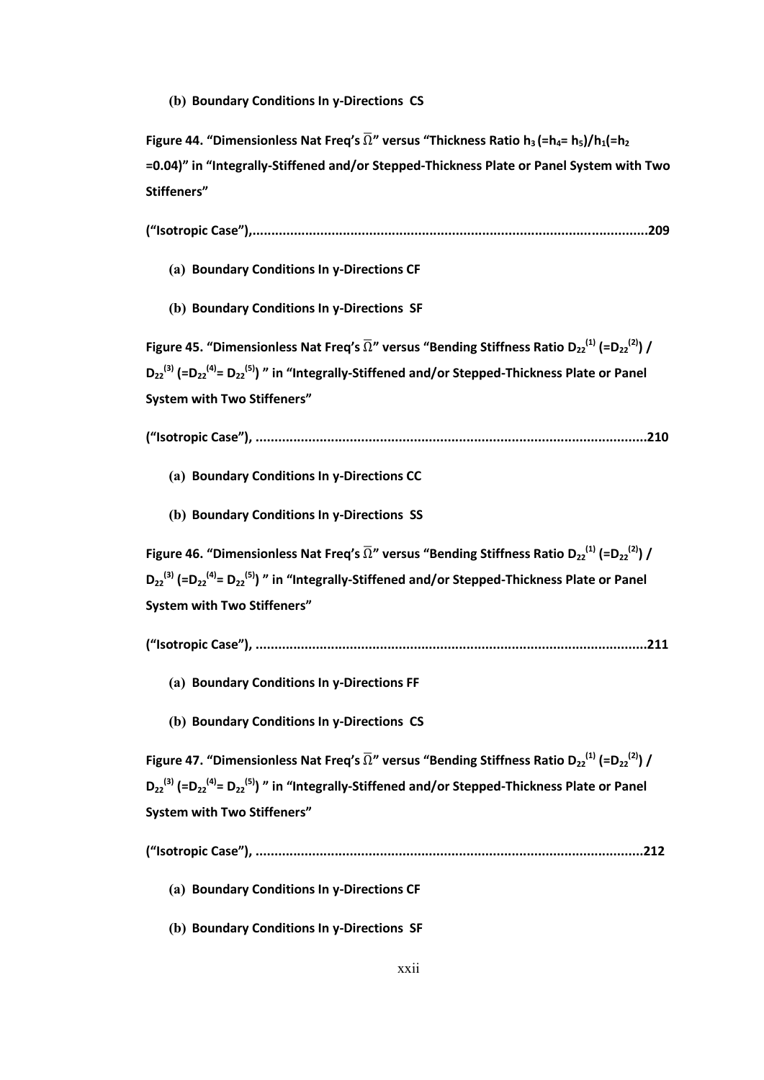**(b) Boundary Conditions In y-Directions CS**

**Figure 44.** "Dimensionless Nat Freq's  $\overline{\Omega}$ " versus "Thickness Ratio h<sub>3</sub> (=h<sub>4</sub>= h<sub>5</sub>)/h<sub>1</sub>(=h<sub>2</sub> **=0.04)" in "Integrally-Stiffened and/or Stepped-Thickness Plate or Panel System with Two Stiffeners"**

**("Isotropic Case"),.........................................................................................................209**

- **(a) Boundary Conditions In y-Directions CF**
- **(b) Boundary Conditions In y-Directions SF**

**Figure 45. "Dimensionless Nat Freq's**  $\overline{\Omega}$ **" versus "Bending Stiffness Ratio D<sub>22</sub><sup>(1)</sup> (=D<sub>22</sub><sup>(2)</sup>) / D**<sub>22</sub><sup>(3)</sup> (=D<sub>22</sub><sup>(4)</sup>= D<sub>22</sub><sup>(5)</sup>) " in "Integrally-Stiffened and/or Stepped-Thickness Plate or Panel **System with Two Stiffeners"**

**("Isotropic Case"), ........................................................................................................210**

- **(a) Boundary Conditions In y-Directions CC**
- **(b) Boundary Conditions In y-Directions SS**

**Figure 46. "Dimensionless Nat Freq's**  $\overline{\Omega}$ **" versus "Bending Stiffness Ratio D<sub>22</sub><sup>(1)</sup> (=D<sub>22</sub><sup>(2)</sup>) /** D<sub>22</sub><sup>(3)</sup> (=D<sub>22</sub><sup>(4)</sup>= D<sub>22</sub><sup>(5)</sup>) " in "Integrally-Stiffened and/or Stepped-Thickness Plate or Panel **System with Two Stiffeners"**

- **("Isotropic Case"), ........................................................................................................211**
	- **(a) Boundary Conditions In y-Directions FF**
	- **(b) Boundary Conditions In y-Directions CS**

**Figure 47. "Dimensionless Nat Freq's**  $\overline{\Omega}$ **" versus "Bending Stiffness Ratio D<sub>22</sub><sup>(1)</sup> (=D<sub>22</sub><sup>(2)</sup>) /** D<sub>22</sub><sup>(3)</sup> (=D<sub>22</sub><sup>(4)</sup>= D<sub>22</sub><sup>(5)</sup>) " in "Integrally-Stiffened and/or Stepped-Thickness Plate or Panel **System with Two Stiffeners"**

- **(a) Boundary Conditions In y-Directions CF**
- **(b) Boundary Conditions In y-Directions SF**

**<sup>(&</sup>quot;Isotropic Case"), .......................................................................................................212**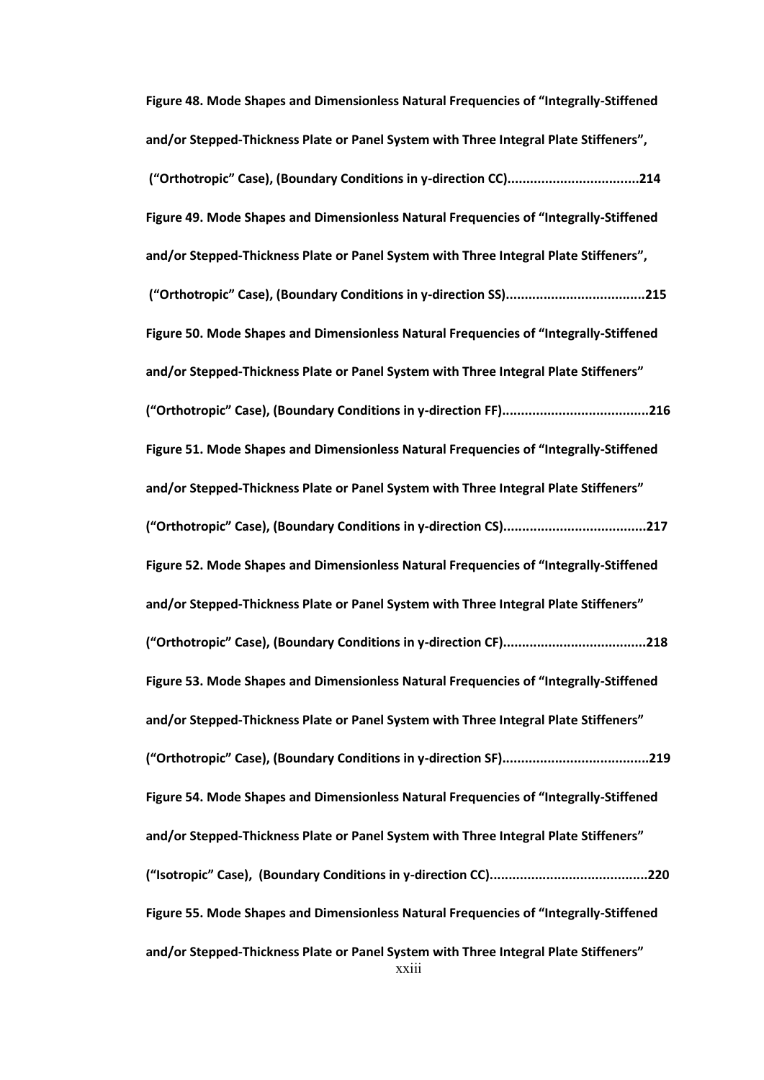xxiii **Figure 48. Mode Shapes and Dimensionless Natural Frequencies of "Integrally-Stiffened and/or Stepped-Thickness Plate or Panel System with Three Integral Plate Stiffeners", ("Orthotropic" Case), (Boundary Conditions in y-direction CC)...................................214 Figure 49. Mode Shapes and Dimensionless Natural Frequencies of "Integrally-Stiffened and/or Stepped-Thickness Plate or Panel System with Three Integral Plate Stiffeners", ("Orthotropic" Case), (Boundary Conditions in y-direction SS).....................................215 Figure 50. Mode Shapes and Dimensionless Natural Frequencies of "Integrally-Stiffened and/or Stepped-Thickness Plate or Panel System with Three Integral Plate Stiffeners" ("Orthotropic" Case), (Boundary Conditions in y-direction FF).......................................216 Figure 51. Mode Shapes and Dimensionless Natural Frequencies of "Integrally-Stiffened and/or Stepped-Thickness Plate or Panel System with Three Integral Plate Stiffeners" ("Orthotropic" Case), (Boundary Conditions in y-direction CS)......................................217 Figure 52. Mode Shapes and Dimensionless Natural Frequencies of "Integrally-Stiffened and/or Stepped-Thickness Plate or Panel System with Three Integral Plate Stiffeners" ("Orthotropic" Case), (Boundary Conditions in y-direction CF)......................................218 Figure 53. Mode Shapes and Dimensionless Natural Frequencies of "Integrally-Stiffened and/or Stepped-Thickness Plate or Panel System with Three Integral Plate Stiffeners" ("Orthotropic" Case), (Boundary Conditions in y-direction SF).......................................219 Figure 54. Mode Shapes and Dimensionless Natural Frequencies of "Integrally-Stiffened and/or Stepped-Thickness Plate or Panel System with Three Integral Plate Stiffeners" ("Isotropic" Case), (Boundary Conditions in y-direction CC)..........................................220 Figure 55. Mode Shapes and Dimensionless Natural Frequencies of "Integrally-Stiffened and/or Stepped-Thickness Plate or Panel System with Three Integral Plate Stiffeners"**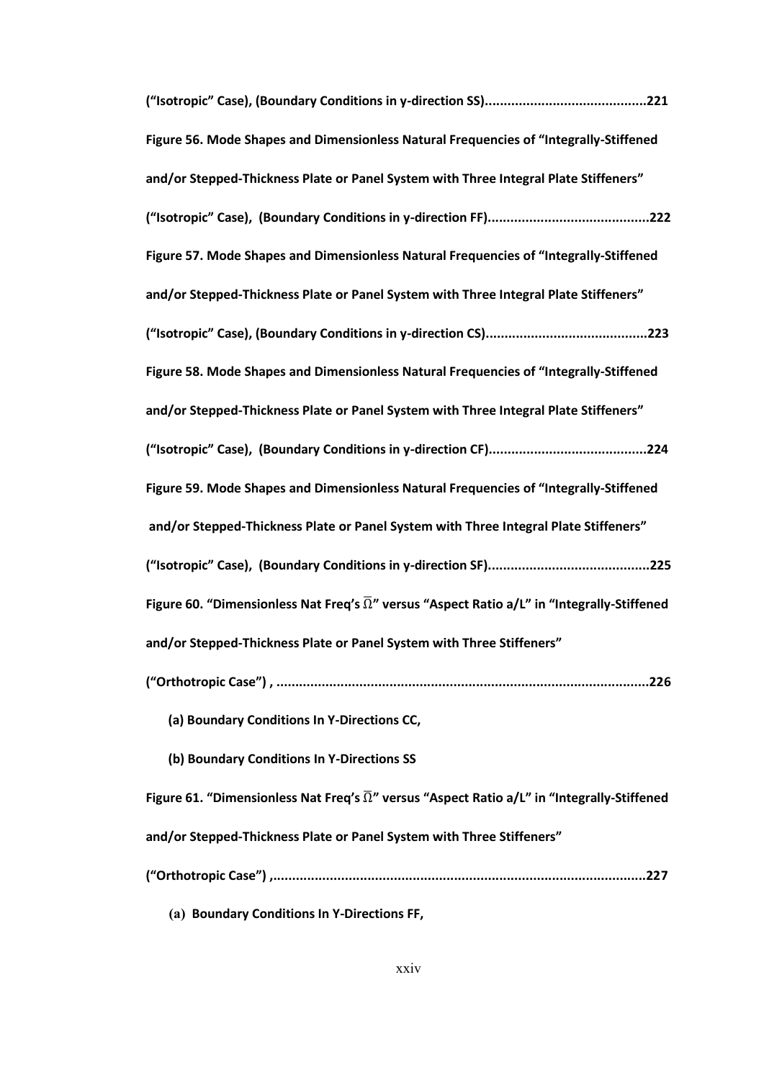| Figure 56. Mode Shapes and Dimensionless Natural Frequencies of "Integrally-Stiffened                         |
|---------------------------------------------------------------------------------------------------------------|
| and/or Stepped-Thickness Plate or Panel System with Three Integral Plate Stiffeners"                          |
|                                                                                                               |
| Figure 57. Mode Shapes and Dimensionless Natural Frequencies of "Integrally-Stiffened                         |
| and/or Stepped-Thickness Plate or Panel System with Three Integral Plate Stiffeners"                          |
|                                                                                                               |
| Figure 58. Mode Shapes and Dimensionless Natural Frequencies of "Integrally-Stiffened                         |
| and/or Stepped-Thickness Plate or Panel System with Three Integral Plate Stiffeners"                          |
|                                                                                                               |
| Figure 59. Mode Shapes and Dimensionless Natural Frequencies of "Integrally-Stiffened                         |
| and/or Stepped-Thickness Plate or Panel System with Three Integral Plate Stiffeners"                          |
|                                                                                                               |
| Figure 60. "Dimensionless Nat Freq's $\overline{\Omega}$ " versus "Aspect Ratio a/L" in "Integrally-Stiffened |
| and/or Stepped-Thickness Plate or Panel System with Three Stiffeners"                                         |
|                                                                                                               |
| (a) Boundary Conditions In Y-Directions CC,                                                                   |
| (b) Boundary Conditions In Y-Directions SS                                                                    |
| Figure 61. "Dimensionless Nat Freq's $\overline{\Omega}$ " versus "Aspect Ratio a/L" in "Integrally-Stiffened |
| and/or Stepped-Thickness Plate or Panel System with Three Stiffeners"                                         |
|                                                                                                               |

**(a) Boundary Conditions In Y-Directions FF,**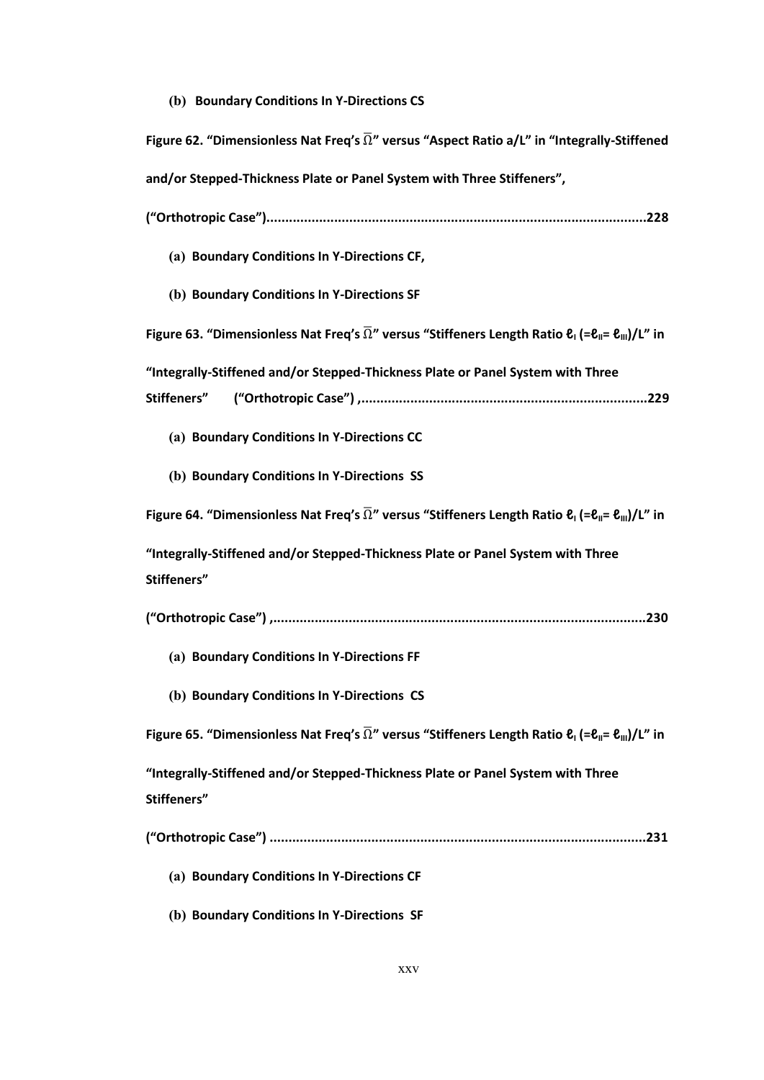**(b) Boundary Conditions In Y-Directions CS**

| Figure 62. "Dimensionless Nat Freq's $\overline{\Omega}$ " versus "Aspect Ratio a/L" in "Integrally-Stiffened                                          |
|--------------------------------------------------------------------------------------------------------------------------------------------------------|
| and/or Stepped-Thickness Plate or Panel System with Three Stiffeners",                                                                                 |
|                                                                                                                                                        |
| (a) Boundary Conditions In Y-Directions CF,                                                                                                            |
| (b) Boundary Conditions In Y-Directions SF                                                                                                             |
| Figure 63. "Dimensionless Nat Freq's $\overline{\Omega}$ " versus "Stiffeners Length Ratio $\ell_1$ (= $\ell_{\parallel}$ = $\ell_{\parallel}$ )/L" in |
| "Integrally-Stiffened and/or Stepped-Thickness Plate or Panel System with Three                                                                        |
| Stiffeners"                                                                                                                                            |
| (a) Boundary Conditions In Y-Directions CC                                                                                                             |
| (b) Boundary Conditions In Y-Directions SS                                                                                                             |
| Figure 64. "Dimensionless Nat Freq's $\overline{\Omega}$ " versus "Stiffeners Length Ratio $\ell_1$ (= $\ell_{\parallel}$ = $\ell_{\parallel}$ )/L" in |
| "Integrally-Stiffened and/or Stepped-Thickness Plate or Panel System with Three<br>Stiffeners"                                                         |
|                                                                                                                                                        |
| (a) Boundary Conditions In Y-Directions FF                                                                                                             |
| (b) Boundary Conditions In Y-Directions CS                                                                                                             |
| Figure 65. "Dimensionless Nat Freq's $\overline{\Omega}$ " versus "Stiffeners Length Ratio $\ell_1$ (= $\ell_{\parallel}$ = $\ell_{\parallel}$ )/L" in |
| "Integrally-Stiffened and/or Stepped-Thickness Plate or Panel System with Three                                                                        |
| Stiffeners"                                                                                                                                            |
|                                                                                                                                                        |
| (a) Boundary Conditions In Y-Directions CF                                                                                                             |
| (b) Boundary Conditions In Y-Directions SF                                                                                                             |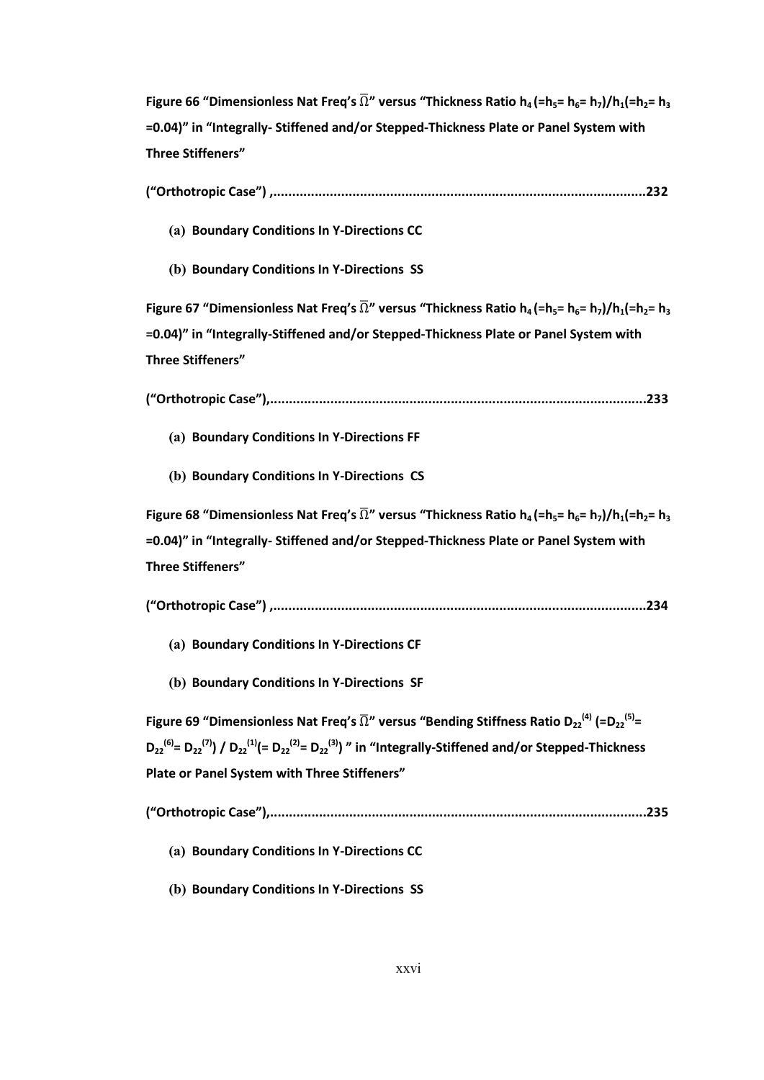**Figure 66 "Dimensionless Nat Freq's**  $\overline{\Omega}$ **" versus "Thickness Ratio**  $h_4$  **(=** $h_5$ **=**  $h_6$ **=**  $h_7$ **)/** $h_1$ **(=** $h_2$ **=**  $h_3$ **=0.04)" in "Integrally- Stiffened and/or Stepped-Thickness Plate or Panel System with Three Stiffeners"**

| ("Orthotropic Case") ,……………………………………………………………………………………232 |  |
|-----------------------------------------------------------|--|
|                                                           |  |

**(a) Boundary Conditions In Y-Directions CC**

**(b) Boundary Conditions In Y-Directions SS**

**Figure 67** "Dimensionless Nat Freq's  $\overline{\Omega}$ " versus "Thickness Ratio  $h_4$  (=h<sub>5</sub>=  $h_6$ =  $h_7$ )/ $h_1$ (=h<sub>2</sub>=  $h_3$ **=0.04)" in "Integrally-Stiffened and/or Stepped-Thickness Plate or Panel System with Three Stiffeners"**

**("Orthotropic Case"),....................................................................................................233**

- **(a) Boundary Conditions In Y-Directions FF**
- **(b) Boundary Conditions In Y-Directions CS**

**Figure 68 "Dimensionless Nat Freq's**  $\overline{\Omega}$ **" versus "Thickness Ratio**  $h_4$  **(=h<sub>5</sub>=**  $h_5$ **=**  $h_7$ **)/** $h_1$ **(=h<sub>2</sub>=**  $h_3$ **=0.04)" in "Integrally- Stiffened and/or Stepped-Thickness Plate or Panel System with Three Stiffeners"**

**("Orthotropic Case") ,...................................................................................................234**

- **(a) Boundary Conditions In Y-Directions CF**
- **(b) Boundary Conditions In Y-Directions SF**

**Figure 69 "Dimensionless Nat Freq's**  $\overline{\Omega}$ **" versus "Bending Stiffness Ratio D<sub>22</sub><sup>(4)</sup> (=D<sub>22</sub><sup>(5)</sup>=**  $D_{22}^{(6)} = D_{22}^{(7)}$  /  $D_{22}^{(1)} (= D_{22}^{(2)} = D_{22}^{(3)})$  " in "Integrally-Stiffened and/or Stepped-Thickness **Plate or Panel System with Three Stiffeners"**

**("Orthotropic Case"),....................................................................................................235**

- **(a) Boundary Conditions In Y-Directions CC**
- **(b) Boundary Conditions In Y-Directions SS**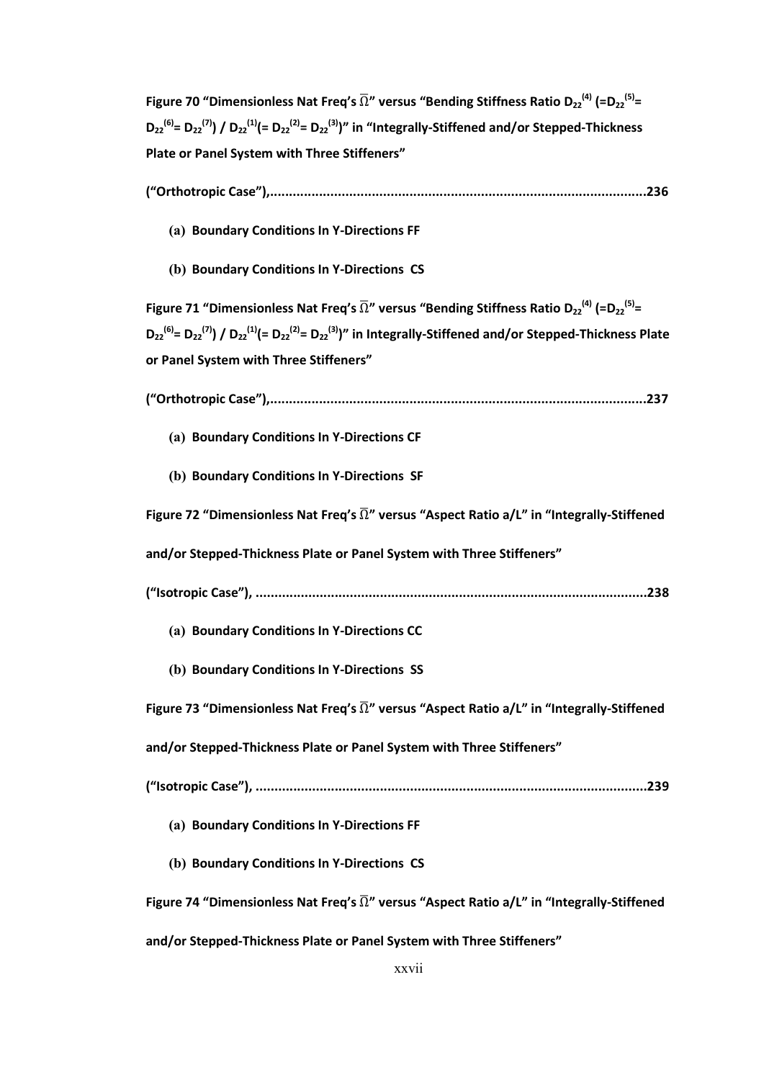**Figure 70 "Dimensionless Nat Freq's**  $\overline{\Omega}$ **" versus "Bending Stiffness Ratio D<sub>22</sub><sup>(4)</sup> (=D<sub>22</sub><sup>(5)</sup>=**  $D_{22}^{(6)} = D_{22}^{(7)}$  /  $D_{22}^{(1)} (= D_{22}^{(2)} = D_{22}^{(3)})''$  in "Integrally-Stiffened and/or Stepped-Thickness **Plate or Panel System with Three Stiffeners"**

- **("Orthotropic Case"),....................................................................................................236**
	- **(a) Boundary Conditions In Y-Directions FF**
	- **(b) Boundary Conditions In Y-Directions CS**

**Figure 71 "Dimensionless Nat Freq's**  $\overline{\Omega}$ **" versus "Bending Stiffness Ratio D<sub>22</sub><sup>(4)</sup> (=D<sub>22</sub><sup>(5)</sup>=**  $D_{22}^{(6)} = D_{22}^{(7)}$  /  $D_{22}^{(1)} (= D_{22}^{(2)} = D_{22}^{(3)})''$  in Integrally-Stiffened and/or Stepped-Thickness Plate **or Panel System with Three Stiffeners"**

- **("Orthotropic Case"),....................................................................................................237**
	- **(a) Boundary Conditions In Y-Directions CF**
	- **(b) Boundary Conditions In Y-Directions SF**

Figure 72 "Dimensionless Nat Freq's  $\overline{\Omega}$ " versus "Aspect Ratio a/L" in "Integrally-Stiffened

**and/or Stepped-Thickness Plate or Panel System with Three Stiffeners"**

- **("Isotropic Case"), ........................................................................................................238**
	- **(a) Boundary Conditions In Y-Directions CC**
	- **(b) Boundary Conditions In Y-Directions SS**

**Figure 73 "Dimensionless Nat Freq's** Ω **" versus "Aspect Ratio a/L" in "Integrally-Stiffened** 

**and/or Stepped-Thickness Plate or Panel System with Three Stiffeners"**

```
("Isotropic Case"), ........................................................................................................239
```
- **(a) Boundary Conditions In Y-Directions FF**
- **(b) Boundary Conditions In Y-Directions CS**

Figure 74 "Dimensionless Nat Freq's  $\overline{\Omega}$ " versus "Aspect Ratio a/L" in "Integrally-Stiffened

**and/or Stepped-Thickness Plate or Panel System with Three Stiffeners"**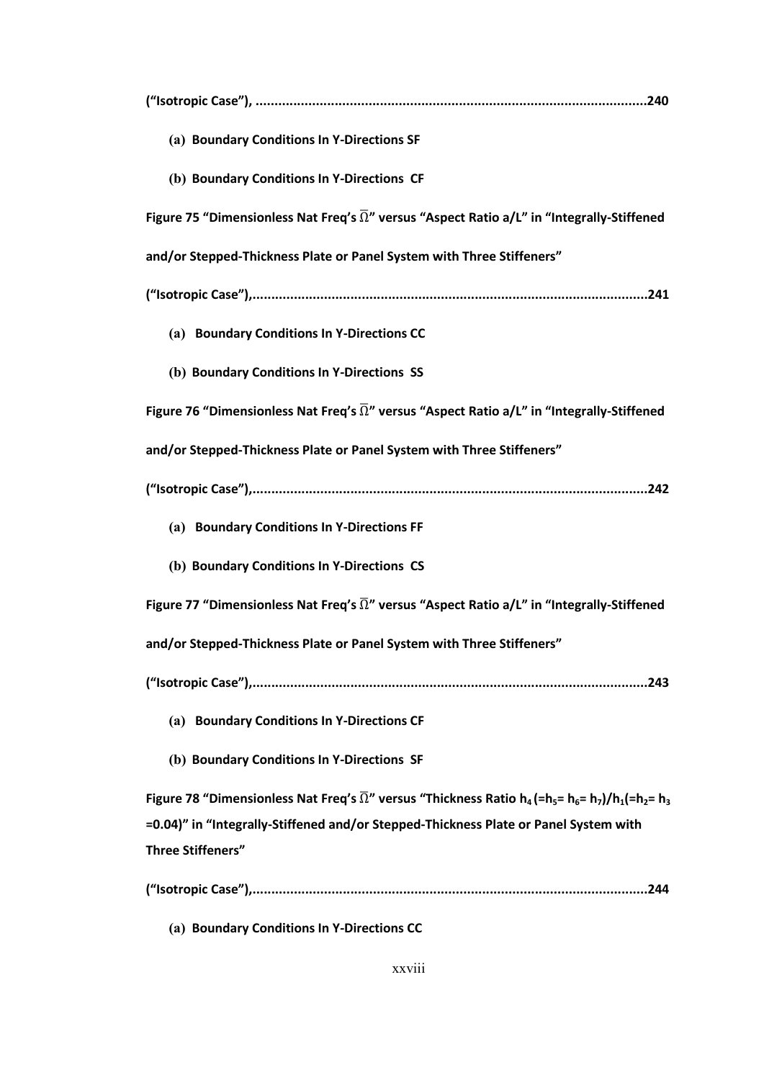| (a) Boundary Conditions In Y-Directions SF                                                                                                                                                               |
|----------------------------------------------------------------------------------------------------------------------------------------------------------------------------------------------------------|
| (b) Boundary Conditions In Y-Directions CF                                                                                                                                                               |
| Figure 75 "Dimensionless Nat Freq's $\overline{\Omega}$ " versus "Aspect Ratio a/L" in "Integrally-Stiffened                                                                                             |
| and/or Stepped-Thickness Plate or Panel System with Three Stiffeners"                                                                                                                                    |
|                                                                                                                                                                                                          |
| (a) Boundary Conditions In Y-Directions CC                                                                                                                                                               |
| (b) Boundary Conditions In Y-Directions SS                                                                                                                                                               |
| Figure 76 "Dimensionless Nat Freq's $\overline{\Omega}$ " versus "Aspect Ratio a/L" in "Integrally-Stiffened                                                                                             |
| and/or Stepped-Thickness Plate or Panel System with Three Stiffeners"                                                                                                                                    |
|                                                                                                                                                                                                          |
|                                                                                                                                                                                                          |
| (a) Boundary Conditions In Y-Directions FF                                                                                                                                                               |
| (b) Boundary Conditions In Y-Directions CS                                                                                                                                                               |
| Figure 77 "Dimensionless Nat Freq's $\overline{\Omega}$ " versus "Aspect Ratio a/L" in "Integrally-Stiffened                                                                                             |
| and/or Stepped-Thickness Plate or Panel System with Three Stiffeners"                                                                                                                                    |
|                                                                                                                                                                                                          |
| (a) Boundary Conditions In Y-Directions CF                                                                                                                                                               |
| (b) Boundary Conditions In Y-Directions SF                                                                                                                                                               |
| Figure 78 "Dimensionless Nat Freq's $\overline{\Omega}$ " versus "Thickness Ratio h <sub>4</sub> (=h <sub>5</sub> = h <sub>6</sub> = h <sub>7</sub> )/h <sub>1</sub> (=h <sub>2</sub> = h <sub>3</sub> ) |
| =0.04)" in "Integrally-Stiffened and/or Stepped-Thickness Plate or Panel System with                                                                                                                     |
| <b>Three Stiffeners"</b>                                                                                                                                                                                 |

**(a) Boundary Conditions In Y-Directions CC**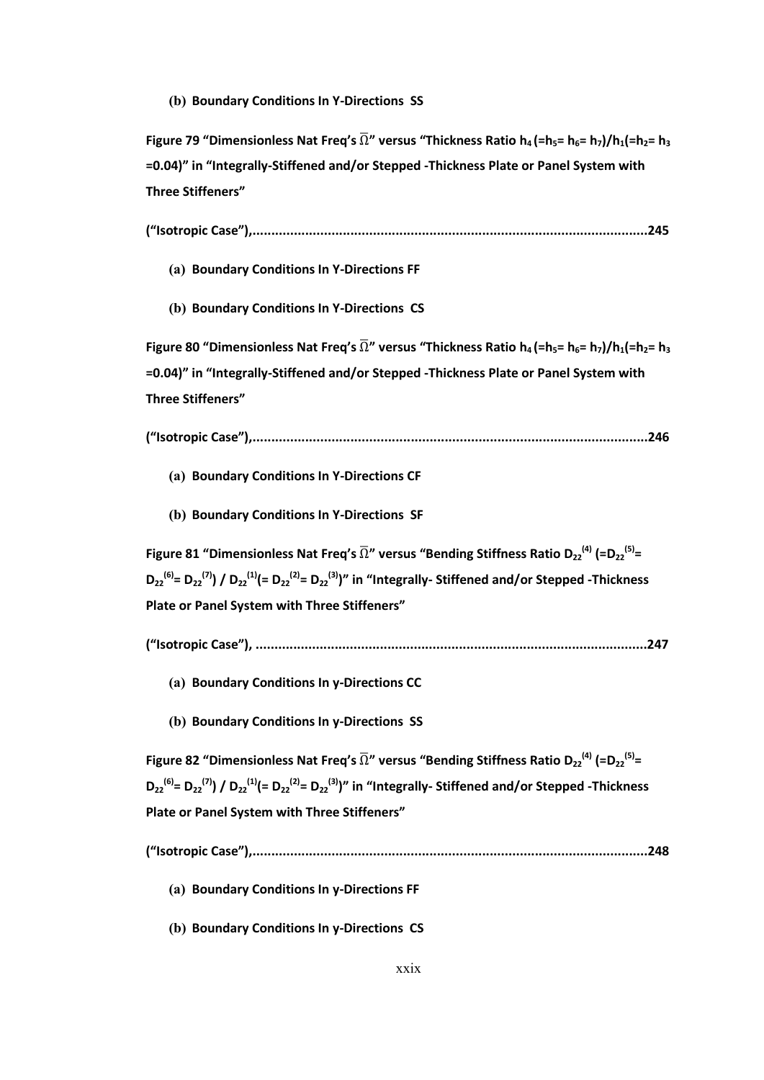#### **(b) Boundary Conditions In Y-Directions SS**

**Figure 79** "Dimensionless Nat Freq's  $\overline{\Omega}$ " versus "Thickness Ratio  $h_4$  (=h<sub>5</sub>=  $h_5$ =  $h_7$ )/ $h_1$ (=h<sub>2</sub>=  $h_3$ **=0.04)" in "Integrally-Stiffened and/or Stepped -Thickness Plate or Panel System with Three Stiffeners"**

- **("Isotropic Case"),.........................................................................................................245**
	- **(a) Boundary Conditions In Y-Directions FF**
	- **(b) Boundary Conditions In Y-Directions CS**

**Figure 80** "Dimensionless Nat Freq's  $\overline{\Omega}$ " versus "Thickness Ratio  $h_4$  (= $h_5$ =  $h_6$ =  $h_7$ )/ $h_1$ (= $h_2$ =  $h_3$ **=0.04)" in "Integrally-Stiffened and/or Stepped -Thickness Plate or Panel System with Three Stiffeners"**

**("Isotropic Case"),.........................................................................................................246**

- **(a) Boundary Conditions In Y-Directions CF**
- **(b) Boundary Conditions In Y-Directions SF**

**Figure 81 "Dimensionless Nat Freq's**  $\overline{\Omega}$ **" versus "Bending Stiffness Ratio D<sub>22</sub><sup>(4)</sup> (=D<sub>22</sub><sup>(5)</sup>=**  $D_{22}^{(6)} = D_{22}^{(7)}$  /  $D_{22}^{(1)} (= D_{22}^{(2)} = D_{22}^{(3)})''$  in "Integrally- Stiffened and/or Stepped -Thickness **Plate or Panel System with Three Stiffeners"**

- **("Isotropic Case"), ........................................................................................................247**
	- **(a) Boundary Conditions In y-Directions CC**
	- **(b) Boundary Conditions In y-Directions SS**

**Figure 82 "Dimensionless Nat Freq's**  $\overline{\Omega}$ **" versus "Bending Stiffness Ratio D<sub>22</sub><sup>(4)</sup> (=D<sub>22</sub><sup>(5)</sup>=**  $D_{22}^{(6)} = D_{22}^{(7)}$  /  $D_{22}^{(1)} (= D_{22}^{(2)} = D_{22}^{(3)})''$  in "Integrally- Stiffened and/or Stepped -Thickness **Plate or Panel System with Three Stiffeners"**

**("Isotropic Case"),.........................................................................................................248**

- **(a) Boundary Conditions In y-Directions FF**
- **(b) Boundary Conditions In y-Directions CS**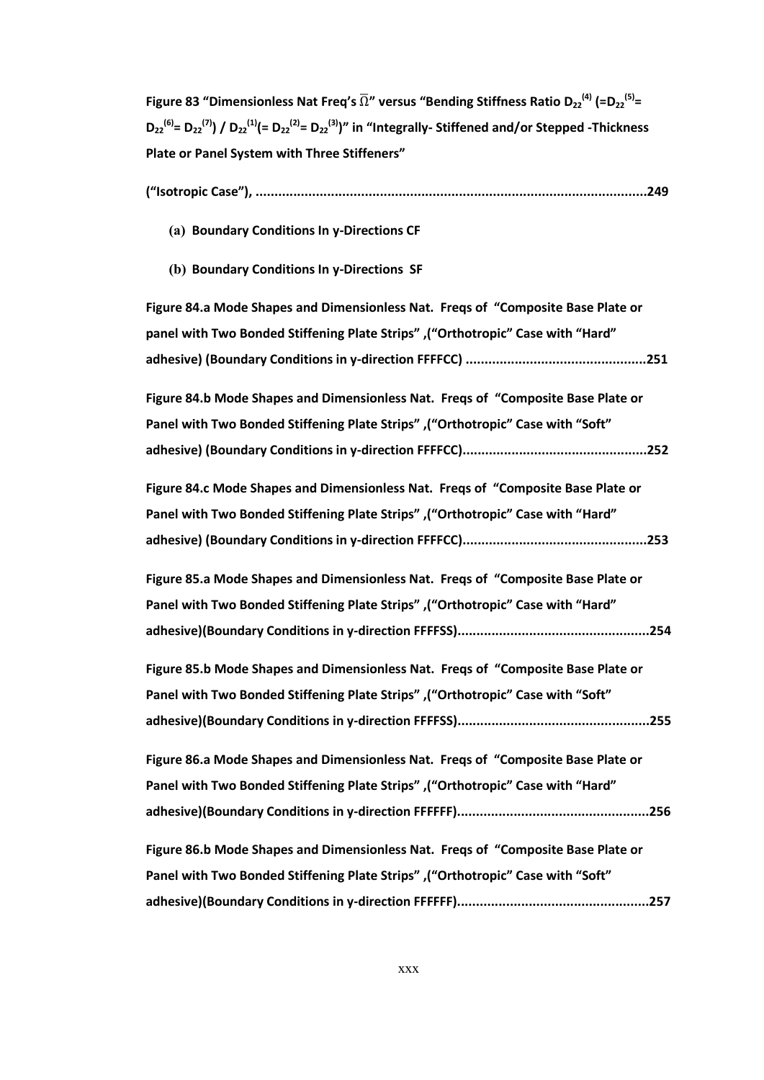**Figure 83 "Dimensionless Nat Freq's**  $\overline{\Omega}$ **" versus "Bending Stiffness Ratio D<sub>22</sub><sup>(4)</sup> (=D<sub>22</sub><sup>(5)</sup>=**  $D_{22}^{(6)} = D_{22}^{(7)}$  /  $D_{22}^{(1)} (= D_{22}^{(2)} = D_{22}^{(3)})''$  in "Integrally- Stiffened and/or Stepped -Thickness **Plate or Panel System with Three Stiffeners"**

|--|--|--|

- **(a) Boundary Conditions In y-Directions CF**
- **(b) Boundary Conditions In y-Directions SF**

| Figure 84.a Mode Shapes and Dimensionless Nat. Freqs of "Composite Base Plate or |  |
|----------------------------------------------------------------------------------|--|
| panel with Two Bonded Stiffening Plate Strips" , "Orthotropic" Case with "Hard"  |  |
|                                                                                  |  |
| Figure 84.b Mode Shapes and Dimensionless Nat. Freqs of "Composite Base Plate or |  |
| Panel with Two Bonded Stiffening Plate Strips", "Orthotropic" Case with "Soft"   |  |
|                                                                                  |  |
| Figure 84.c Mode Shapes and Dimensionless Nat. Freqs of "Composite Base Plate or |  |
| Panel with Two Bonded Stiffening Plate Strips", "Orthotropic" Case with "Hard"   |  |
|                                                                                  |  |
| Figure 85.a Mode Shapes and Dimensionless Nat. Freqs of "Composite Base Plate or |  |
| Panel with Two Bonded Stiffening Plate Strips", ("Orthotropic" Case with "Hard"  |  |
|                                                                                  |  |
| Figure 85.b Mode Shapes and Dimensionless Nat. Freqs of "Composite Base Plate or |  |
| Panel with Two Bonded Stiffening Plate Strips", "Orthotropic" Case with "Soft"   |  |
|                                                                                  |  |
| Figure 86.a Mode Shapes and Dimensionless Nat. Freqs of "Composite Base Plate or |  |
| Panel with Two Bonded Stiffening Plate Strips", ("Orthotropic" Case with "Hard"  |  |
|                                                                                  |  |
| Figure 86.b Mode Shapes and Dimensionless Nat. Freqs of "Composite Base Plate or |  |
| Panel with Two Bonded Stiffening Plate Strips", "Orthotropic" Case with "Soft"   |  |
|                                                                                  |  |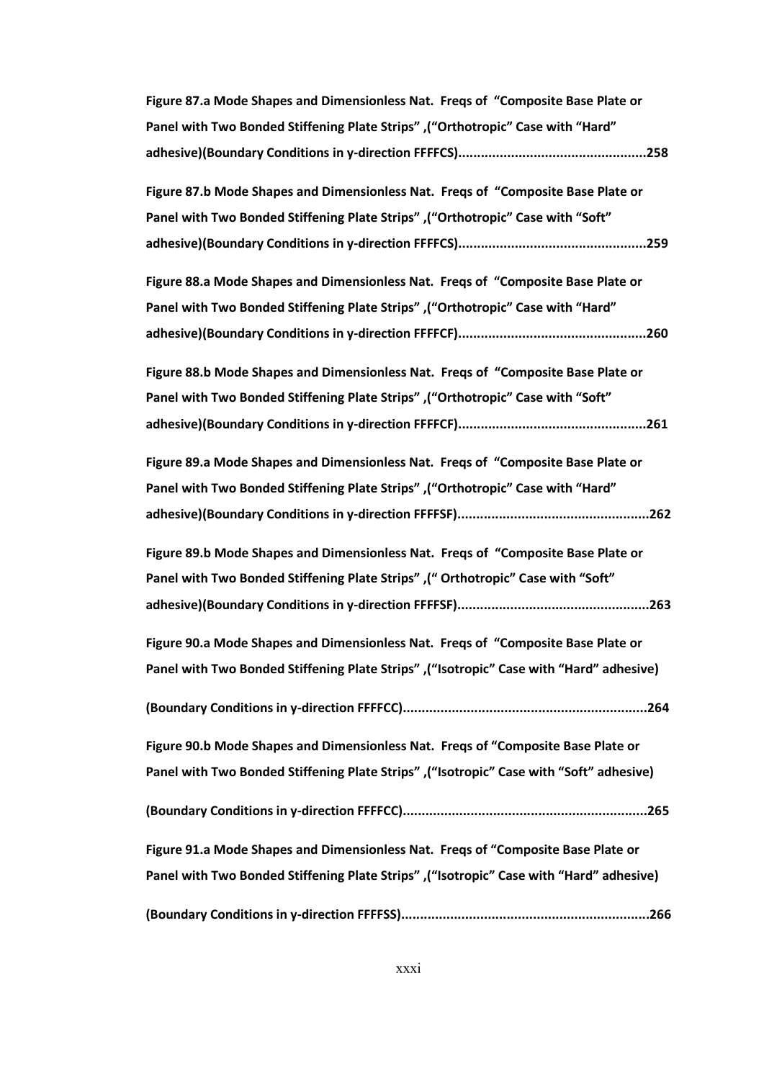| Figure 87.a Mode Shapes and Dimensionless Nat. Fregs of "Composite Base Plate or |  |
|----------------------------------------------------------------------------------|--|
| Panel with Two Bonded Stiffening Plate Strips", "Orthotropic" Case with "Hard"   |  |
| adhesive)(Boundary Conditions in y-direction FFFFCS)……………………………………………258         |  |

**Figure 87.b Mode Shapes and Dimensionless Nat. Freqs of "Composite Base Plate or Panel with Two Bonded Stiffening Plate Strips" ,("Orthotropic" Case with "Soft" adhesive)(Boundary Conditions in y-direction FFFFCS)..................................................259**

**Figure 88.a Mode Shapes and Dimensionless Nat. Freqs of "Composite Base Plate or Panel with Two Bonded Stiffening Plate Strips" ,("Orthotropic" Case with "Hard" adhesive)(Boundary Conditions in y-direction FFFFCF)..................................................260**

**Figure 88.b Mode Shapes and Dimensionless Nat. Freqs of "Composite Base Plate or Panel with Two Bonded Stiffening Plate Strips" ,("Orthotropic" Case with "Soft" adhesive)(Boundary Conditions in y-direction FFFFCF)..................................................261**

**Figure 89.a Mode Shapes and Dimensionless Nat. Freqs of "Composite Base Plate or Panel with Two Bonded Stiffening Plate Strips" ,("Orthotropic" Case with "Hard" adhesive)(Boundary Conditions in y-direction FFFFSF)...................................................262**

**Figure 89.b Mode Shapes and Dimensionless Nat. Freqs of "Composite Base Plate or Panel with Two Bonded Stiffening Plate Strips" ,(" Orthotropic" Case with "Soft" adhesive)(Boundary Conditions in y-direction FFFFSF)...................................................263**

**Figure 90.a Mode Shapes and Dimensionless Nat. Freqs of "Composite Base Plate or Panel with Two Bonded Stiffening Plate Strips" ,("Isotropic" Case with "Hard" adhesive)**

**(Boundary Conditions in y-direction FFFFCC).................................................................264**

**Figure 90.b Mode Shapes and Dimensionless Nat. Freqs of "Composite Base Plate or Panel with Two Bonded Stiffening Plate Strips" ,("Isotropic" Case with "Soft" adhesive)**

**(Boundary Conditions in y-direction FFFFCC).................................................................265**

**Figure 91.a Mode Shapes and Dimensionless Nat. Freqs of "Composite Base Plate or Panel with Two Bonded Stiffening Plate Strips" ,("Isotropic" Case with "Hard" adhesive)**

**(Boundary Conditions in y-direction FFFFSS)..................................................................266**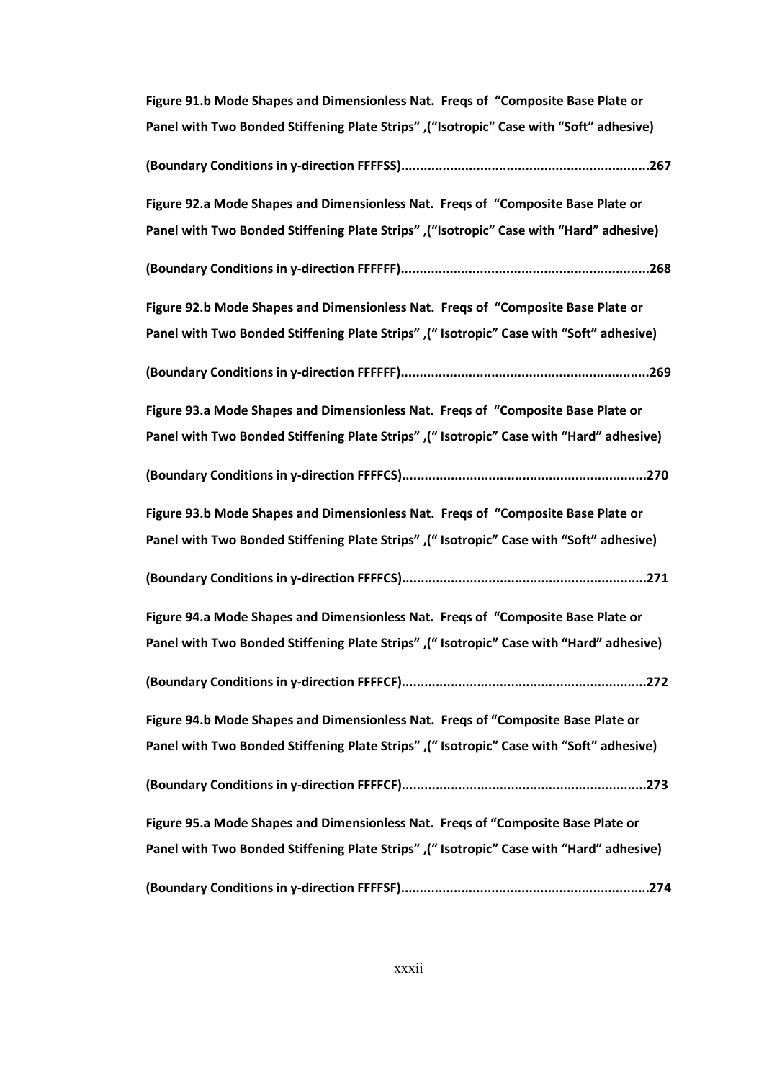| Figure 91.b Mode Shapes and Dimensionless Nat. Freqs of "Composite Base Plate or         |
|------------------------------------------------------------------------------------------|
| Panel with Two Bonded Stiffening Plate Strips", "Isotropic" Case with "Soft" adhesive)   |
|                                                                                          |
| Figure 92.a Mode Shapes and Dimensionless Nat. Freqs of "Composite Base Plate or         |
| Panel with Two Bonded Stiffening Plate Strips", "Isotropic" Case with "Hard" adhesive)   |
|                                                                                          |
| Figure 92.b Mode Shapes and Dimensionless Nat. Freqs of "Composite Base Plate or         |
| Panel with Two Bonded Stiffening Plate Strips" ,(" Isotropic" Case with "Soft" adhesive) |
|                                                                                          |
| Figure 93.a Mode Shapes and Dimensionless Nat. Freqs of "Composite Base Plate or         |
| Panel with Two Bonded Stiffening Plate Strips", "Isotropic" Case with "Hard" adhesive)   |
|                                                                                          |
| Figure 93.b Mode Shapes and Dimensionless Nat. Freqs of "Composite Base Plate or         |
| Panel with Two Bonded Stiffening Plate Strips", "Isotropic" Case with "Soft" adhesive)   |
|                                                                                          |
| Figure 94.a Mode Shapes and Dimensionless Nat. Freqs of "Composite Base Plate or         |
| Panel with Two Bonded Stiffening Plate Strips", "Isotropic" Case with "Hard" adhesive)   |
|                                                                                          |
| Figure 94.b Mode Shapes and Dimensionless Nat. Freqs of "Composite Base Plate or         |
| Panel with Two Bonded Stiffening Plate Strips", "Isotropic" Case with "Soft" adhesive)   |
|                                                                                          |
| Figure 95.a Mode Shapes and Dimensionless Nat. Freqs of "Composite Base Plate or         |
| Panel with Two Bonded Stiffening Plate Strips" ,(" Isotropic" Case with "Hard" adhesive) |
|                                                                                          |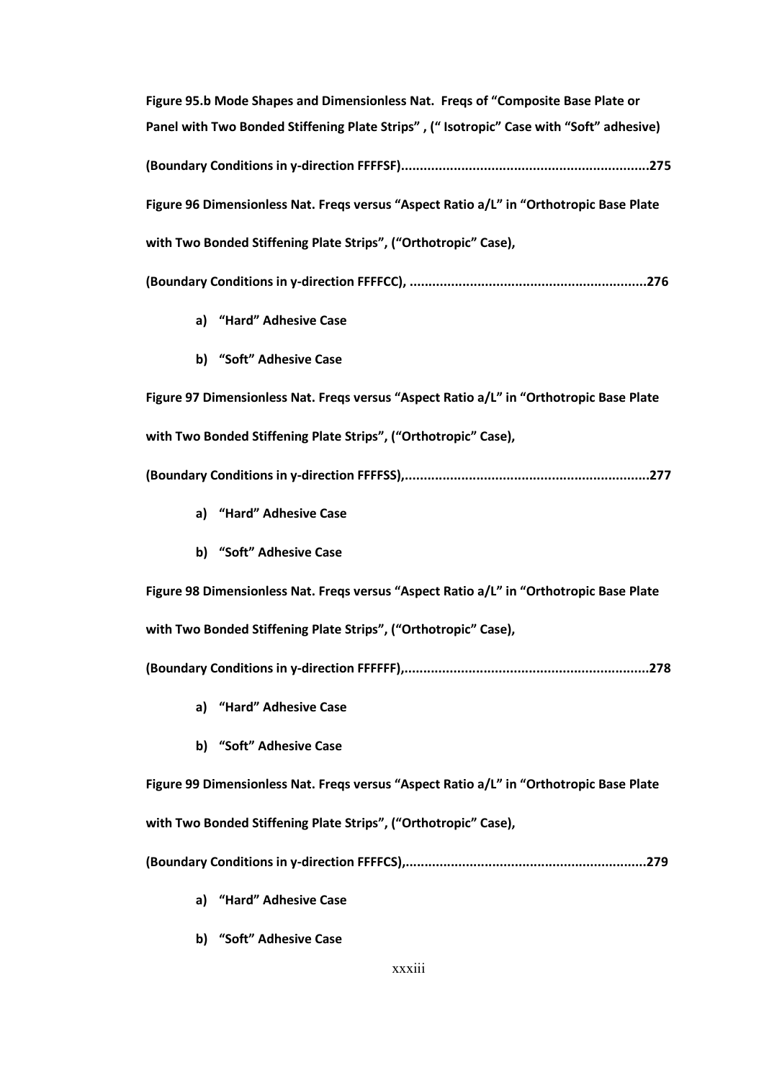**Figure 95.b Mode Shapes and Dimensionless Nat. Freqs of "Composite Base Plate or Panel with Two Bonded Stiffening Plate Strips" , (" Isotropic" Case with "Soft" adhesive) (Boundary Conditions in y-direction FFFFSF)..................................................................275 Figure 96 Dimensionless Nat. Freqs versus "Aspect Ratio a/L" in "Orthotropic Base Plate with Two Bonded Stiffening Plate Strips", ("Orthotropic" Case), (Boundary Conditions in y-direction FFFFCC), ...............................................................276 a) "Hard" Adhesive Case b) "Soft" Adhesive Case Figure 97 Dimensionless Nat. Freqs versus "Aspect Ratio a/L" in "Orthotropic Base Plate with Two Bonded Stiffening Plate Strips", ("Orthotropic" Case), (Boundary Conditions in y-direction FFFFSS),.................................................................277 a) "Hard" Adhesive Case b) "Soft" Adhesive Case Figure 98 Dimensionless Nat. Freqs versus "Aspect Ratio a/L" in "Orthotropic Base Plate with Two Bonded Stiffening Plate Strips", ("Orthotropic" Case), (Boundary Conditions in y-direction FFFFFF),.................................................................278 a) "Hard" Adhesive Case b) "Soft" Adhesive Case Figure 99 Dimensionless Nat. Freqs versus "Aspect Ratio a/L" in "Orthotropic Base Plate with Two Bonded Stiffening Plate Strips", ("Orthotropic" Case), (Boundary Conditions in y-direction FFFFCS),................................................................279 a) "Hard" Adhesive Case**

**b) "Soft" Adhesive Case**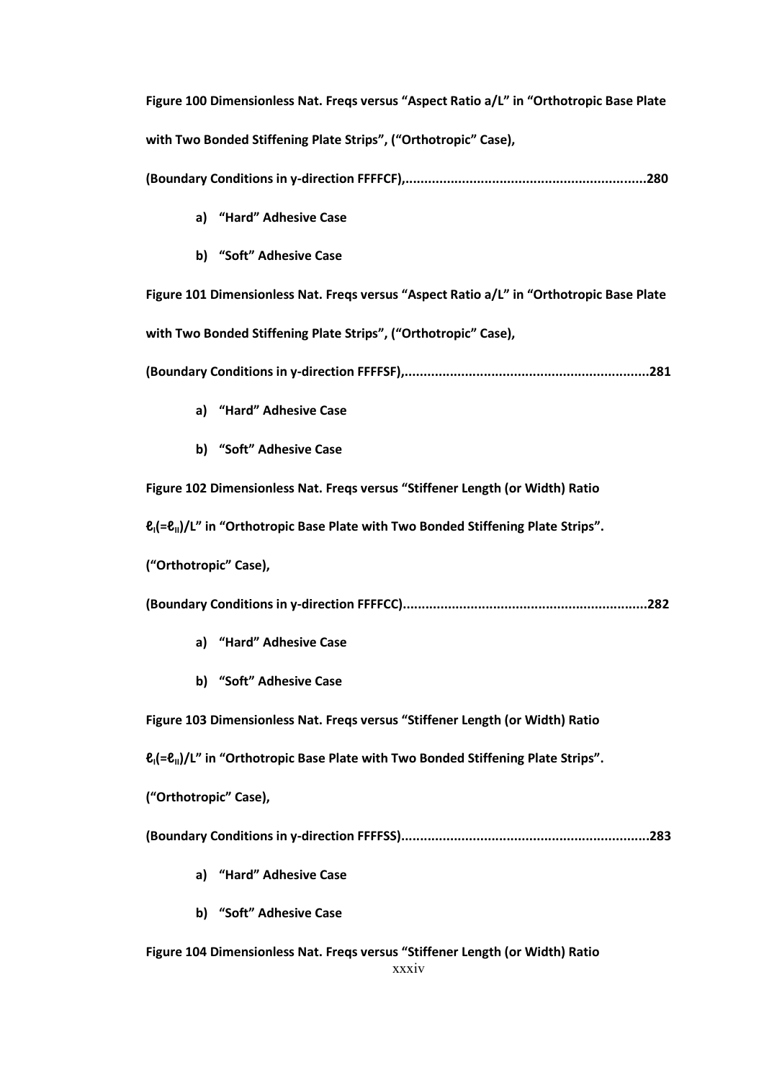**Figure 100 Dimensionless Nat. Freqs versus "Aspect Ratio a/L" in "Orthotropic Base Plate with Two Bonded Stiffening Plate Strips", ("Orthotropic" Case),**

**(Boundary Conditions in y-direction FFFFCF),................................................................280**

- **a) "Hard" Adhesive Case**
- **b) "Soft" Adhesive Case**

**Figure 101 Dimensionless Nat. Freqs versus "Aspect Ratio a/L" in "Orthotropic Base Plate with Two Bonded Stiffening Plate Strips", ("Orthotropic" Case),**

**(Boundary Conditions in y-direction FFFFSF),.................................................................281**

- **a) "Hard" Adhesive Case**
- **b) "Soft" Adhesive Case**

**Figure 102 Dimensionless Nat. Freqs versus "Stiffener Length (or Width) Ratio** 

**ℓI(=ℓII)/L" in "Orthotropic Base Plate with Two Bonded Stiffening Plate Strips".**

**("Orthotropic" Case),** 

**(Boundary Conditions in y-direction FFFFCC).................................................................282**

- **a) "Hard" Adhesive Case**
- **b) "Soft" Adhesive Case**

**Figure 103 Dimensionless Nat. Freqs versus "Stiffener Length (or Width) Ratio** 

**ℓI(=ℓII)/L" in "Orthotropic Base Plate with Two Bonded Stiffening Plate Strips".**

**("Orthotropic" Case),** 

**(Boundary Conditions in y-direction FFFFSS)..................................................................283**

- **a) "Hard" Adhesive Case**
- **b) "Soft" Adhesive Case**

xxxiv **Figure 104 Dimensionless Nat. Freqs versus "Stiffener Length (or Width) Ratio**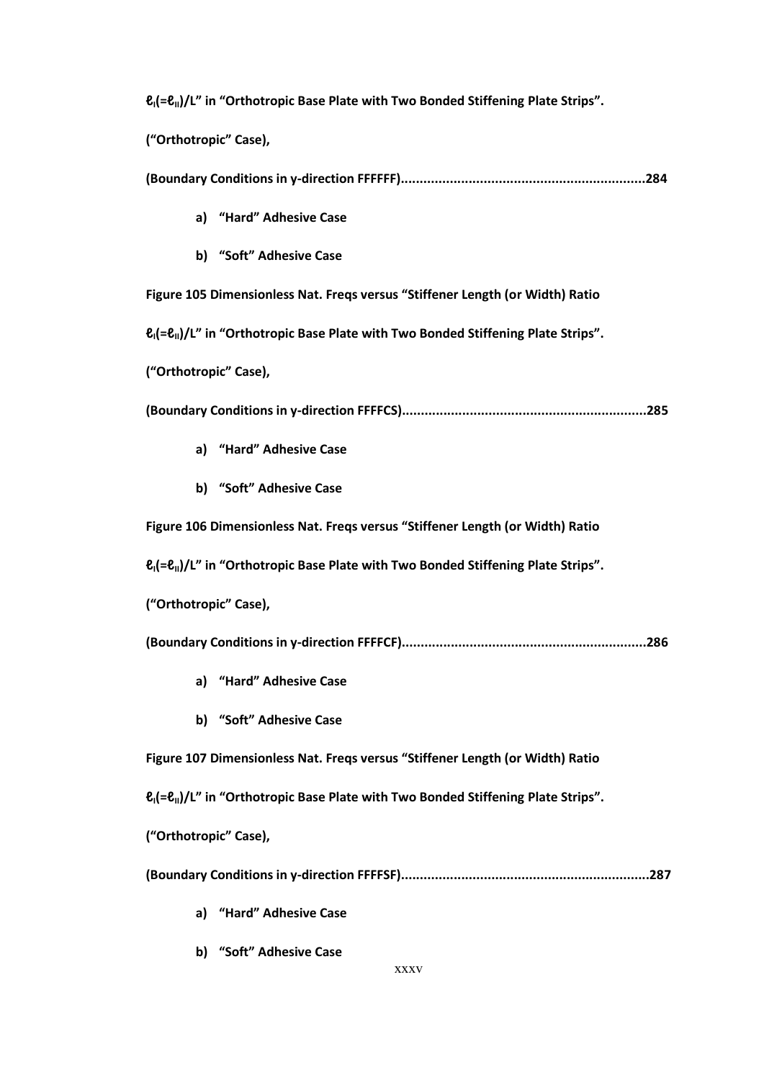**ℓI(=ℓII)/L" in "Orthotropic Base Plate with Two Bonded Stiffening Plate Strips".**

**("Orthotropic" Case),** 

|--|--|--|

- **a) "Hard" Adhesive Case**
- **b) "Soft" Adhesive Case**

**Figure 105 Dimensionless Nat. Freqs versus "Stiffener Length (or Width) Ratio** 

**ℓI(=ℓII)/L" in "Orthotropic Base Plate with Two Bonded Stiffening Plate Strips".**

**("Orthotropic" Case),** 

**(Boundary Conditions in y-direction FFFFCS).................................................................285**

- **a) "Hard" Adhesive Case**
- **b) "Soft" Adhesive Case**

**Figure 106 Dimensionless Nat. Freqs versus "Stiffener Length (or Width) Ratio** 

**ℓI(=ℓII)/L" in "Orthotropic Base Plate with Two Bonded Stiffening Plate Strips".**

**("Orthotropic" Case),** 

**(Boundary Conditions in y-direction FFFFCF).................................................................286**

- **a) "Hard" Adhesive Case**
- **b) "Soft" Adhesive Case**

**Figure 107 Dimensionless Nat. Freqs versus "Stiffener Length (or Width) Ratio** 

**ℓI(=ℓII)/L" in "Orthotropic Base Plate with Two Bonded Stiffening Plate Strips".**

**("Orthotropic" Case),** 

**(Boundary Conditions in y-direction FFFFSF)..................................................................287**

- **a) "Hard" Adhesive Case**
- **b) "Soft" Adhesive Case**

xxxv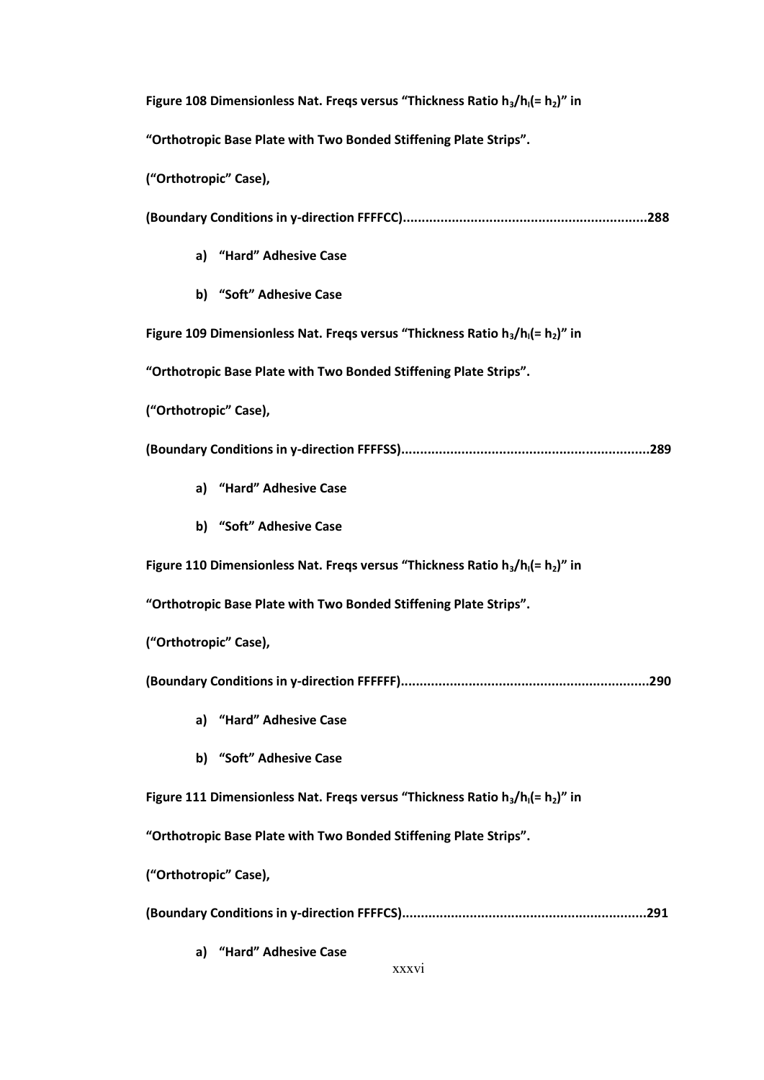**Figure 108 Dimensionless Nat. Freqs versus "Thickness Ratio h3/hI(= h2)" in** 

**"Orthotropic Base Plate with Two Bonded Stiffening Plate Strips".**

**("Orthotropic" Case),**

**(Boundary Conditions in y-direction FFFFCC).................................................................288**

- **a) "Hard" Adhesive Case**
- **b) "Soft" Adhesive Case**

**Figure 109 Dimensionless Nat. Freqs versus "Thickness Ratio h3/hI(= h2)" in**

**"Orthotropic Base Plate with Two Bonded Stiffening Plate Strips".**

**("Orthotropic" Case),**

**(Boundary Conditions in y-direction FFFFSS)..................................................................289**

- **a) "Hard" Adhesive Case**
- **b) "Soft" Adhesive Case**

**Figure 110 Dimensionless Nat. Freqs versus "Thickness Ratio h3/hI(= h2)" in**

**"Orthotropic Base Plate with Two Bonded Stiffening Plate Strips".**

**("Orthotropic" Case),**

**(Boundary Conditions in y-direction FFFFFF)..................................................................290**

- **a) "Hard" Adhesive Case**
- **b) "Soft" Adhesive Case**

**Figure 111 Dimensionless Nat. Freqs versus "Thickness Ratio h3/hI(= h2)" in**

**"Orthotropic Base Plate with Two Bonded Stiffening Plate Strips".**

**("Orthotropic" Case),**

**(Boundary Conditions in y-direction FFFFCS).................................................................291**

**a) "Hard" Adhesive Case**

xxxvi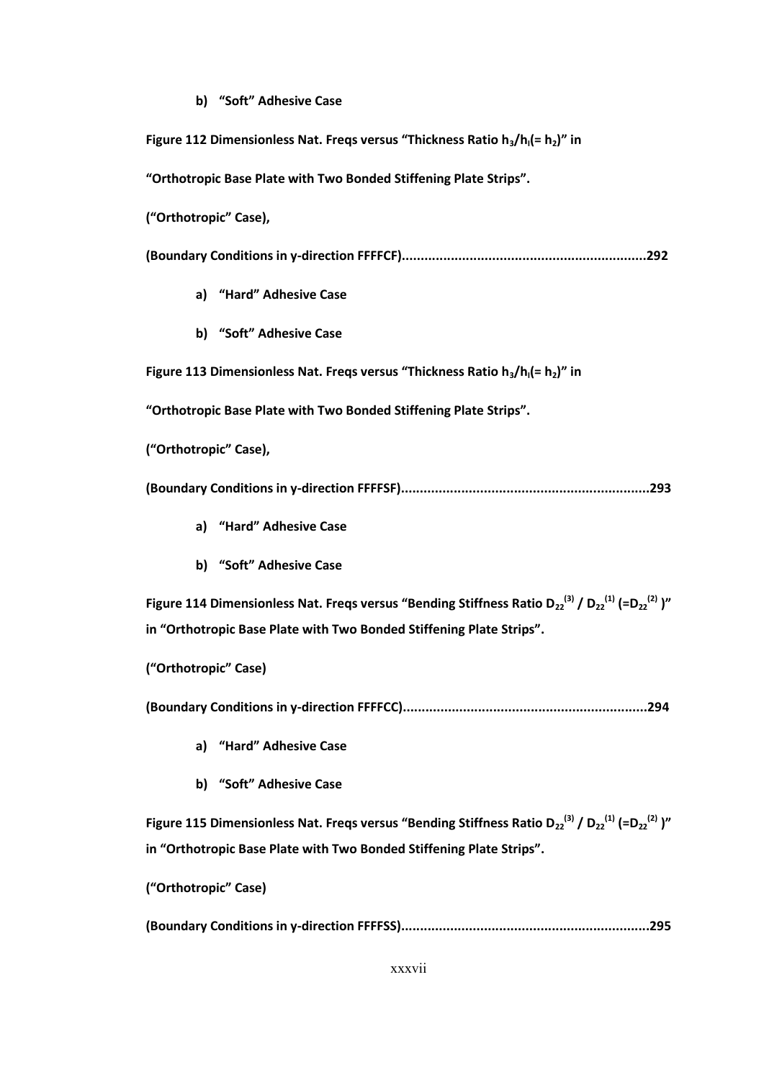## **b) "Soft" Adhesive Case**

| Figure 112 Dimensionless Nat. Freqs versus "Thickness Ratio $h_3/h_1 (= h_2)$ " in                                                                                      |
|-------------------------------------------------------------------------------------------------------------------------------------------------------------------------|
| "Orthotropic Base Plate with Two Bonded Stiffening Plate Strips".                                                                                                       |
| ("Orthotropic" Case),                                                                                                                                                   |
|                                                                                                                                                                         |
| a) "Hard" Adhesive Case                                                                                                                                                 |
| b) "Soft" Adhesive Case                                                                                                                                                 |
| Figure 113 Dimensionless Nat. Freqs versus "Thickness Ratio $h_3/h_1 (= h_2)$ " in                                                                                      |
| "Orthotropic Base Plate with Two Bonded Stiffening Plate Strips".                                                                                                       |
| ("Orthotropic" Case),                                                                                                                                                   |
|                                                                                                                                                                         |
| a) "Hard" Adhesive Case                                                                                                                                                 |
| b) "Soft" Adhesive Case                                                                                                                                                 |
| Figure 114 Dimensionless Nat. Freqs versus "Bending Stiffness Ratio D <sub>22</sub> <sup>(3)</sup> / D <sub>22</sub> <sup>(1)</sup> (=D <sub>22</sub> <sup>(2)</sup> )" |
| in "Orthotropic Base Plate with Two Bonded Stiffening Plate Strips".                                                                                                    |
| ("Orthotropic" Case)                                                                                                                                                    |
|                                                                                                                                                                         |
| "Hard" Adhesive Case<br>a)                                                                                                                                              |
| b) "Soft" Adhesive Case                                                                                                                                                 |
| Figure 115 Dimensionless Nat. Freqs versus "Bending Stiffness Ratio D <sub>22</sub> <sup>(3)</sup> / D <sub>22</sub> <sup>(1)</sup> (=D <sub>22</sub> <sup>(2)</sup> )" |
| in "Orthotropic Base Plate with Two Bonded Stiffening Plate Strips".                                                                                                    |
| ("Orthotropic" Case)                                                                                                                                                    |
|                                                                                                                                                                         |

xxxvii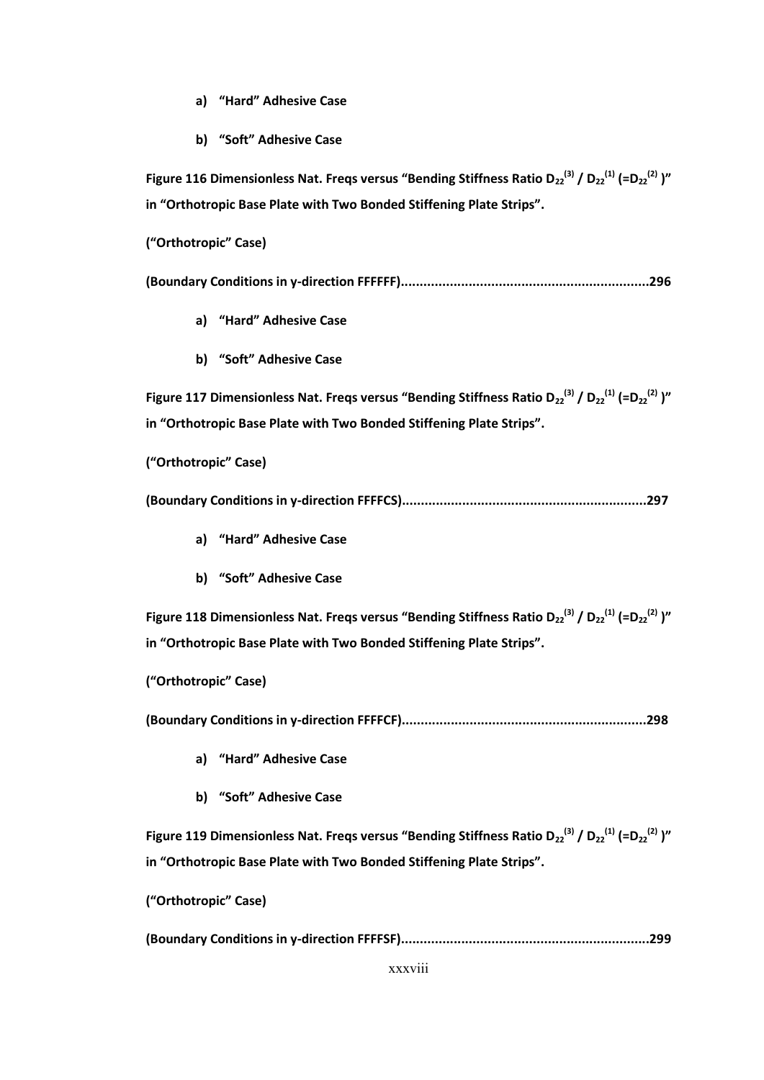- **a) "Hard" Adhesive Case**
- **b) "Soft" Adhesive Case**

**Figure 116 Dimensionless Nat. Freqs versus "Bending Stiffness Ratio D<sub>22</sub><sup>(3)</sup> / D<sub>22</sub><sup>(1)</sup> (=D<sub>22</sub><sup>(2)</sup> )" in "Orthotropic Base Plate with Two Bonded Stiffening Plate Strips".**

**("Orthotropic" Case)**

**(Boundary Conditions in y-direction FFFFFF)..................................................................296**

- **a) "Hard" Adhesive Case**
- **b) "Soft" Adhesive Case**

**Figure 117 Dimensionless Nat. Freqs versus "Bending Stiffness Ratio D<sub>22</sub><sup>(3)</sup> / D<sub>22</sub><sup>(1)</sup> (=D<sub>22</sub><sup>(2)</sup> )" in "Orthotropic Base Plate with Two Bonded Stiffening Plate Strips".**

**("Orthotropic" Case)**

**(Boundary Conditions in y-direction FFFFCS).................................................................297**

- **a) "Hard" Adhesive Case**
- **b) "Soft" Adhesive Case**

**Figure 118 Dimensionless Nat. Freqs versus "Bending Stiffness Ratio D<sub>22</sub><sup>(3)</sup> / D<sub>22</sub><sup>(1)</sup> (=D<sub>22</sub><sup>(2)</sup> )" in "Orthotropic Base Plate with Two Bonded Stiffening Plate Strips".**

**("Orthotropic" Case)**

**(Boundary Conditions in y-direction FFFFCF).................................................................298**

- **a) "Hard" Adhesive Case**
- **b) "Soft" Adhesive Case**

**Figure 119 Dimensionless Nat. Freqs versus "Bending Stiffness Ratio D<sub>22</sub><sup>(3)</sup> / D<sub>22</sub><sup>(1)</sup> (=D<sub>22</sub><sup>(2)</sup> )" in "Orthotropic Base Plate with Two Bonded Stiffening Plate Strips".**

**("Orthotropic" Case)**

**(Boundary Conditions in y-direction FFFFSF)..................................................................299**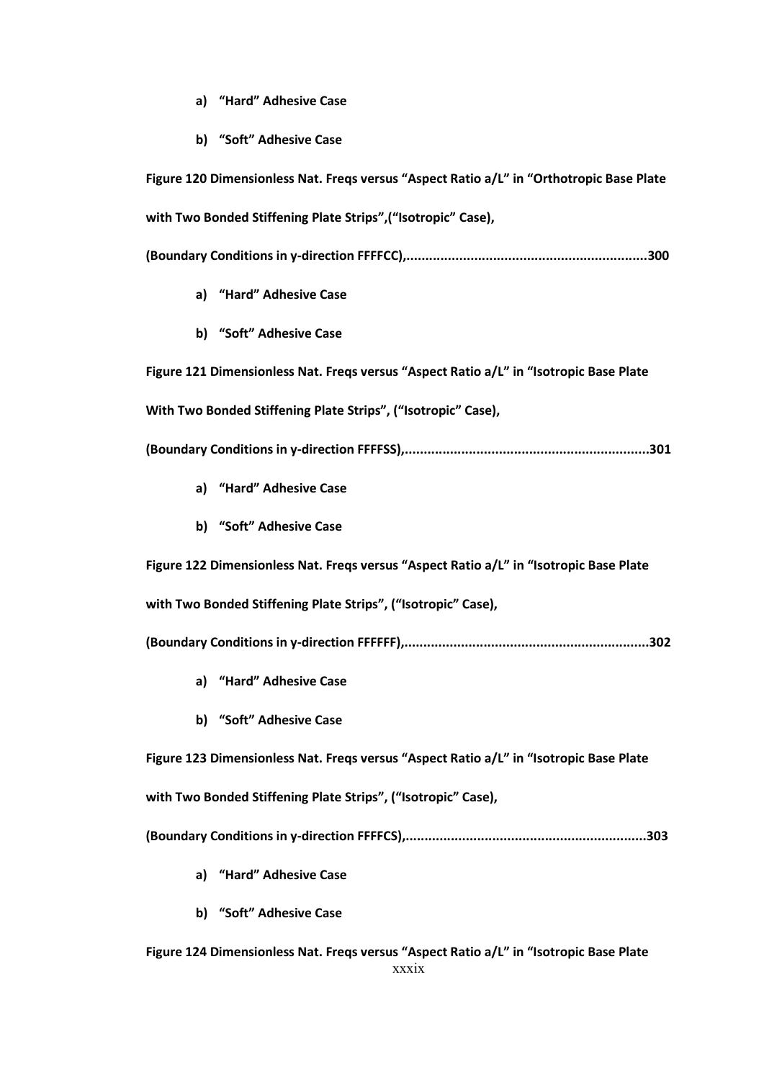- **a) "Hard" Adhesive Case**
- **b) "Soft" Adhesive Case**

**Figure 120 Dimensionless Nat. Freqs versus "Aspect Ratio a/L" in "Orthotropic Base Plate with Two Bonded Stiffening Plate Strips",("Isotropic" Case), (Boundary Conditions in y-direction FFFFCC),................................................................300 a) "Hard" Adhesive Case b) "Soft" Adhesive Case Figure 121 Dimensionless Nat. Freqs versus "Aspect Ratio a/L" in "Isotropic Base Plate With Two Bonded Stiffening Plate Strips", ("Isotropic" Case), (Boundary Conditions in y-direction FFFFSS),.................................................................301 a) "Hard" Adhesive Case b) "Soft" Adhesive Case Figure 122 Dimensionless Nat. Freqs versus "Aspect Ratio a/L" in "Isotropic Base Plate with Two Bonded Stiffening Plate Strips", ("Isotropic" Case), (Boundary Conditions in y-direction FFFFFF),.................................................................302 a) "Hard" Adhesive Case b) "Soft" Adhesive Case Figure 123 Dimensionless Nat. Freqs versus "Aspect Ratio a/L" in "Isotropic Base Plate with Two Bonded Stiffening Plate Strips", ("Isotropic" Case), (Boundary Conditions in y-direction FFFFCS),................................................................303 a) "Hard" Adhesive Case b) "Soft" Adhesive Case**

xxxix **Figure 124 Dimensionless Nat. Freqs versus "Aspect Ratio a/L" in "Isotropic Base Plate**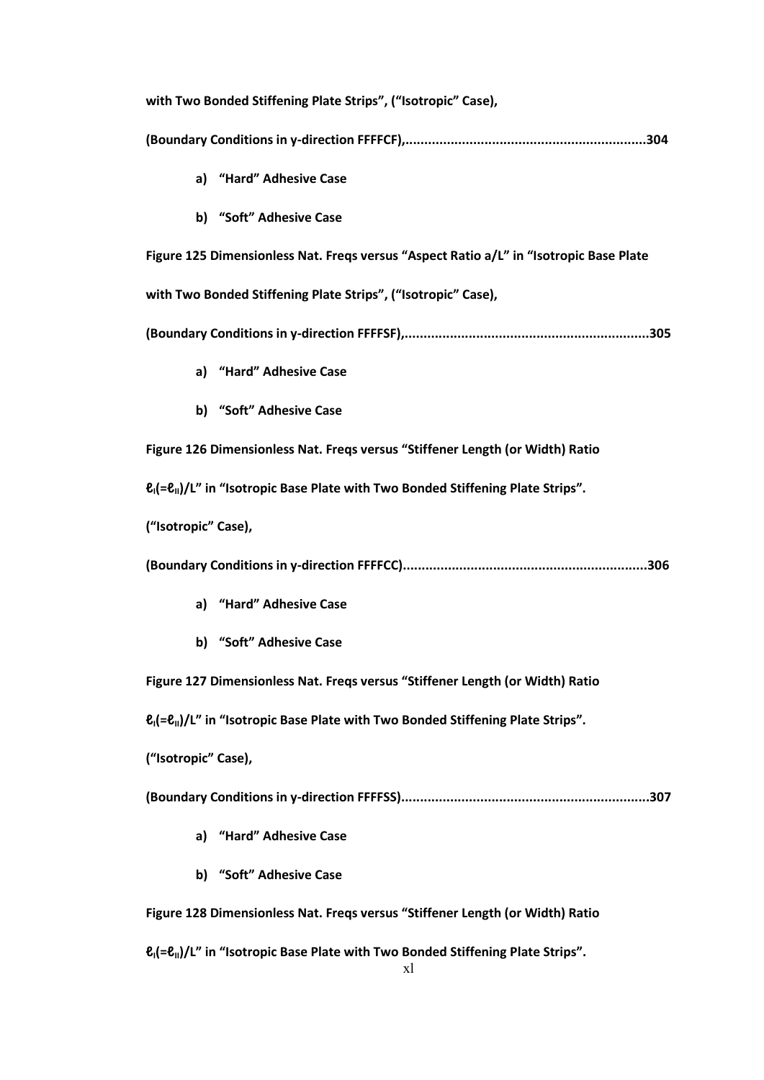| with Two Bonded Stiffening Plate Strips", ("Isotropic" Case),                                                 |
|---------------------------------------------------------------------------------------------------------------|
|                                                                                                               |
| a) "Hard" Adhesive Case                                                                                       |
| b) "Soft" Adhesive Case                                                                                       |
| Figure 125 Dimensionless Nat. Fregs versus "Aspect Ratio a/L" in "Isotropic Base Plate                        |
| with Two Bonded Stiffening Plate Strips", ("Isotropic" Case),                                                 |
|                                                                                                               |
| a) "Hard" Adhesive Case                                                                                       |
| b) "Soft" Adhesive Case                                                                                       |
| Figure 126 Dimensionless Nat. Freqs versus "Stiffener Length (or Width) Ratio                                 |
| $\ell_1$ (= $\ell_1$ )/L" in "Isotropic Base Plate with Two Bonded Stiffening Plate Strips".                  |
| ("Isotropic" Case),                                                                                           |
|                                                                                                               |
| a) "Hard" Adhesive Case                                                                                       |
| b) "Soft" Adhesive Case                                                                                       |
| Figure 127 Dimensionless Nat. Freqs versus "Stiffener Length (or Width) Ratio                                 |
| $\ell_1$ (= $\ell_1$ )/L" in "Isotropic Base Plate with Two Bonded Stiffening Plate Strips".                  |
| ("Isotropic" Case),                                                                                           |
|                                                                                                               |
| a) "Hard" Adhesive Case                                                                                       |
| b) "Soft" Adhesive Case                                                                                       |
| Figure 128 Dimensionless Nat. Freqs versus "Stiffener Length (or Width) Ratio                                 |
| $\ell$ <sub>I</sub> $(=\ell_{\rm II})/L''$ in "Isotropic Base Plate with Two Bonded Stiffening Plate Strips". |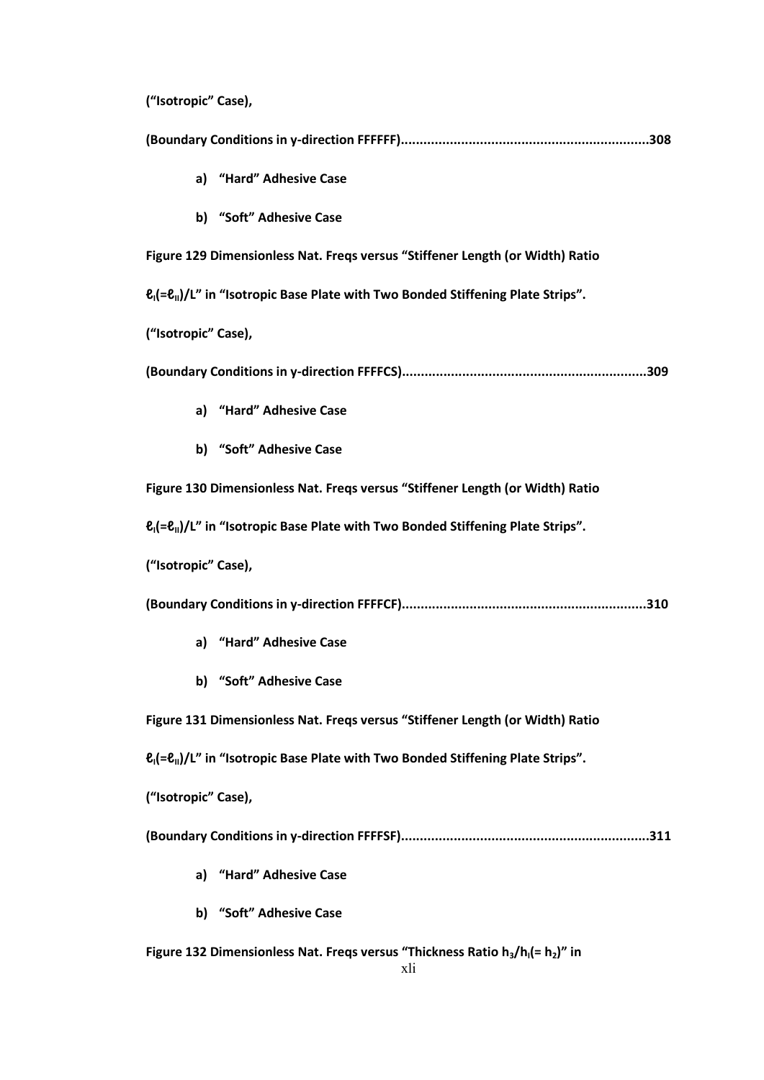**("Isotropic" Case),** 

**(Boundary Conditions in y-direction FFFFFF)..................................................................308 a) "Hard" Adhesive Case b) "Soft" Adhesive Case Figure 129 Dimensionless Nat. Freqs versus "Stiffener Length (or Width) Ratio ℓI(=ℓII)/L" in "Isotropic Base Plate with Two Bonded Stiffening Plate Strips". ("Isotropic" Case), (Boundary Conditions in y-direction FFFFCS).................................................................309 a) "Hard" Adhesive Case b) "Soft" Adhesive Case Figure 130 Dimensionless Nat. Freqs versus "Stiffener Length (or Width) Ratio ℓI(=ℓII)/L" in "Isotropic Base Plate with Two Bonded Stiffening Plate Strips". ("Isotropic" Case), (Boundary Conditions in y-direction FFFFCF).................................................................310 a) "Hard" Adhesive Case b) "Soft" Adhesive Case Figure 131 Dimensionless Nat. Freqs versus "Stiffener Length (or Width) Ratio ℓI(=ℓII)/L" in "Isotropic Base Plate with Two Bonded Stiffening Plate Strips". ("Isotropic" Case), (Boundary Conditions in y-direction FFFFSF)..................................................................311 a) "Hard" Adhesive Case b) "Soft" Adhesive Case Figure 132 Dimensionless Nat. Freqs versus "Thickness Ratio h3/hI(= h2)" in**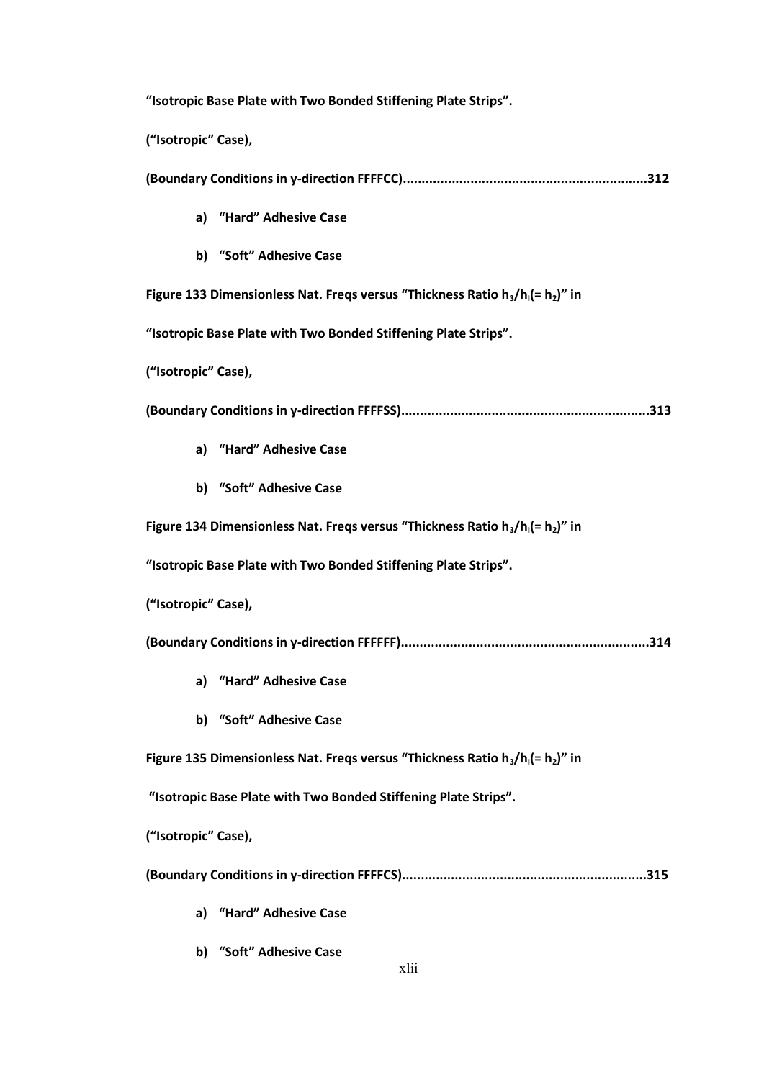**"Isotropic Base Plate with Two Bonded Stiffening Plate Strips". ("Isotropic" Case), (Boundary Conditions in y-direction FFFFCC).................................................................312 a) "Hard" Adhesive Case b) "Soft" Adhesive Case Figure 133 Dimensionless Nat. Freqs versus "Thickness Ratio h3/hI(= h2)" in "Isotropic Base Plate with Two Bonded Stiffening Plate Strips". ("Isotropic" Case), (Boundary Conditions in y-direction FFFFSS)..................................................................313 a) "Hard" Adhesive Case b) "Soft" Adhesive Case Figure 134 Dimensionless Nat. Freqs versus "Thickness Ratio h3/hI(= h2)" in "Isotropic Base Plate with Two Bonded Stiffening Plate Strips". ("Isotropic" Case), (Boundary Conditions in y-direction FFFFFF)..................................................................314 a) "Hard" Adhesive Case b) "Soft" Adhesive Case Figure 135 Dimensionless Nat. Freqs versus "Thickness Ratio h3/hI(= h2)" in "Isotropic Base Plate with Two Bonded Stiffening Plate Strips". ("Isotropic" Case), (Boundary Conditions in y-direction FFFFCS).................................................................315 a) "Hard" Adhesive Case**

**b) "Soft" Adhesive Case**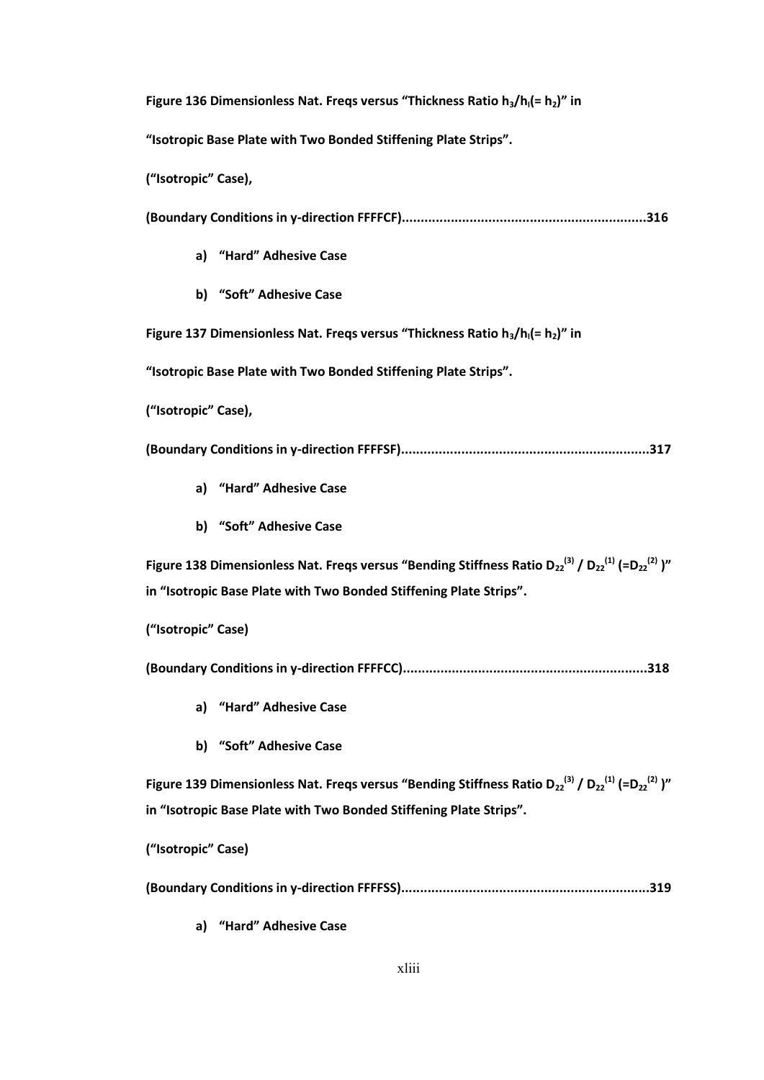**Figure 136 Dimensionless Nat. Freqs versus "Thickness Ratio h3/hI(= h2)" in** 

**"Isotropic Base Plate with Two Bonded Stiffening Plate Strips".**

**("Isotropic" Case),**

**(Boundary Conditions in y-direction FFFFCF).................................................................316**

- **a) "Hard" Adhesive Case**
- **b) "Soft" Adhesive Case**

**Figure 137 Dimensionless Nat. Freqs versus "Thickness Ratio h3/hI(= h2)" in** 

**"Isotropic Base Plate with Two Bonded Stiffening Plate Strips".**

**("Isotropic" Case),**

**(Boundary Conditions in y-direction FFFFSF)..................................................................317**

- **a) "Hard" Adhesive Case**
- **b) "Soft" Adhesive Case**

**Figure 138 Dimensionless Nat. Freqs versus "Bending Stiffness Ratio D<sub>22</sub><sup>(3)</sup> / D<sub>22</sub><sup>(1)</sup> (=D<sub>22</sub><sup>(2)</sup> )" in "Isotropic Base Plate with Two Bonded Stiffening Plate Strips".**

**("Isotropic" Case)**

**(Boundary Conditions in y-direction FFFFCC).................................................................318**

- **a) "Hard" Adhesive Case**
- **b) "Soft" Adhesive Case**

**Figure 139 Dimensionless Nat. Freqs versus "Bending Stiffness Ratio D<sub>22</sub><sup>(3)</sup> / D<sub>22</sub><sup>(1)</sup> (=D<sub>22</sub><sup>(2)</sup> )" in "Isotropic Base Plate with Two Bonded Stiffening Plate Strips".**

**("Isotropic" Case)**

**(Boundary Conditions in y-direction FFFFSS)..................................................................319**

**a) "Hard" Adhesive Case**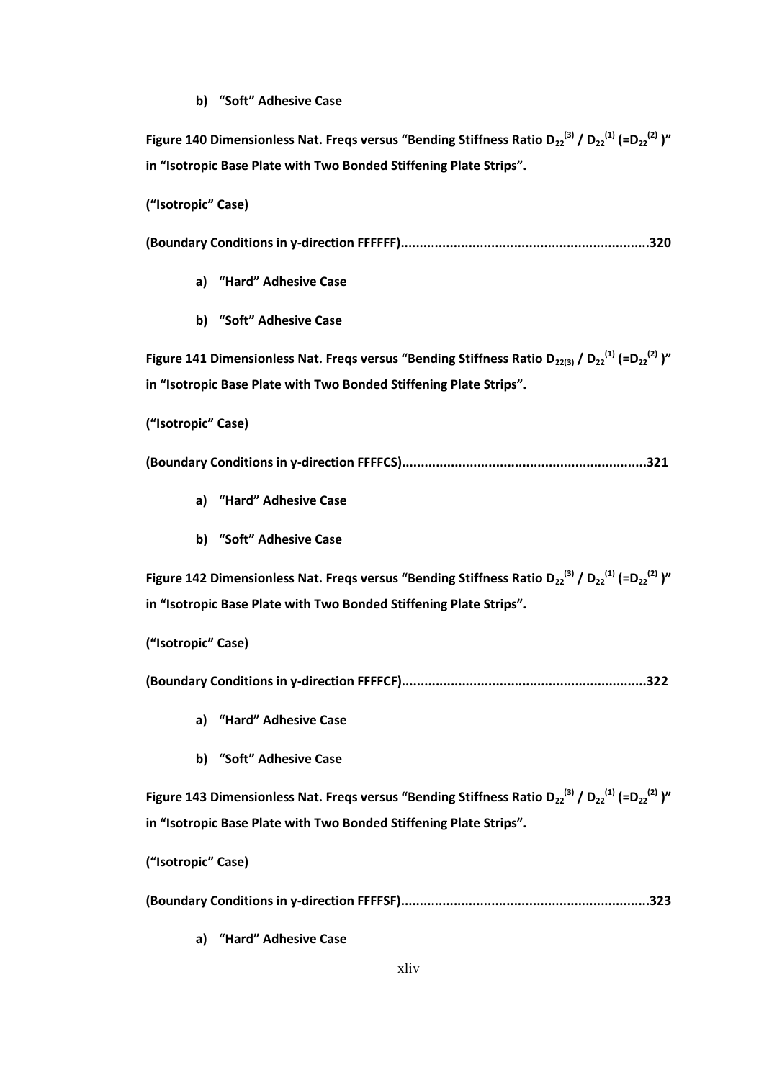#### **b) "Soft" Adhesive Case**

**Figure 140 Dimensionless Nat. Freqs versus "Bending Stiffness Ratio D<sub>22</sub><sup>(3)</sup> / D<sub>22</sub><sup>(1)</sup> (=D<sub>22</sub><sup>(2)</sup> )" in "Isotropic Base Plate with Two Bonded Stiffening Plate Strips".**

**("Isotropic" Case)**

**(Boundary Conditions in y-direction FFFFFF)..................................................................320**

- **a) "Hard" Adhesive Case**
- **b) "Soft" Adhesive Case**

**Figure 141 Dimensionless Nat. Freqs versus "Bending Stiffness Ratio D<sub>22(3)</sub> / D<sub>22</sub><sup>(1)</sup> (=D<sub>22</sub><sup>(2)</sup> )" in "Isotropic Base Plate with Two Bonded Stiffening Plate Strips".**

**("Isotropic" Case)**

**(Boundary Conditions in y-direction FFFFCS).................................................................321**

- **a) "Hard" Adhesive Case**
- **b) "Soft" Adhesive Case**

**Figure 142 Dimensionless Nat. Freqs versus "Bending Stiffness Ratio D<sub>22</sub><sup>(3)</sup> / D<sub>22</sub><sup>(1)</sup> (=D<sub>22</sub><sup>(2)</sup> )" in "Isotropic Base Plate with Two Bonded Stiffening Plate Strips".**

**("Isotropic" Case)**

**(Boundary Conditions in y-direction FFFFCF).................................................................322**

- **a) "Hard" Adhesive Case**
- **b) "Soft" Adhesive Case**

**Figure 143 Dimensionless Nat. Freqs versus "Bending Stiffness Ratio D<sub>22</sub><sup>(3)</sup> / D<sub>22</sub><sup>(1)</sup> (=D<sub>22</sub><sup>(2)</sup> )" in "Isotropic Base Plate with Two Bonded Stiffening Plate Strips".**

**("Isotropic" Case)**

**(Boundary Conditions in y-direction FFFFSF)..................................................................323**

**a) "Hard" Adhesive Case**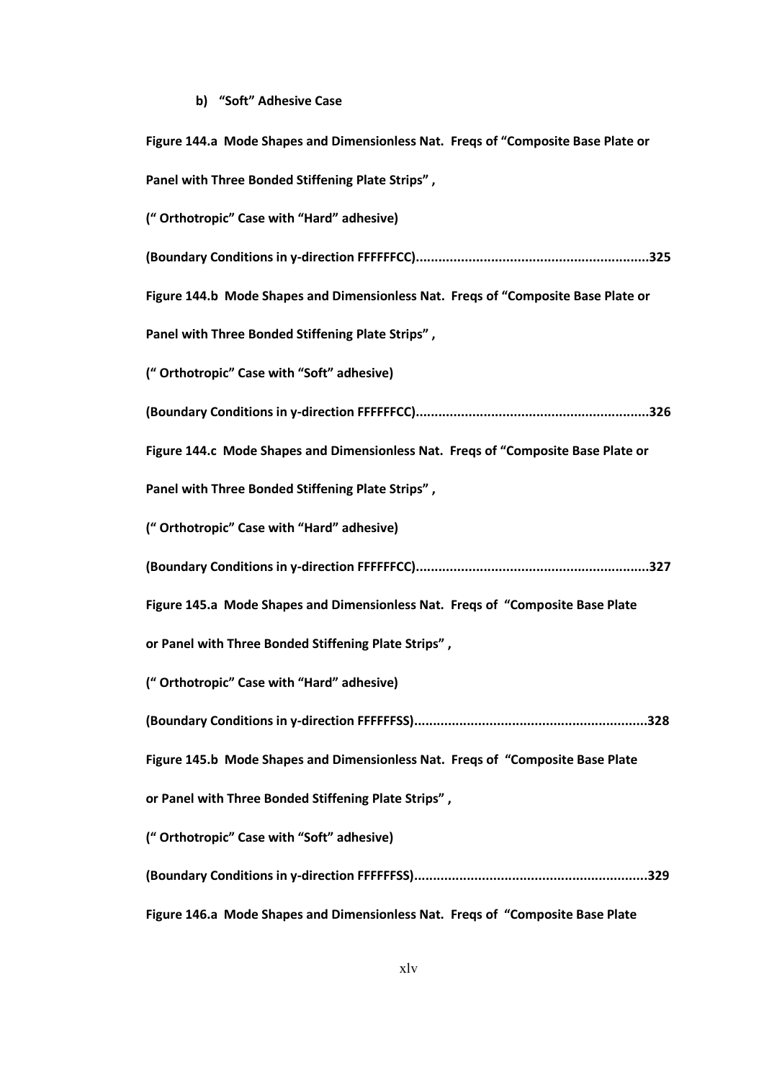## **b) "Soft" Adhesive Case**

| Figure 144.a Mode Shapes and Dimensionless Nat. Freqs of "Composite Base Plate or |
|-----------------------------------------------------------------------------------|
| Panel with Three Bonded Stiffening Plate Strips",                                 |
| ("Orthotropic" Case with "Hard" adhesive)                                         |
|                                                                                   |
| Figure 144.b Mode Shapes and Dimensionless Nat. Freqs of "Composite Base Plate or |
| Panel with Three Bonded Stiffening Plate Strips",                                 |
| ("Orthotropic" Case with "Soft" adhesive)                                         |
|                                                                                   |
| Figure 144.c Mode Shapes and Dimensionless Nat. Freqs of "Composite Base Plate or |
| Panel with Three Bonded Stiffening Plate Strips",                                 |
| ("Orthotropic" Case with "Hard" adhesive)                                         |
|                                                                                   |
| Figure 145.a Mode Shapes and Dimensionless Nat. Freqs of "Composite Base Plate    |
| or Panel with Three Bonded Stiffening Plate Strips",                              |
| ("Orthotropic" Case with "Hard" adhesive)                                         |
|                                                                                   |
| Figure 145.b Mode Shapes and Dimensionless Nat. Freqs of "Composite Base Plate    |
| or Panel with Three Bonded Stiffening Plate Strips",                              |
| ("Orthotropic" Case with "Soft" adhesive)                                         |
|                                                                                   |
| Figure 146.a Mode Shapes and Dimensionless Nat. Freqs of "Composite Base Plate    |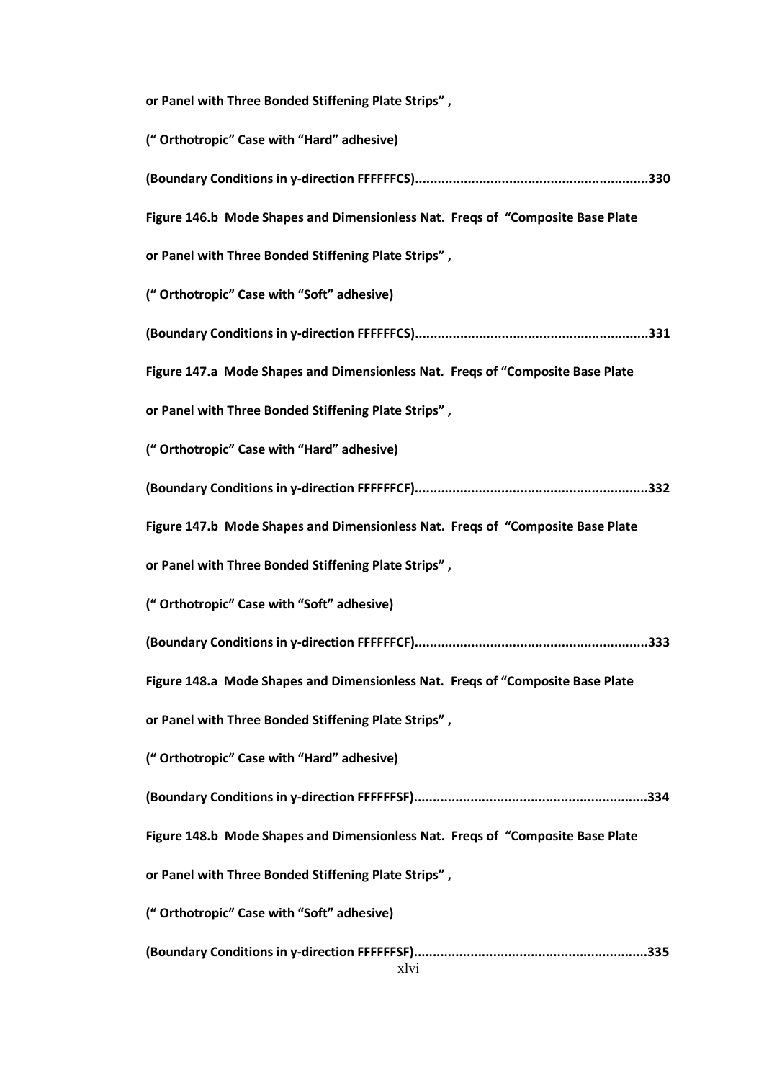xlvi **or Panel with Three Bonded Stiffening Plate Strips" , (" Orthotropic" Case with "Hard" adhesive) (Boundary Conditions in y-direction FFFFFFCS)..............................................................330 Figure 146.b Mode Shapes and Dimensionless Nat. Freqs of "Composite Base Plate or Panel with Three Bonded Stiffening Plate Strips" , (" Orthotropic" Case with "Soft" adhesive) (Boundary Conditions in y-direction FFFFFFCS)..............................................................331 Figure 147.a Mode Shapes and Dimensionless Nat. Freqs of "Composite Base Plate or Panel with Three Bonded Stiffening Plate Strips" , (" Orthotropic" Case with "Hard" adhesive) (Boundary Conditions in y-direction FFFFFFCF)..............................................................332 Figure 147.b Mode Shapes and Dimensionless Nat. Freqs of "Composite Base Plate or Panel with Three Bonded Stiffening Plate Strips" , (" Orthotropic" Case with "Soft" adhesive) (Boundary Conditions in y-direction FFFFFFCF)..............................................................333 Figure 148.a Mode Shapes and Dimensionless Nat. Freqs of "Composite Base Plate or Panel with Three Bonded Stiffening Plate Strips" , (" Orthotropic" Case with "Hard" adhesive) (Boundary Conditions in y-direction FFFFFFSF)..............................................................334 Figure 148.b Mode Shapes and Dimensionless Nat. Freqs of "Composite Base Plate or Panel with Three Bonded Stiffening Plate Strips" , (" Orthotropic" Case with "Soft" adhesive) (Boundary Conditions in y-direction FFFFFFSF)..............................................................335**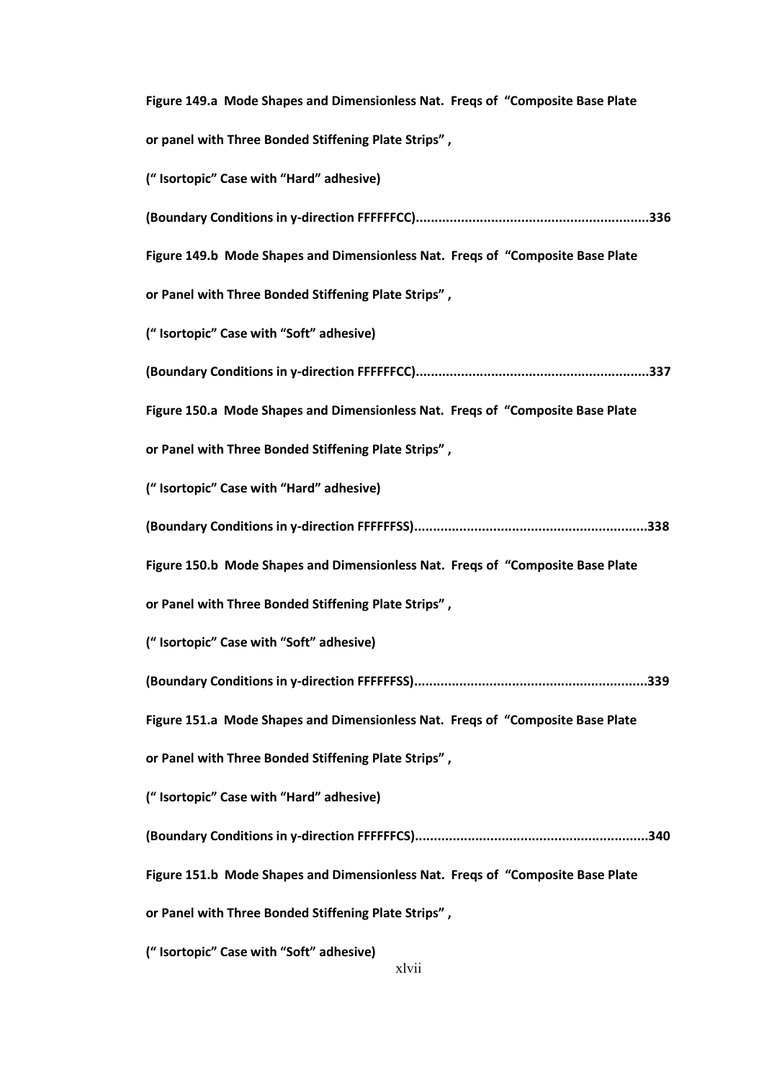| Figure 149.a Mode Shapes and Dimensionless Nat. Freqs of "Composite Base Plate |
|--------------------------------------------------------------------------------|
| or panel with Three Bonded Stiffening Plate Strips",                           |
| ("Isortopic" Case with "Hard" adhesive)                                        |
|                                                                                |
| Figure 149.b Mode Shapes and Dimensionless Nat. Freqs of "Composite Base Plate |
| or Panel with Three Bonded Stiffening Plate Strips",                           |
| ("Isortopic" Case with "Soft" adhesive)                                        |
|                                                                                |
| Figure 150.a Mode Shapes and Dimensionless Nat. Freqs of "Composite Base Plate |
| or Panel with Three Bonded Stiffening Plate Strips",                           |
| ("Isortopic" Case with "Hard" adhesive)                                        |
|                                                                                |
| Figure 150.b Mode Shapes and Dimensionless Nat. Freqs of "Composite Base Plate |
| or Panel with Three Bonded Stiffening Plate Strips",                           |
| ("Isortopic" Case with "Soft" adhesive)                                        |
|                                                                                |
| Figure 151.a Mode Shapes and Dimensionless Nat. Freqs of "Composite Base Plate |
| or Panel with Three Bonded Stiffening Plate Strips",                           |
| ("Isortopic" Case with "Hard" adhesive)                                        |
|                                                                                |
| Figure 151.b Mode Shapes and Dimensionless Nat. Freqs of "Composite Base Plate |
| or Panel with Three Bonded Stiffening Plate Strips",                           |
| ("Isortopic" Case with "Soft" adhesive)                                        |

xlvii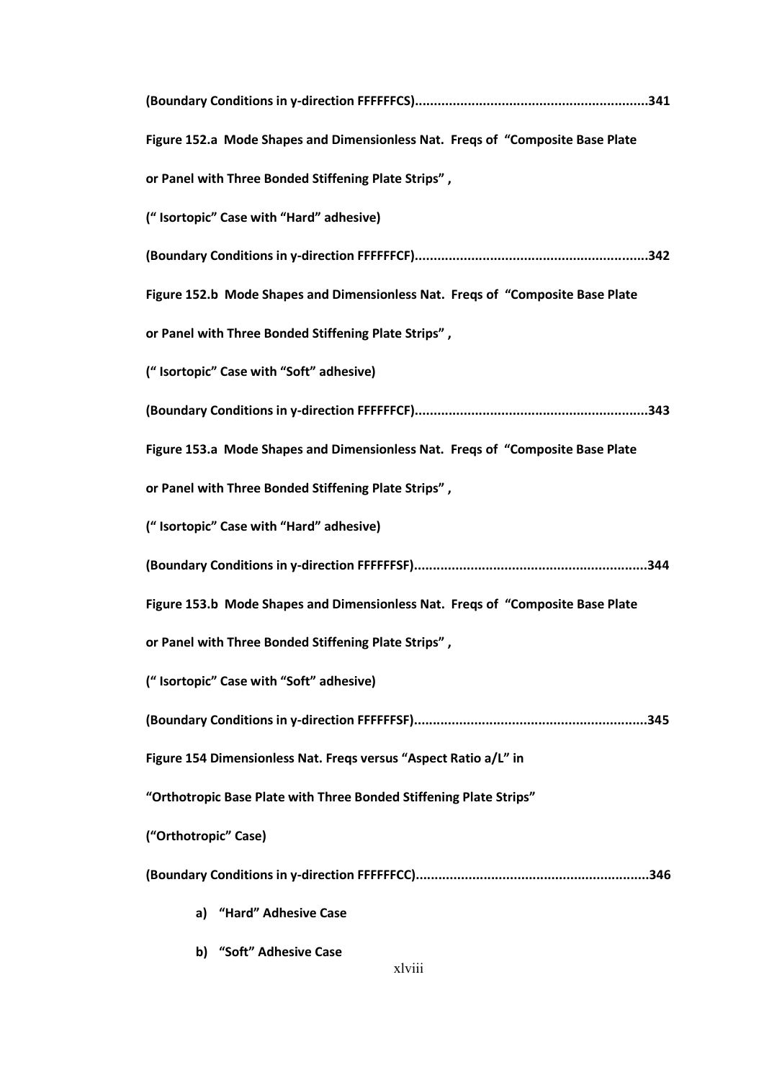| Figure 152.a Mode Shapes and Dimensionless Nat. Freqs of "Composite Base Plate |
|--------------------------------------------------------------------------------|
| or Panel with Three Bonded Stiffening Plate Strips",                           |
| ("Isortopic" Case with "Hard" adhesive)                                        |
|                                                                                |
| Figure 152.b Mode Shapes and Dimensionless Nat. Freqs of "Composite Base Plate |
| or Panel with Three Bonded Stiffening Plate Strips",                           |
| ("Isortopic" Case with "Soft" adhesive)                                        |
|                                                                                |
| Figure 153.a Mode Shapes and Dimensionless Nat. Freqs of "Composite Base Plate |
| or Panel with Three Bonded Stiffening Plate Strips",                           |
| ("Isortopic" Case with "Hard" adhesive)                                        |
|                                                                                |
| Figure 153.b Mode Shapes and Dimensionless Nat. Freqs of "Composite Base Plate |
| or Panel with Three Bonded Stiffening Plate Strips",                           |
| ("Isortopic" Case with "Soft" adhesive)                                        |
|                                                                                |
| Figure 154 Dimensionless Nat. Freqs versus "Aspect Ratio a/L" in               |
| "Orthotropic Base Plate with Three Bonded Stiffening Plate Strips"             |
| ("Orthotropic" Case)                                                           |
|                                                                                |
| a) "Hard" Adhesive Case                                                        |
| b) "Soft" Adhesive Case                                                        |

xlviii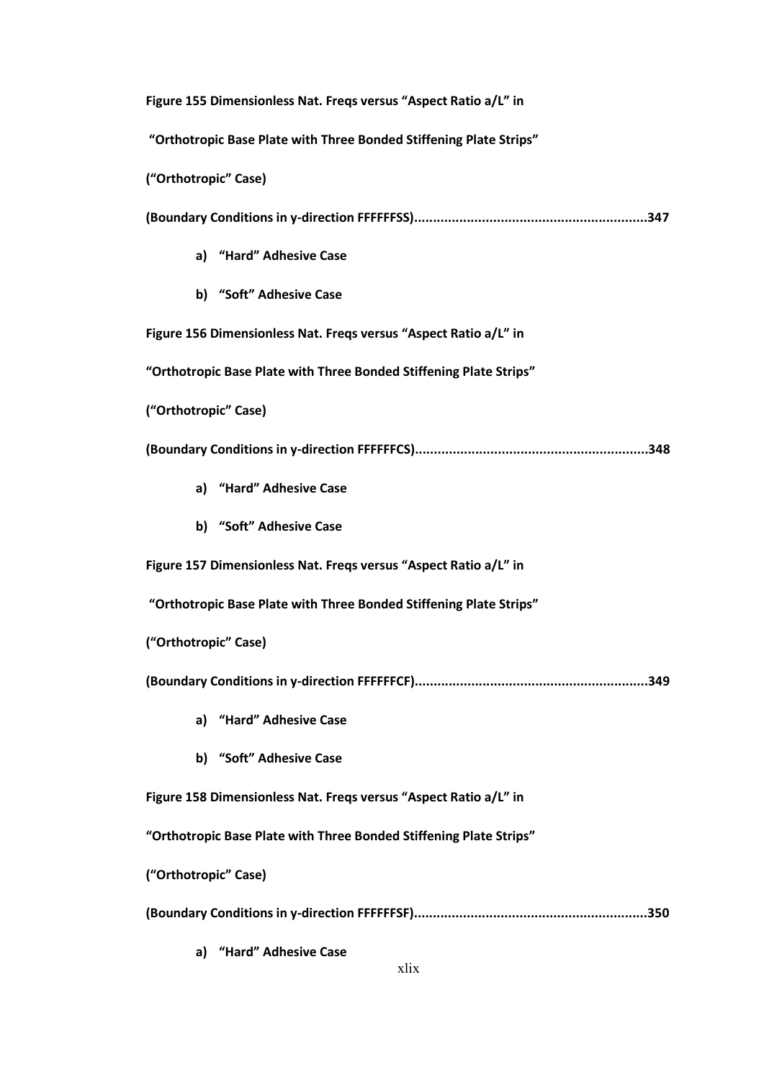**Figure 155 Dimensionless Nat. Freqs versus "Aspect Ratio a/L" in**

**"Orthotropic Base Plate with Three Bonded Stiffening Plate Strips"**

**("Orthotropic" Case)**

**(Boundary Conditions in y-direction FFFFFFSS)..............................................................347**

- **a) "Hard" Adhesive Case**
- **b) "Soft" Adhesive Case**

**Figure 156 Dimensionless Nat. Freqs versus "Aspect Ratio a/L" in** 

**"Orthotropic Base Plate with Three Bonded Stiffening Plate Strips"**

**("Orthotropic" Case)**

**(Boundary Conditions in y-direction FFFFFFCS)..............................................................348**

- **a) "Hard" Adhesive Case**
- **b) "Soft" Adhesive Case**

**Figure 157 Dimensionless Nat. Freqs versus "Aspect Ratio a/L" in**

**"Orthotropic Base Plate with Three Bonded Stiffening Plate Strips"**

**("Orthotropic" Case)**

**(Boundary Conditions in y-direction FFFFFFCF)..............................................................349**

- **a) "Hard" Adhesive Case**
- **b) "Soft" Adhesive Case**

**Figure 158 Dimensionless Nat. Freqs versus "Aspect Ratio a/L" in** 

**"Orthotropic Base Plate with Three Bonded Stiffening Plate Strips"**

**("Orthotropic" Case)**

**(Boundary Conditions in y-direction FFFFFFSF)..............................................................350**

**a) "Hard" Adhesive Case**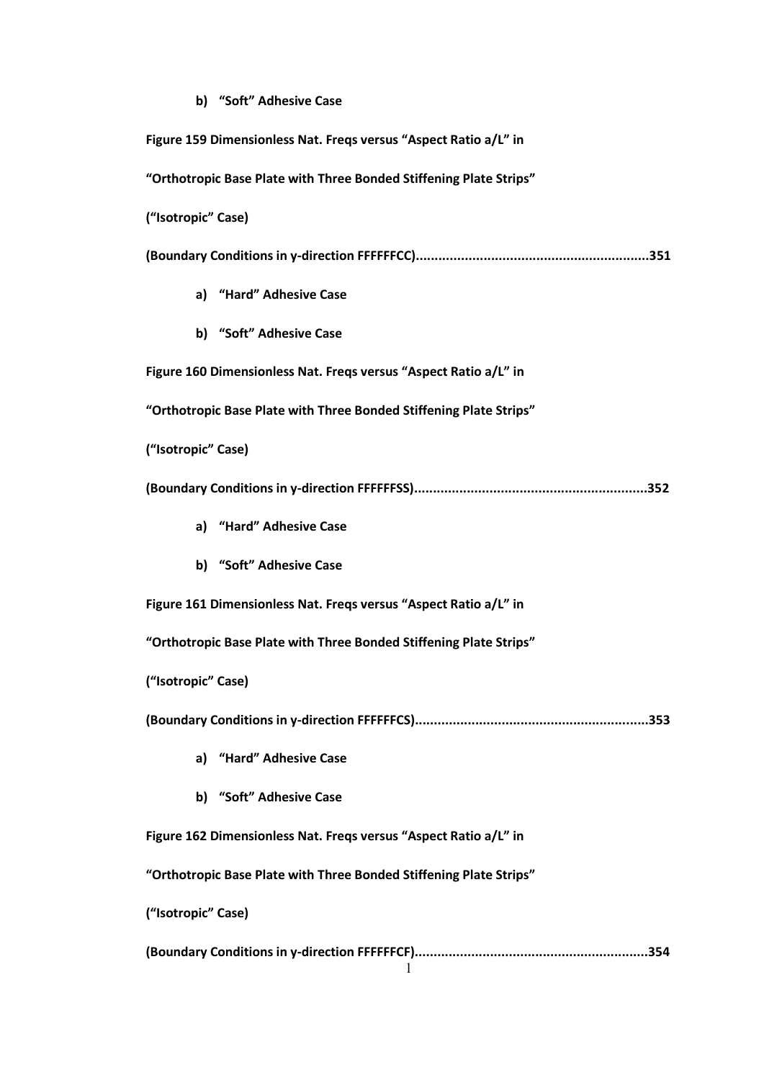## **b) "Soft" Adhesive Case**

| Figure 159 Dimensionless Nat. Freqs versus "Aspect Ratio a/L" in   |  |  |
|--------------------------------------------------------------------|--|--|
| "Orthotropic Base Plate with Three Bonded Stiffening Plate Strips" |  |  |
| ("Isotropic" Case)                                                 |  |  |
|                                                                    |  |  |
| a) "Hard" Adhesive Case                                            |  |  |
| b) "Soft" Adhesive Case                                            |  |  |
| Figure 160 Dimensionless Nat. Freqs versus "Aspect Ratio a/L" in   |  |  |
| "Orthotropic Base Plate with Three Bonded Stiffening Plate Strips" |  |  |
| ("Isotropic" Case)                                                 |  |  |
|                                                                    |  |  |
| a) "Hard" Adhesive Case                                            |  |  |
| b) "Soft" Adhesive Case                                            |  |  |
| Figure 161 Dimensionless Nat. Freqs versus "Aspect Ratio a/L" in   |  |  |
| "Orthotropic Base Plate with Three Bonded Stiffening Plate Strips" |  |  |
| ("Isotropic" Case)                                                 |  |  |
|                                                                    |  |  |
| a) "Hard" Adhesive Case                                            |  |  |
| b) "Soft" Adhesive Case                                            |  |  |
| Figure 162 Dimensionless Nat. Freqs versus "Aspect Ratio a/L" in   |  |  |
| "Orthotropic Base Plate with Three Bonded Stiffening Plate Strips" |  |  |
| ("Isotropic" Case)                                                 |  |  |
|                                                                    |  |  |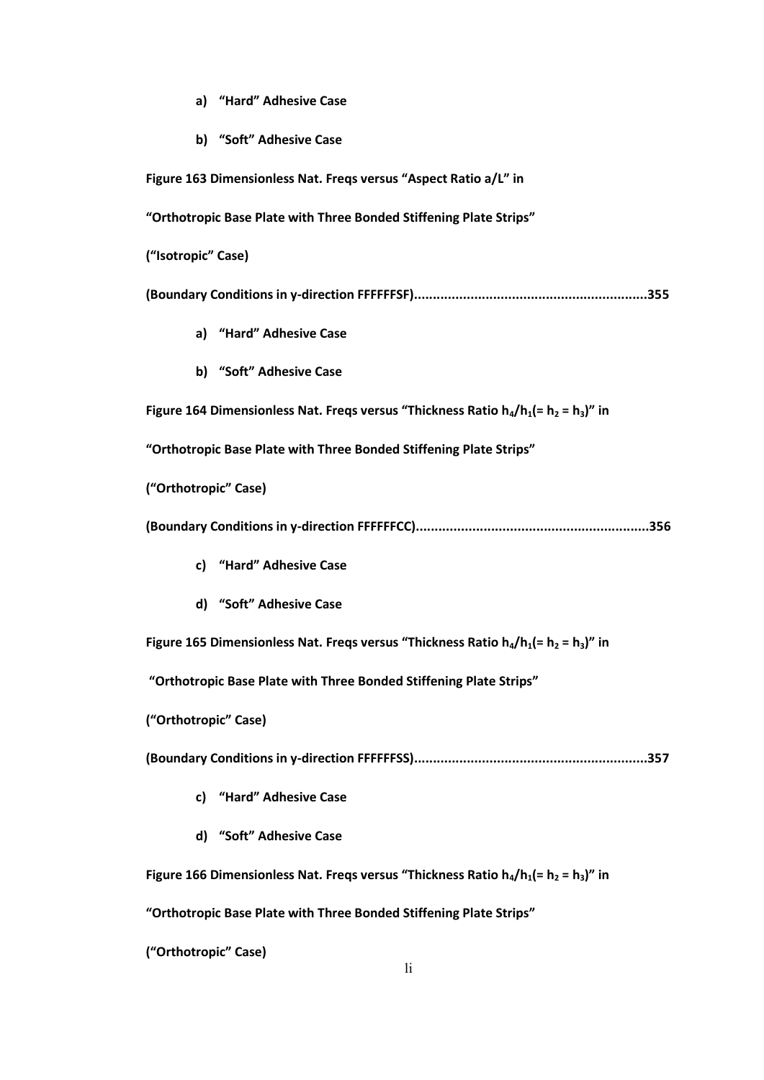- **a) "Hard" Adhesive Case**
- **b) "Soft" Adhesive Case**

**Figure 163 Dimensionless Nat. Freqs versus "Aspect Ratio a/L" in "Orthotropic Base Plate with Three Bonded Stiffening Plate Strips" ("Isotropic" Case) (Boundary Conditions in y-direction FFFFFFSF)..............................................................355 a) "Hard" Adhesive Case b) "Soft" Adhesive Case Figure 164 Dimensionless Nat. Freqs versus "Thickness Ratio h4/h1(= h<sup>2</sup> = h3)" in "Orthotropic Base Plate with Three Bonded Stiffening Plate Strips" ("Orthotropic" Case) (Boundary Conditions in y-direction FFFFFFCC)..............................................................356 c) "Hard" Adhesive Case d) "Soft" Adhesive Case Figure 165 Dimensionless Nat. Freqs versus "Thickness Ratio h4/h1(= h<sup>2</sup> = h3)" in "Orthotropic Base Plate with Three Bonded Stiffening Plate Strips" ("Orthotropic" Case) (Boundary Conditions in y-direction FFFFFFSS)..............................................................357 c) "Hard" Adhesive Case d) "Soft" Adhesive Case Figure 166 Dimensionless Nat. Freqs versus "Thickness Ratio h4/h1(= h<sup>2</sup> = h3)" in "Orthotropic Base Plate with Three Bonded Stiffening Plate Strips"**

**("Orthotropic" Case)**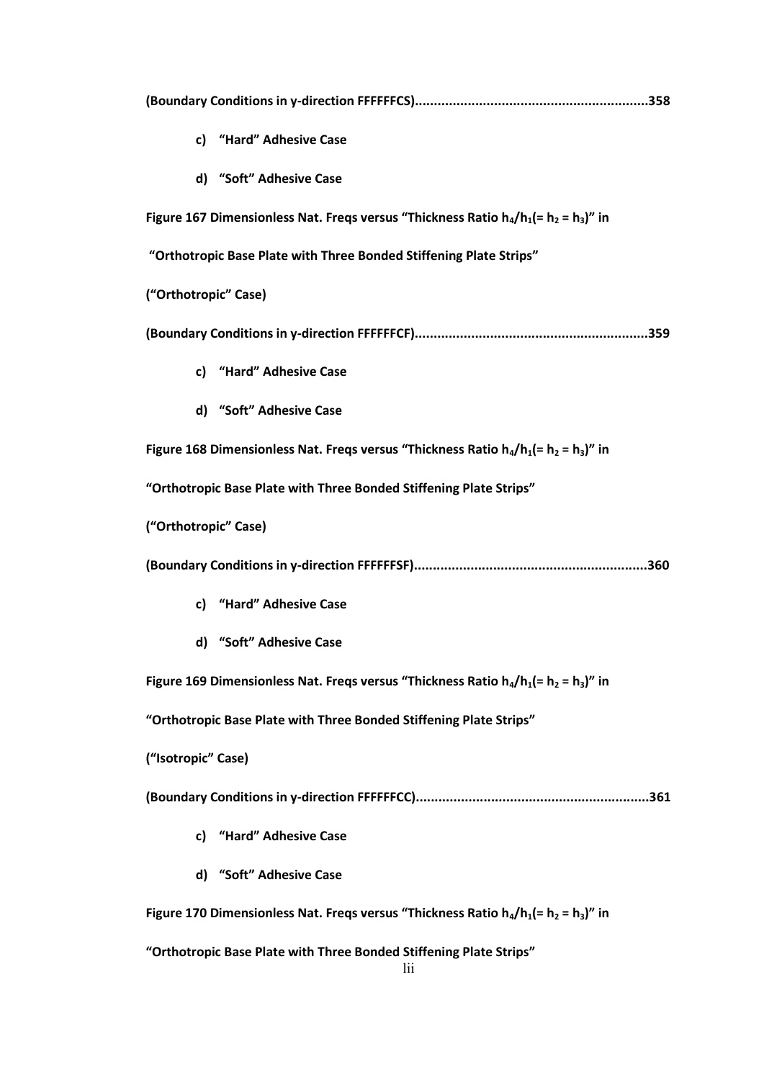|                                                                                          | c) "Hard" Adhesive Case                                                                  |  |
|------------------------------------------------------------------------------------------|------------------------------------------------------------------------------------------|--|
|                                                                                          | d) "Soft" Adhesive Case                                                                  |  |
|                                                                                          | Figure 167 Dimensionless Nat. Freqs versus "Thickness Ratio $h_4/h_1 (= h_2 = h_3)$ " in |  |
| "Orthotropic Base Plate with Three Bonded Stiffening Plate Strips"                       |                                                                                          |  |
| ("Orthotropic" Case)                                                                     |                                                                                          |  |
|                                                                                          |                                                                                          |  |
|                                                                                          | c) "Hard" Adhesive Case                                                                  |  |
|                                                                                          | d) "Soft" Adhesive Case                                                                  |  |
|                                                                                          | Figure 168 Dimensionless Nat. Freqs versus "Thickness Ratio $h_4/h_1 (= h_2 = h_3)$ " in |  |
|                                                                                          | "Orthotropic Base Plate with Three Bonded Stiffening Plate Strips"                       |  |
| ("Orthotropic" Case)                                                                     |                                                                                          |  |
|                                                                                          |                                                                                          |  |
|                                                                                          | c) "Hard" Adhesive Case                                                                  |  |
|                                                                                          | d) "Soft" Adhesive Case                                                                  |  |
|                                                                                          | Figure 169 Dimensionless Nat. Freqs versus "Thickness Ratio $h_4/h_1 (= h_2 = h_3)$ " in |  |
|                                                                                          | "Orthotropic Base Plate with Three Bonded Stiffening Plate Strips"                       |  |
| ("Isotropic" Case)                                                                       |                                                                                          |  |
|                                                                                          |                                                                                          |  |
| c)                                                                                       | "Hard" Adhesive Case                                                                     |  |
|                                                                                          | d) "Soft" Adhesive Case                                                                  |  |
| Figure 170 Dimensionless Nat. Freqs versus "Thickness Ratio $h_4/h_1 (= h_2 = h_3)$ " in |                                                                                          |  |
|                                                                                          | "Orthotropic Base Plate with Three Bonded Stiffening Plate Strips"<br>lii                |  |